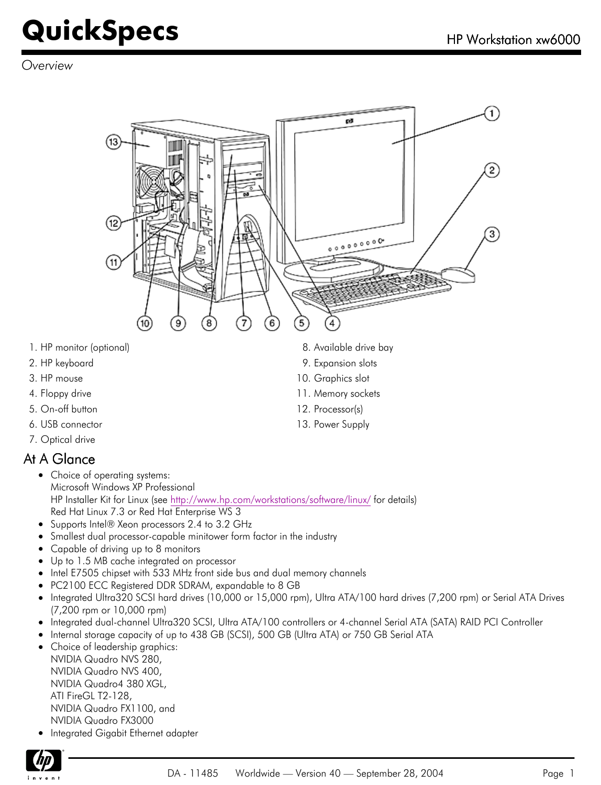*Overview*



- 1. HP monitor (optional)
- 2. HP keyboard
- 3. HP mouse
- 4. Floppy drive
- 5. On-off button
- 6. USB connector
- 7. Optical drive

#### At A Glance

- Choice of operating systems: Microsoft Windows XP Professional HP Installer Kit for Linux (see<http://www.hp.com/workstations/software/linux/> for details) Red Hat Linux 7.3 or Red Hat Enterprise WS 3
- Supports Intel® Xeon processors 2.4 to 3.2 GHz
- Smallest dual processor-capable minitower form factor in the industry
- Capable of driving up to 8 monitors  $\bullet$
- Up to 1.5 MB cache integrated on processor
- Intel E7505 chipset with 533 MHz front side bus and dual memory channels
- PC2100 ECC Registered DDR SDRAM, expandable to 8 GB
- Integrated Ultra320 SCSI hard drives (10,000 or 15,000 rpm), Ultra ATA/100 hard drives (7,200 rpm) or Serial ATA Drives  $\bullet$ (7,200 rpm or 10,000 rpm)
- Integrated dual-channel Ultra320 SCSI, Ultra ATA/100 controllers or 4-channel Serial ATA (SATA) RAID PCI Controller
- Internal storage capacity of up to 438 GB (SCSI), 500 GB (Ultra ATA) or 750 GB Serial ATA  $\bullet$
- Choice of leadership graphics: NVIDIA Quadro NVS 280, NVIDIA Quadro NVS 400, NVIDIA Quadro4 380 XGL, ATI FireGL T2-128, NVIDIA Quadro FX1100, and NVIDIA Quadro FX3000
- **•** Integrated Gigabit Ethernet adapter



- 8. Available drive bay
- 9. Expansion slots
- 10. Graphics slot
- 11. Memory sockets
- 12. Processor(s)
- 13. Power Supply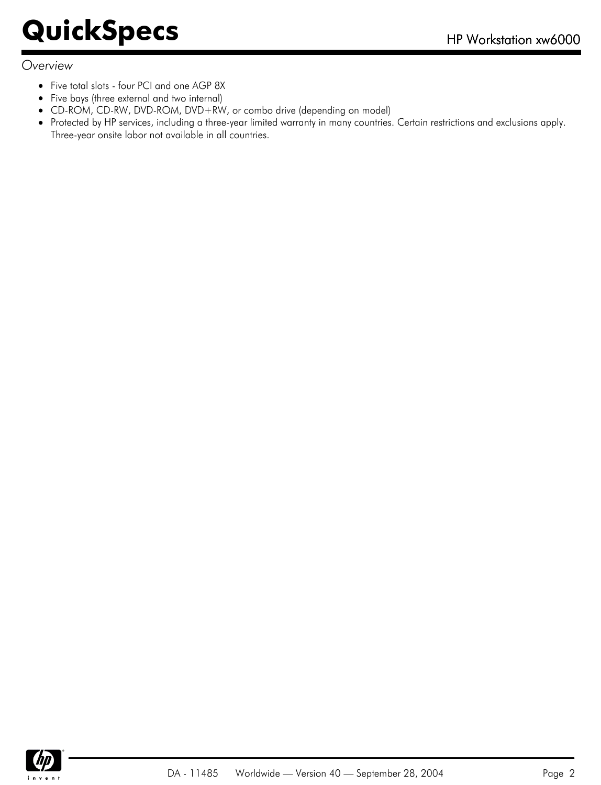#### *Overview*

- Five total slots four PCI and one AGP 8X
- $\bullet$ Five bays (three external and two internal)
- CD-ROM, CD-RW, DVD-ROM, DVD+RW, or combo drive (depending on model)
- Protected by HP services, including a three-year limited warranty in many countries. Certain restrictions and exclusions apply. Three-year onsite labor not available in all countries.

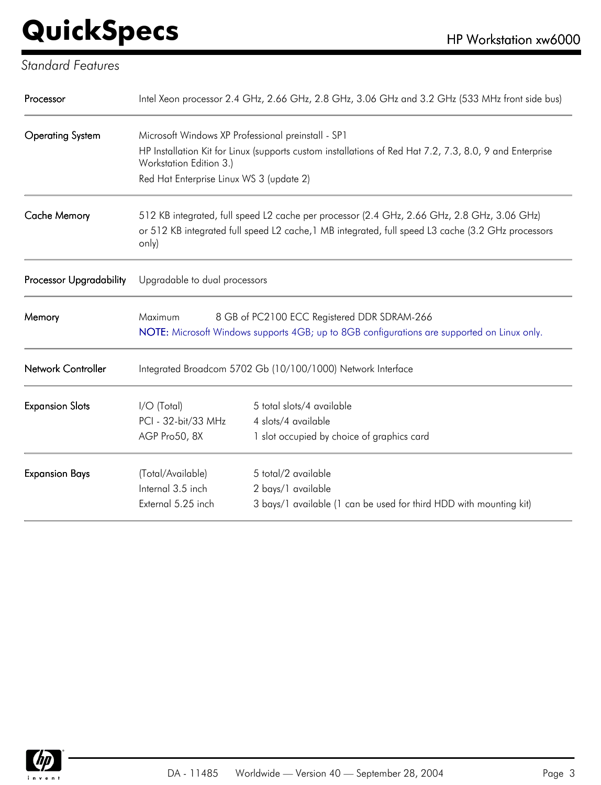#### *Standard Features*

| Processor               |                                                                                                                                                                                                            | Intel Xeon processor 2.4 GHz, 2.66 GHz, 2.8 GHz, 3.06 GHz and 3.2 GHz (533 MHz front side bus)          |  |
|-------------------------|------------------------------------------------------------------------------------------------------------------------------------------------------------------------------------------------------------|---------------------------------------------------------------------------------------------------------|--|
| <b>Operating System</b> | Microsoft Windows XP Professional preinstall - SP1                                                                                                                                                         |                                                                                                         |  |
|                         | Workstation Edition 3.)                                                                                                                                                                                    | HP Installation Kit for Linux (supports custom installations of Red Hat 7.2, 7.3, 8.0, 9 and Enterprise |  |
|                         | Red Hat Enterprise Linux WS 3 (update 2)                                                                                                                                                                   |                                                                                                         |  |
| <b>Cache Memory</b>     | 512 KB integrated, full speed L2 cache per processor (2.4 GHz, 2.66 GHz, 2.8 GHz, 3.06 GHz)<br>or 512 KB integrated full speed L2 cache, 1 MB integrated, full speed L3 cache (3.2 GHz processors<br>only) |                                                                                                         |  |
| Processor Upgradability | Upgradable to dual processors                                                                                                                                                                              |                                                                                                         |  |
| Memory                  | 8 GB of PC2100 ECC Registered DDR SDRAM-266<br>Maximum<br>NOTE: Microsoft Windows supports 4GB; up to 8GB configurations are supported on Linux only.                                                      |                                                                                                         |  |
| Network Controller      | Integrated Broadcom 5702 Gb (10/100/1000) Network Interface                                                                                                                                                |                                                                                                         |  |
| <b>Expansion Slots</b>  | $I/O$ (Total)                                                                                                                                                                                              | 5 total slots/4 available                                                                               |  |
|                         | PCI - 32-bit/33 MHz                                                                                                                                                                                        | 4 slots/4 available                                                                                     |  |
|                         | AGP Pro50, 8X                                                                                                                                                                                              | 1 slot occupied by choice of graphics card                                                              |  |
| <b>Expansion Bays</b>   | (Total/Available)                                                                                                                                                                                          | 5 total/2 available                                                                                     |  |
|                         | Internal 3.5 inch                                                                                                                                                                                          | 2 bays/1 available                                                                                      |  |
|                         | External 5.25 inch                                                                                                                                                                                         | 3 bays/1 available (1 can be used for third HDD with mounting kit)                                      |  |

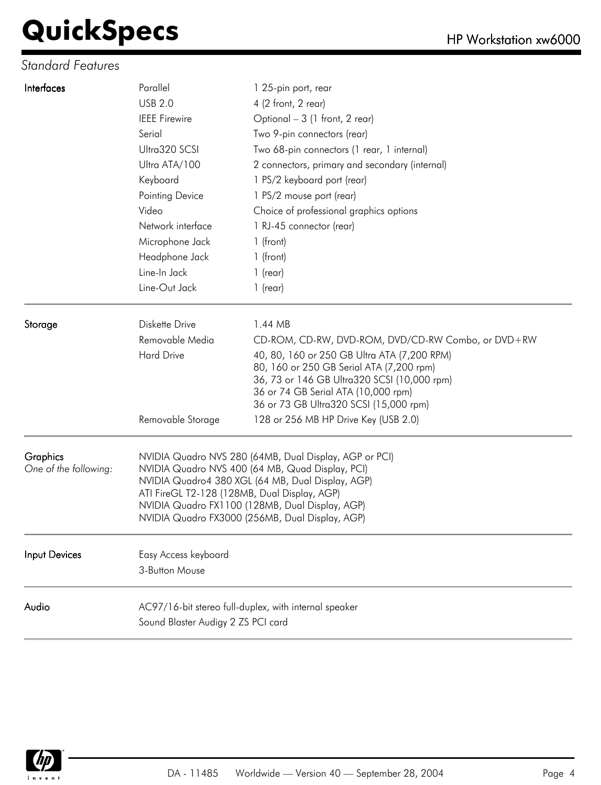#### *Standard Features*

| Interfaces            | Parallel                                                                                        | 1 25-pin port, rear                                                                |  |
|-----------------------|-------------------------------------------------------------------------------------------------|------------------------------------------------------------------------------------|--|
|                       | <b>USB 2.0</b>                                                                                  | 4 (2 front, 2 rear)                                                                |  |
|                       | <b>IEEE Firewire</b>                                                                            | Optional - 3 (1 front, 2 rear)                                                     |  |
|                       | Serial                                                                                          | Two 9-pin connectors (rear)                                                        |  |
|                       | Ultra320 SCSI                                                                                   | Two 68-pin connectors (1 rear, 1 internal)                                         |  |
|                       | Ultra ATA/100                                                                                   | 2 connectors, primary and secondary (internal)                                     |  |
|                       | Keyboard                                                                                        | 1 PS/2 keyboard port (rear)                                                        |  |
|                       | Pointing Device                                                                                 | 1 PS/2 mouse port (rear)                                                           |  |
|                       | Video                                                                                           | Choice of professional graphics options                                            |  |
|                       | Network interface                                                                               | 1 RJ-45 connector (rear)                                                           |  |
|                       | Microphone Jack                                                                                 | 1 (front)                                                                          |  |
|                       | Headphone Jack                                                                                  | 1 (front)                                                                          |  |
|                       | Line-In Jack                                                                                    | $1$ (rear)                                                                         |  |
|                       | Line-Out Jack                                                                                   | $1$ (rear)                                                                         |  |
| Storage               | Diskette Drive                                                                                  | 1.44 MB                                                                            |  |
|                       | Removable Media                                                                                 | CD-ROM, CD-RW, DVD-ROM, DVD/CD-RW Combo, or DVD+RW                                 |  |
|                       | <b>Hard Drive</b>                                                                               | 40, 80, 160 or 250 GB Ultra ATA (7,200 RPM)                                        |  |
|                       |                                                                                                 | 80, 160 or 250 GB Serial ATA (7,200 rpm)                                           |  |
|                       |                                                                                                 | 36, 73 or 146 GB Ultra320 SCSI (10,000 rpm)<br>36 or 74 GB Serial ATA (10,000 rpm) |  |
|                       |                                                                                                 | 36 or 73 GB Ultra320 SCSI (15,000 rpm)                                             |  |
|                       | Removable Storage                                                                               | 128 or 256 MB HP Drive Key (USB 2.0)                                               |  |
| <b>Graphics</b>       |                                                                                                 | NVIDIA Quadro NVS 280 (64MB, Dual Display, AGP or PCI)                             |  |
| One of the following: |                                                                                                 | NVIDIA Quadro NVS 400 (64 MB, Quad Display, PCI)                                   |  |
|                       | NVIDIA Quadro4 380 XGL (64 MB, Dual Display, AGP)                                               |                                                                                    |  |
|                       | ATI FireGL T2-128 (128MB, Dual Display, AGP)<br>NVIDIA Quadro FX1100 (128MB, Dual Display, AGP) |                                                                                    |  |
|                       |                                                                                                 | NVIDIA Quadro FX3000 (256MB, Dual Display, AGP)                                    |  |
| Input Devices         | Easy Access keyboard                                                                            |                                                                                    |  |
|                       | 3-Button Mouse                                                                                  |                                                                                    |  |
| Audio                 |                                                                                                 | AC97/16-bit stereo full-duplex, with internal speaker                              |  |
|                       | Sound Blaster Audigy 2 ZS PCI card                                                              |                                                                                    |  |
|                       |                                                                                                 |                                                                                    |  |

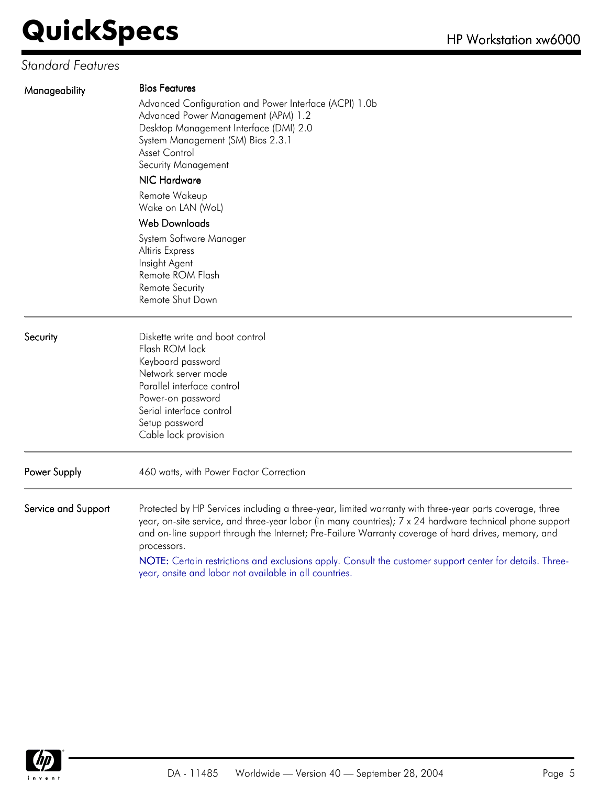#### *Standard Features*

| Manageability       | <b>Bios Features</b><br>Advanced Configuration and Power Interface (ACPI) 1.0b<br>Advanced Power Management (APM) 1.2<br>Desktop Management Interface (DMI) 2.0<br>System Management (SM) Bios 2.3.1<br>Asset Control<br>Security Management<br>NIC Hardware<br>Remote Wakeup<br>Wake on LAN (WoL)<br><b>Web Downloads</b>                                                                                                                            |  |  |
|---------------------|-------------------------------------------------------------------------------------------------------------------------------------------------------------------------------------------------------------------------------------------------------------------------------------------------------------------------------------------------------------------------------------------------------------------------------------------------------|--|--|
|                     | System Software Manager<br>Altiris Express<br>Insight Agent<br>Remote ROM Flash<br><b>Remote Security</b><br>Remote Shut Down                                                                                                                                                                                                                                                                                                                         |  |  |
| Security            | Diskette write and boot control<br>Flash ROM lock<br>Keyboard password<br>Network server mode<br>Parallel interface control<br>Power-on password<br>Serial interface control<br>Setup password<br>Cable lock provision                                                                                                                                                                                                                                |  |  |
| Power Supply        | 460 watts, with Power Factor Correction                                                                                                                                                                                                                                                                                                                                                                                                               |  |  |
| Service and Support | Protected by HP Services including a three-year, limited warranty with three-year parts coverage, three<br>year, on-site service, and three-year labor (in many countries); 7 x 24 hardware technical phone support<br>and on-line support through the Internet; Pre-Failure Warranty coverage of hard drives, memory, and<br>processors.<br>NOTE: Certain restrictions and exclusions apply. Consult the customer support center for details. Three- |  |  |
|                     | year, onsite and labor not available in all countries.                                                                                                                                                                                                                                                                                                                                                                                                |  |  |

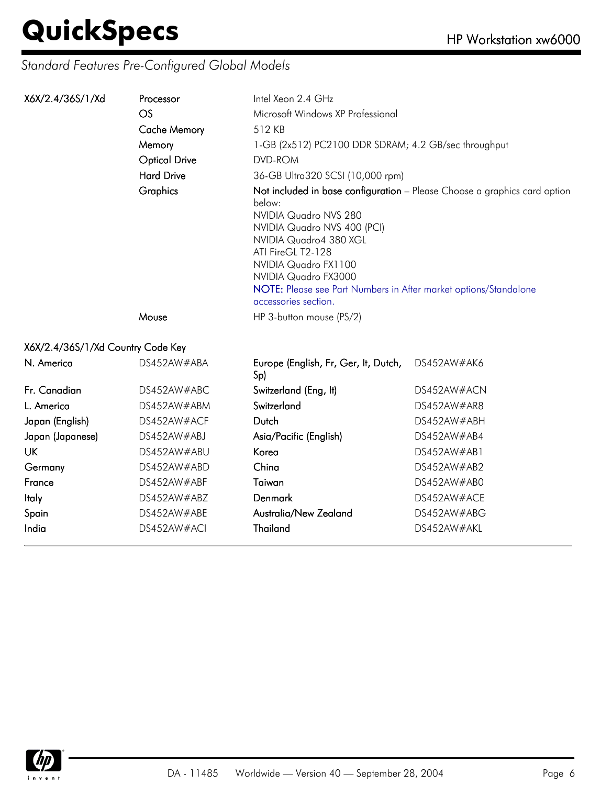#### *Standard Features Pre-Configured Global Models*

| X6X/2.4/36S/1/Xd                  | Processor            | Intel Xeon 2.4 GHz                                                                                                                                                                                                                                                                                                                     |             |
|-----------------------------------|----------------------|----------------------------------------------------------------------------------------------------------------------------------------------------------------------------------------------------------------------------------------------------------------------------------------------------------------------------------------|-------------|
|                                   | OS                   | Microsoft Windows XP Professional                                                                                                                                                                                                                                                                                                      |             |
|                                   | <b>Cache Memory</b>  | 512 KB                                                                                                                                                                                                                                                                                                                                 |             |
|                                   | Memory               | 1-GB (2x512) PC2100 DDR SDRAM; 4.2 GB/sec throughput                                                                                                                                                                                                                                                                                   |             |
|                                   | <b>Optical Drive</b> | DVD-ROM                                                                                                                                                                                                                                                                                                                                |             |
|                                   | <b>Hard Drive</b>    | 36-GB Ultra320 SCSI (10,000 rpm)                                                                                                                                                                                                                                                                                                       |             |
|                                   | Graphics             | Not included in base configuration - Please Choose a graphics card option<br>below:<br>NVIDIA Quadro NVS 280<br>NVIDIA Quadro NVS 400 (PCI)<br>NVIDIA Quadro4 380 XGL<br>ATI FireGL T2-128<br>NVIDIA Quadro FX1100<br>NVIDIA Quadro FX3000<br>NOTE: Please see Part Numbers in After market options/Standalone<br>accessories section. |             |
|                                   | Mouse                | HP 3-button mouse (PS/2)                                                                                                                                                                                                                                                                                                               |             |
| X6X/2.4/36S/1/Xd Country Code Key |                      |                                                                                                                                                                                                                                                                                                                                        |             |
| N. America                        | DS452AW#ABA          | Europe (English, Fr, Ger, It, Dutch,<br>Sp)                                                                                                                                                                                                                                                                                            | DS452AW#AK6 |
| Fr. Canadian                      | DS452AW#ABC          | Switzerland (Eng, It)                                                                                                                                                                                                                                                                                                                  | DS452AW#ACN |
| L. America                        | DS452AW#ABM          | Switzerland                                                                                                                                                                                                                                                                                                                            | DS452AW#AR8 |
| Japan (English)                   | DS452AW#ACF          | Dutch                                                                                                                                                                                                                                                                                                                                  | DS452AW#ABH |
| Japan (Japanese)                  | DS452AW#ABJ          | Asia/Pacific (English)                                                                                                                                                                                                                                                                                                                 | DS452AW#AB4 |
| <b>UK</b>                         | DS452AW#ABU          | Korea                                                                                                                                                                                                                                                                                                                                  | DS452AW#AB1 |
| Germany                           | DS452AW#ABD          | China                                                                                                                                                                                                                                                                                                                                  | DS452AW#AB2 |
| France                            | DS452AW#ABF          | Taiwan                                                                                                                                                                                                                                                                                                                                 | DS452AW#AB0 |
| <b>Italy</b>                      | DS452AW#ABZ          | <b>Denmark</b>                                                                                                                                                                                                                                                                                                                         | DS452AW#ACE |
| Spain                             | DS452AW#ABE          | Australia/New Zealand                                                                                                                                                                                                                                                                                                                  | DS452AW#ABG |
| India                             | DS452AW#ACI          | <b>Thailand</b>                                                                                                                                                                                                                                                                                                                        | DS452AW#AKL |

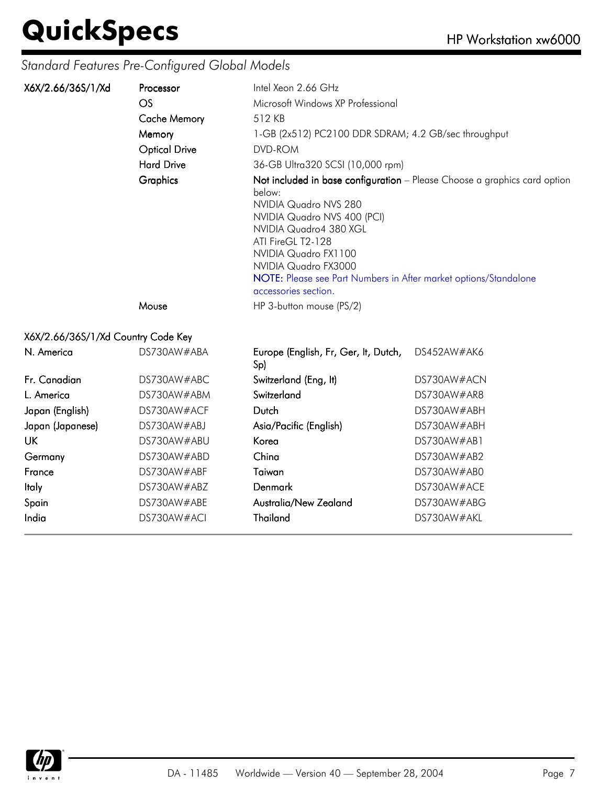#### *Standard Features Pre-Configured Global Models*

| X6X/2.66/36S/1/Xd                  | Processor<br>OS      | Intel Xeon 2.66 GHz<br>Microsoft Windows XP Professional                                                                                                                                                                                                  |                                                                           |  |
|------------------------------------|----------------------|-----------------------------------------------------------------------------------------------------------------------------------------------------------------------------------------------------------------------------------------------------------|---------------------------------------------------------------------------|--|
|                                    | <b>Cache Memory</b>  | 512 KB                                                                                                                                                                                                                                                    |                                                                           |  |
|                                    | Memory               | 1-GB (2x512) PC2100 DDR SDRAM; 4.2 GB/sec throughput                                                                                                                                                                                                      |                                                                           |  |
|                                    | <b>Optical Drive</b> | DVD-ROM                                                                                                                                                                                                                                                   |                                                                           |  |
|                                    | <b>Hard Drive</b>    | 36-GB Ultra320 SCSI (10,000 rpm)                                                                                                                                                                                                                          |                                                                           |  |
|                                    | Graphics             | below:<br>NVIDIA Quadro NVS 280<br>NVIDIA Quadro NVS 400 (PCI)<br>NVIDIA Quadro4 380 XGL<br>ATI FireGL T2-128<br>NVIDIA Quadro FX1100<br>NVIDIA Quadro FX3000<br>NOTE: Please see Part Numbers in After market options/Standalone<br>accessories section. | Not included in base configuration - Please Choose a graphics card option |  |
|                                    | Mouse                | HP 3-button mouse (PS/2)                                                                                                                                                                                                                                  |                                                                           |  |
| X6X/2.66/36S/1/Xd Country Code Key |                      |                                                                                                                                                                                                                                                           |                                                                           |  |
| N. America                         | DS730AW#ABA          | Europe (English, Fr, Ger, It, Dutch,<br>Sp)                                                                                                                                                                                                               | DS452AW#AK6                                                               |  |
| Fr. Canadian                       | DS730AW#ABC          | Switzerland (Eng, It)                                                                                                                                                                                                                                     | DS730AW#ACN                                                               |  |
| L. America                         | DS730AW#ABM          | Switzerland                                                                                                                                                                                                                                               | DS730AW#AR8                                                               |  |
| Japan (English)                    | DS730AW#ACF          | Dutch                                                                                                                                                                                                                                                     | DS730AW#ABH                                                               |  |
| Japan (Japanese)                   | DS730AW#ABJ          | Asia/Pacific (English)                                                                                                                                                                                                                                    | DS730AW#ABH                                                               |  |
| UK.                                | DS730AW#ABU          | Korea                                                                                                                                                                                                                                                     | DS730AW#AB1                                                               |  |
| Germany                            | DS730AW#ABD          | China                                                                                                                                                                                                                                                     | DS730AW#AB2                                                               |  |
| France                             | DS730AW#ABF          | Taiwan                                                                                                                                                                                                                                                    | DS730AW#AB0                                                               |  |

Italy DS730AW#ABZ Denmark DS730AW#ACE Spain DS730AW#ABE Australia/New Zealand DS730AW#ABG India DS730AW#ACI Thailand DS730AW#AKL

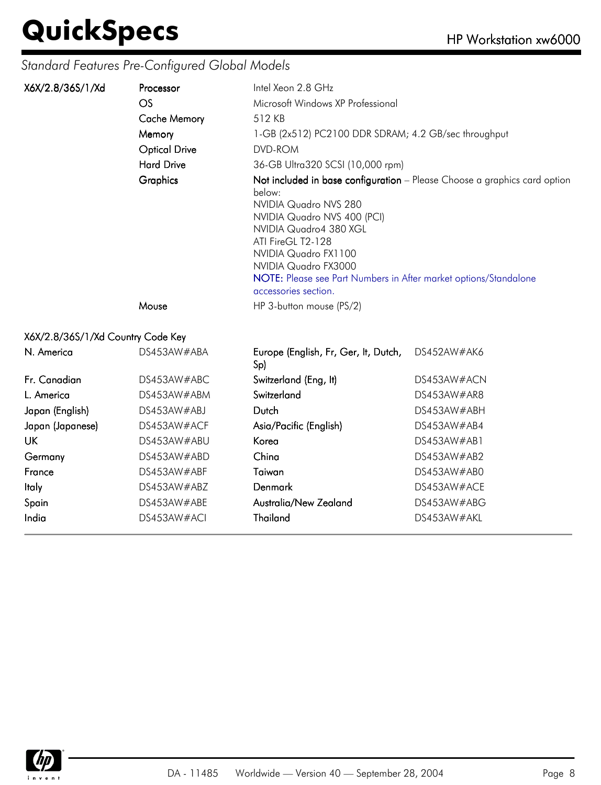#### *Standard Features Pre-Configured Global Models*

| X6X/2.8/36S/1/Xd                  | Processor            | Intel Xeon 2.8 GHz                                                                                                                                                                                                                                               |                                                                           |  |
|-----------------------------------|----------------------|------------------------------------------------------------------------------------------------------------------------------------------------------------------------------------------------------------------------------------------------------------------|---------------------------------------------------------------------------|--|
|                                   | OS                   | Microsoft Windows XP Professional                                                                                                                                                                                                                                |                                                                           |  |
|                                   | <b>Cache Memory</b>  | 512 KB                                                                                                                                                                                                                                                           |                                                                           |  |
|                                   | Memory               | 1-GB (2x512) PC2100 DDR SDRAM; 4.2 GB/sec throughput                                                                                                                                                                                                             |                                                                           |  |
|                                   | <b>Optical Drive</b> | DVD-ROM                                                                                                                                                                                                                                                          |                                                                           |  |
|                                   | <b>Hard Drive</b>    | 36-GB Ultra320 SCSI (10,000 rpm)                                                                                                                                                                                                                                 |                                                                           |  |
|                                   | <b>Graphics</b>      | below:<br>NVIDIA Quadro NVS 280<br>NVIDIA Quadro NVS 400 (PCI)<br>NVIDIA Quadro4 380 XGL<br>ATI FireGL T2-128<br>NVIDIA Quadro FX1100<br>NVIDIA Quadro FX3000<br><b>NOTE:</b> Please see Part Numbers in After market options/Standalone<br>accessories section. | Not included in base configuration - Please Choose a graphics card option |  |
|                                   | Mouse                | HP 3-button mouse (PS/2)                                                                                                                                                                                                                                         |                                                                           |  |
| X6X/2.8/36S/1/Xd Country Code Key |                      |                                                                                                                                                                                                                                                                  |                                                                           |  |
| N. America                        | DS453AW#ABA          | Europe (English, Fr, Ger, It, Dutch,<br>Sp)                                                                                                                                                                                                                      | DS452AW#AK6                                                               |  |
| Fr. Canadian                      | DS453AW#ABC          | Switzerland (Eng, It)                                                                                                                                                                                                                                            | DS453AW#ACN                                                               |  |
| $\mathsf{l}$ American             | DCAB2A114AD11        |                                                                                                                                                                                                                                                                  | DCAB2AN14AD0                                                              |  |

| L. America       | DS453AW#ABM | Switzerland            | DS453AW#AR8 |
|------------------|-------------|------------------------|-------------|
| Japan (English)  | DS453AW#ABJ | Dutch                  | DS453AW#ABH |
| Japan (Japanese) | DS453AW#ACF | Asia/Pacific (English) | DS453AW#AB4 |
| UK               | DS453AW#ABU | Korea                  | DS453AW#AB1 |
| Germany          | DS453AW#ABD | China                  | DS453AW#AB2 |
| France           | DS453AW#ABF | Taiwan                 | DS453AW#ABC |
| <b>Italy</b>     | DS453AW#ABZ | Denmark                | DS453AW#ACI |
| Spain            | DS453AW#ABE | Australia/New Zealand  | DS453AW#ABC |
| India            | DS453AW#ACI | Thailand               | DS453AW#AKL |
|                  |             |                        |             |

| N. America       | DS453AW#ABA | Europe (English, Fr, Ger, It, Dutch,<br>Sp) | DS452AW#AK6 |
|------------------|-------------|---------------------------------------------|-------------|
| Fr. Canadian     | DS453AW#ABC | Switzerland (Eng, It)                       | DS453AW#ACN |
| L. America       | DS453AW#ABM | Switzerland                                 | DS453AW#AR8 |
| Japan (English)  | DS453AW#ABJ | Dutch                                       | DS453AW#ABH |
| Japan (Japanese) | DS453AW#ACF | Asia/Pacific (English)                      | DS453AW#AB4 |
| UK               | DS453AW#ABU | Korea                                       | DS453AW#AB1 |
| Germany          | DS453AW#ABD | China                                       | DS453AW#AB2 |
| France           | DS453AW#ABF | Taiwan                                      | DS453AW#AB0 |
| ltaly            | DS453AW#ABZ | <b>Denmark</b>                              | DS453AW#ACE |
| Spain            | DS453AW#ABE | Australia/New Zealand                       | DS453AW#ABG |
| India            | DS453AW#ACI | Thailand                                    | DS453AW#AKL |

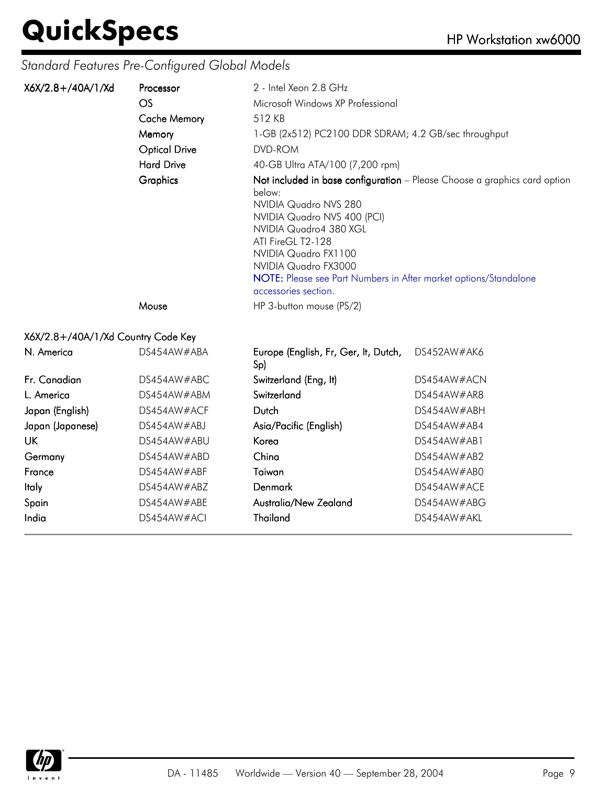#### *Standard Features Pre-Configured Global Models*

| X6X/2.8+/40A/1/Xd                  | Processor            | 2 - Intel Xeon 2.8 GHz                                                                                                                                                                                                                                                                                                                 |             |  |
|------------------------------------|----------------------|----------------------------------------------------------------------------------------------------------------------------------------------------------------------------------------------------------------------------------------------------------------------------------------------------------------------------------------|-------------|--|
|                                    | OS                   | Microsoft Windows XP Professional                                                                                                                                                                                                                                                                                                      |             |  |
|                                    | <b>Cache Memory</b>  | 512 KB                                                                                                                                                                                                                                                                                                                                 |             |  |
|                                    | Memory               | 1-GB (2x512) PC2100 DDR SDRAM; 4.2 GB/sec throughput                                                                                                                                                                                                                                                                                   |             |  |
|                                    | <b>Optical Drive</b> | DVD-ROM                                                                                                                                                                                                                                                                                                                                |             |  |
|                                    | <b>Hard Drive</b>    | 40-GB Ultra ATA/100 (7,200 rpm)                                                                                                                                                                                                                                                                                                        |             |  |
|                                    | Graphics             | Not included in base configuration - Please Choose a graphics card option<br>below:<br>NVIDIA Quadro NVS 280<br>NVIDIA Quadro NVS 400 (PCI)<br>NVIDIA Quadro4 380 XGL<br>ATI FireGL T2-128<br>NVIDIA Quadro FX1100<br>NVIDIA Quadro FX3000<br>NOTE: Please see Part Numbers in After market options/Standalone<br>accessories section. |             |  |
|                                    | Mouse                | HP 3-button mouse (PS/2)                                                                                                                                                                                                                                                                                                               |             |  |
| X6X/2.8+/40A/1/Xd Country Code Key |                      |                                                                                                                                                                                                                                                                                                                                        |             |  |
| N. America                         | DS454AW#ABA          | Europe (English, Fr, Ger, It, Dutch,<br>Sp)                                                                                                                                                                                                                                                                                            | DS452AW#AK6 |  |
| Fr. Canadian                       | DS454AW#ABC          | Switzerland (Eng, It)                                                                                                                                                                                                                                                                                                                  | DS454AW#ACN |  |
| L. America                         | DS454AW#ABM          | Switzerland                                                                                                                                                                                                                                                                                                                            | DS454AW#AR8 |  |
| Japan (English)                    | DS454AW#ACF          | Dutch                                                                                                                                                                                                                                                                                                                                  | DS454AW#ABH |  |
| Japan (Japanese)                   | DS454AW#ABJ          | Asia/Pacific (English)                                                                                                                                                                                                                                                                                                                 | DS454AW#AB4 |  |
| UK.                                | DS454AW#ABU          | Korea                                                                                                                                                                                                                                                                                                                                  | DS454AW#AB1 |  |
| Germany                            | DS454AW#ABD          | China                                                                                                                                                                                                                                                                                                                                  | DS454AW#AB2 |  |
| France                             | DS454AW#ABF          | Taiwan                                                                                                                                                                                                                                                                                                                                 | DS454AW#AB0 |  |
| ltaly                              | DS454AW#ABZ          | Denmark                                                                                                                                                                                                                                                                                                                                | DS454AW#ACE |  |

Spain both DS454AW#ABE Australia/New Zealand DS454AW#ABG India DS454AW#ACI Thailand DS454AW#AKL

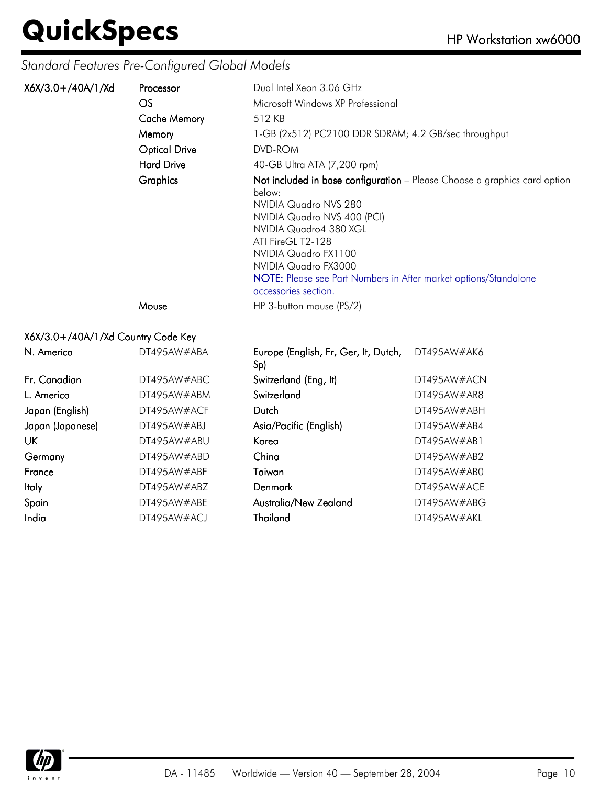#### *Standard Features Pre-Configured Global Models*

| X6X/3.0+/40A/1/Xd                  | Processor            | Dual Intel Xeon 3.06 GHz                                                                                                                                                                                                                                  |                                                                           |
|------------------------------------|----------------------|-----------------------------------------------------------------------------------------------------------------------------------------------------------------------------------------------------------------------------------------------------------|---------------------------------------------------------------------------|
|                                    | OS.                  | Microsoft Windows XP Professional                                                                                                                                                                                                                         |                                                                           |
|                                    | <b>Cache Memory</b>  | 512 KB                                                                                                                                                                                                                                                    |                                                                           |
|                                    | Memory               | 1-GB (2x512) PC2100 DDR SDRAM; 4.2 GB/sec throughput                                                                                                                                                                                                      |                                                                           |
|                                    | <b>Optical Drive</b> | DVD-ROM                                                                                                                                                                                                                                                   |                                                                           |
|                                    | <b>Hard Drive</b>    | 40-GB Ultra ATA (7,200 rpm)                                                                                                                                                                                                                               |                                                                           |
|                                    | <b>Graphics</b>      | below:<br>NVIDIA Quadro NVS 280<br>NVIDIA Quadro NVS 400 (PCI)<br>NVIDIA Quadro4 380 XGL<br>ATI FireGL T2-128<br>NVIDIA Quadro FX1100<br>NVIDIA Quadro FX3000<br>NOTE: Please see Part Numbers in After market options/Standalone<br>accessories section. | Not included in base configuration - Please Choose a graphics card option |
|                                    | Mouse                | HP 3-button mouse (PS/2)                                                                                                                                                                                                                                  |                                                                           |
| X6X/3.0+/40A/1/Xd Country Code Key |                      |                                                                                                                                                                                                                                                           |                                                                           |
| N. America                         | DT495AW#ABA          | Europe (English, Fr, Ger, It, Dutch, DT495AW#AK6<br>Sp)                                                                                                                                                                                                   |                                                                           |
|                                    | DT AOLE A VUIL A D C | $\mathsf{C}$ , the set $\mathsf{C}$ and $\mathsf{C}$ and $\mathsf{C}$ and $\mathsf{C}$                                                                                                                                                                    | DT AOLEA1111 A121                                                         |

| Fr. Canadian     | DT495AW#ABC |
|------------------|-------------|
| l America        | DT495AW#ABN |
| Japan (English)  | DT495AW#ACF |
| Japan (Japanese) | DT495AW#ABJ |
| UK               | DT495AW#ABU |
| Germany          | DT495AW#ABD |
| <b>France</b>    | DT495AW#ABF |
| ltaly            | DT495AW#ABZ |
| Spain            | DT495AW#ABE |
| India            | DT495AW#ACJ |
|                  |             |

| N. America       | DT495AW#ABA | Europe (English, Fr, Ger, It, Dutch,<br>Sp) | DT495AW#AK6 |
|------------------|-------------|---------------------------------------------|-------------|
| Fr. Canadian     | DT495AW#ABC | Switzerland (Eng, It)                       | DT495AW#ACN |
| L. America       | DT495AW#ABM | Switzerland                                 | DT495AW#AR8 |
| Japan (English)  | DT495AW#ACF | Dutch                                       | DT495AW#ABH |
| Japan (Japanese) | DT495AW#ABJ | Asia/Pacific (English)                      | DT495AW#AB4 |
| UK               | DT495AW#ABU | Korea                                       | DT495AW#AB1 |
| Germany          | DT495AW#ABD | China                                       | DT495AW#AB2 |
| France           | DT495AW#ABF | Taiwan                                      | DT495AW#AB0 |
| ltaly            | DT495AW#ABZ | Denmark                                     | DT495AW#ACE |
| Spain            | DT495AW#ABE | Australia/New Zealand                       | DT495AW#ABG |
| India            | DT495AW#ACJ | Thailand                                    | DT495AW#AKL |

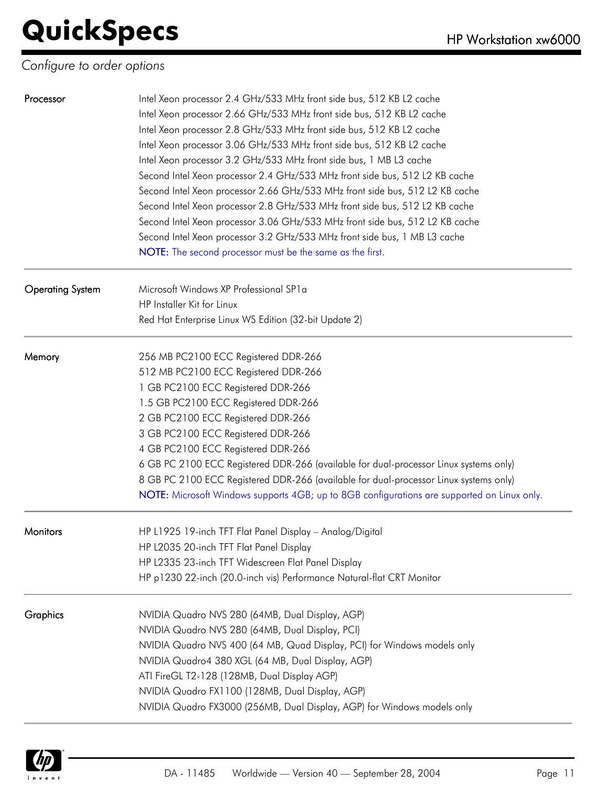#### *Configure to order options*

| Processor               | Intel Xeon processor 2.4 GHz/533 MHz front side bus, 512 KB L2 cache<br>Intel Xeon processor 2.66 GHz/533 MHz front side bus, 512 KB L2 cache<br>Intel Xeon processor 2.8 GHz/533 MHz front side bus, 512 KB L2 cache<br>Intel Xeon processor 3.06 GHz/533 MHz front side bus, 512 KB L2 cache<br>Intel Xeon processor 3.2 GHz/533 MHz front side bus, 1 MB L3 cache<br>Second Intel Xeon processor 2.4 GHz/533 MHz front side bus, 512 L2 KB cache<br>Second Intel Xeon processor 2.66 GHz/533 MHz front side bus, 512 L2 KB cache<br>Second Intel Xeon processor 2.8 GHz/533 MHz front side bus, 512 L2 KB cache<br>Second Intel Xeon processor 3.06 GHz/533 MHz front side bus, 512 L2 KB cache<br>Second Intel Xeon processor 3.2 GHz/533 MHz front side bus, 1 MB L3 cache |
|-------------------------|---------------------------------------------------------------------------------------------------------------------------------------------------------------------------------------------------------------------------------------------------------------------------------------------------------------------------------------------------------------------------------------------------------------------------------------------------------------------------------------------------------------------------------------------------------------------------------------------------------------------------------------------------------------------------------------------------------------------------------------------------------------------------------|
|                         | NOTE: The second processor must be the same as the first.                                                                                                                                                                                                                                                                                                                                                                                                                                                                                                                                                                                                                                                                                                                       |
| <b>Operating System</b> | Microsoft Windows XP Professional SP1a<br>HP Installer Kit for Linux<br>Red Hat Enterprise Linux WS Edition (32-bit Update 2)                                                                                                                                                                                                                                                                                                                                                                                                                                                                                                                                                                                                                                                   |
| Memory                  | 256 MB PC2100 ECC Registered DDR-266<br>512 MB PC2100 ECC Registered DDR-266<br>1 GB PC2100 ECC Registered DDR-266<br>1.5 GB PC2100 ECC Registered DDR-266<br>2 GB PC2100 ECC Registered DDR-266<br>3 GB PC2100 ECC Registered DDR-266<br>4 GB PC2100 ECC Registered DDR-266<br>6 GB PC 2100 ECC Registered DDR-266 (available for dual-processor Linux systems only)<br>8 GB PC 2100 ECC Registered DDR-266 (available for dual-processor Linux systems only)<br>NOTE: Microsoft Windows supports 4GB; up to 8GB configurations are supported on Linux only.                                                                                                                                                                                                                   |
| Monitors                | HP L1925 19-inch TFT Flat Panel Display - Analog/Digital<br>HP L2035 20-inch TFT Flat Panel Display<br>HP L2335 23-inch TFT Widescreen Flat Panel Display<br>HP p1230 22-inch (20.0-inch vis) Performance Natural-flat CRT Monitor                                                                                                                                                                                                                                                                                                                                                                                                                                                                                                                                              |
| <b>Graphics</b>         | NVIDIA Quadro NVS 280 (64MB, Dual Display, AGP)<br>NVIDIA Quadro NVS 280 (64MB, Dual Display, PCI)<br>NVIDIA Quadro NVS 400 (64 MB, Quad Display, PCI) for Windows models only<br>NVIDIA Quadro4 380 XGL (64 MB, Dual Display, AGP)<br>ATI FireGL T2-128 (128MB, Dual Display AGP)<br>NVIDIA Quadro FX1100 (128MB, Dual Display, AGP)<br>NVIDIA Quadro FX3000 (256MB, Dual Display, AGP) for Windows models only                                                                                                                                                                                                                                                                                                                                                                |

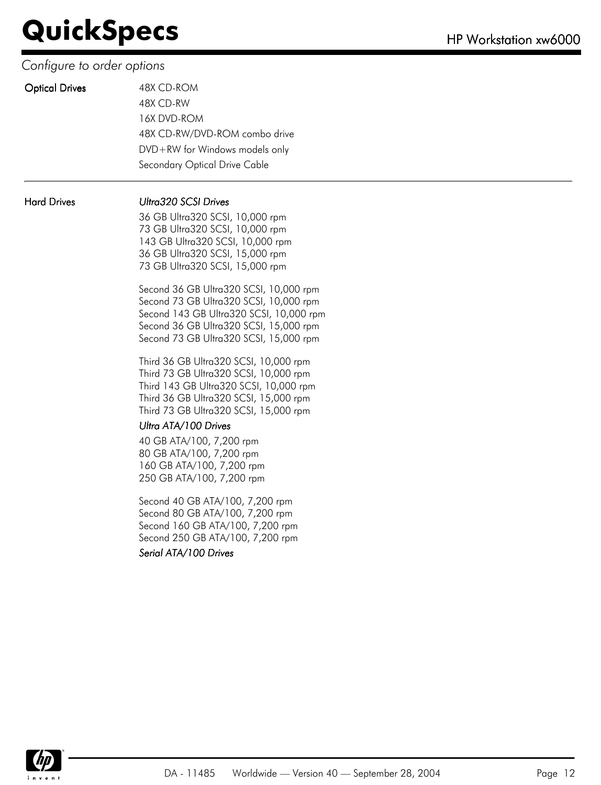#### *Configure to order options*

|  | <b>Optical Drive</b> |
|--|----------------------|
|  |                      |

| <b>Optical Drives</b> | 48X CD-ROM                         |
|-----------------------|------------------------------------|
|                       | 48X CD-RW                          |
|                       | 16X DVD-ROM                        |
|                       | 48X CD-RW/DVD-ROM combo drive      |
|                       | $DVD + RW$ for Windows models only |
|                       | Secondary Optical Drive Cable      |

#### Hard Drives Ultra320 SCSI Drives

36 GB Ultra320 SCSI, 10,000 rpm 73 GB Ultra320 SCSI, 10,000 rpm 143 GB Ultra320 SCSI, 10,000 rpm 36 GB Ultra320 SCSI, 15,000 rpm 73 GB Ultra320 SCSI, 15,000 rpm

Second 36 GB Ultra320 SCSI, 10,000 rpm Second 73 GB Ultra320 SCSI, 10,000 rpm Second 143 GB Ultra320 SCSI, 10,000 rpm Second 36 GB Ultra320 SCSI, 15,000 rpm Second 73 GB Ultra320 SCSI, 15,000 rpm

Third 36 GB Ultra320 SCSI, 10,000 rpm Third 73 GB Ultra320 SCSI, 10,000 rpm Third 143 GB Ultra320 SCSI, 10,000 rpm Third 36 GB Ultra320 SCSI, 15,000 rpm Third 73 GB Ultra320 SCSI, 15,000 rpm

#### Ultra ATA/100 Drives

40 GB ATA/100, 7,200 rpm 80 GB ATA/100, 7,200 rpm 160 GB ATA/100, 7,200 rpm 250 GB ATA/100, 7,200 rpm

Second 40 GB ATA/100, 7,200 rpm Second 80 GB ATA/100, 7,200 rpm Second 160 GB ATA/100, 7,200 rpm Second 250 GB ATA/100, 7,200 rpm

Serial ATA/100 Drives

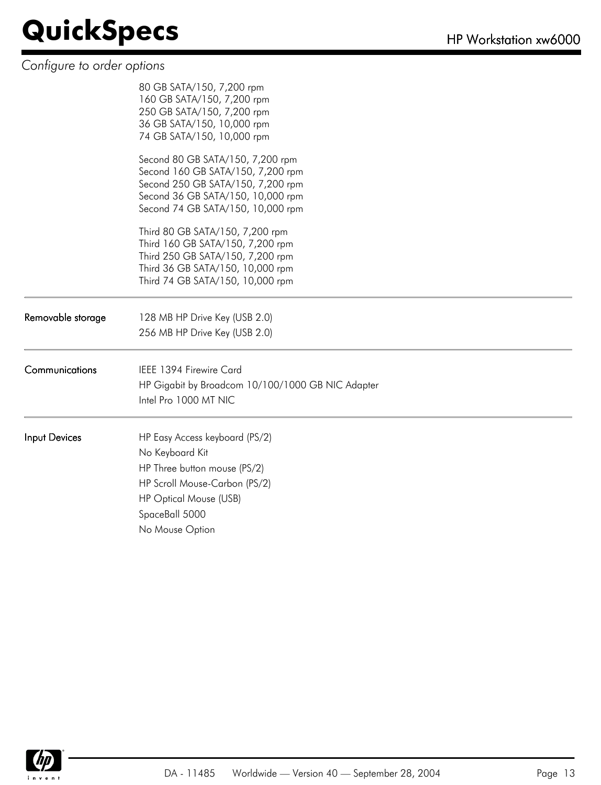#### *Configure to order options*

| 160 GB SATA/150, 7,200 rpm<br>250 GB SATA/150, 7,200 rpm<br>36 GB SATA/150, 10,000 rpm<br>74 GB SATA/150, 10,000 rpm                                                                 |
|--------------------------------------------------------------------------------------------------------------------------------------------------------------------------------------|
| Second 80 GB SATA/150, 7,200 rpm<br>Second 160 GB SATA/150, 7,200 rpm<br>Second 250 GB SATA/150, 7,200 rpm<br>Second 36 GB SATA/150, 10,000 rpm<br>Second 74 GB SATA/150, 10,000 rpm |
| Third 80 GB SATA/150, 7,200 rpm<br>Third 160 GB SATA/150, 7,200 rpm<br>Third 250 GB SATA/150, 7,200 rpm<br>Third 36 GB SATA/150, 10,000 rpm<br>Third 74 GB SATA/150, 10,000 rpm      |
| 128 MB HP Drive Key (USB 2.0)<br>256 MB HP Drive Key (USB 2.0)                                                                                                                       |
| IEEE 1394 Firewire Card<br>HP Gigabit by Broadcom 10/100/1000 GB NIC Adapter<br>Intel Pro 1000 MT NIC                                                                                |
| HP Easy Access keyboard (PS/2)<br>No Keyboard Kit<br>HP Three button mouse (PS/2)<br>HP Scroll Mouse-Carbon (PS/2)<br>HP Optical Mouse (USB)<br>SpaceBall 5000<br>No Mouse Option    |
|                                                                                                                                                                                      |

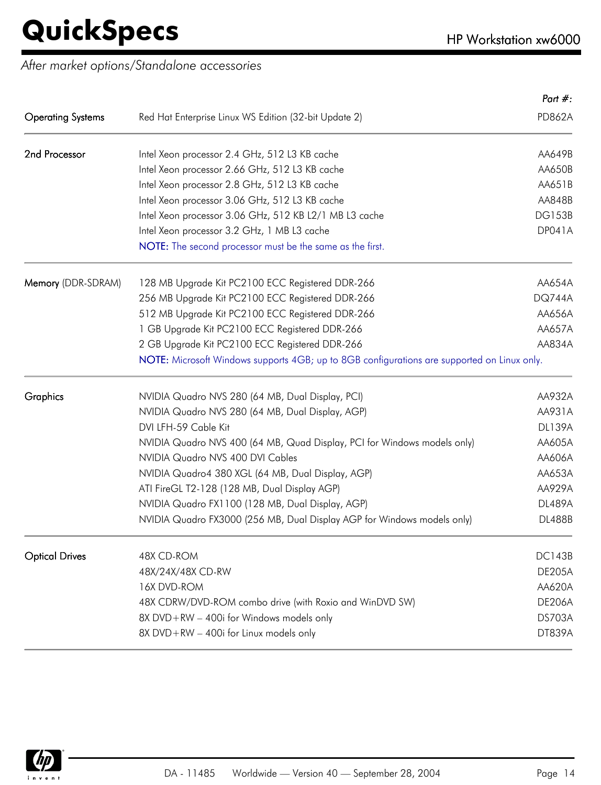*After market options/Standalone accessories*

| <b>Operating Systems</b><br>Red Hat Enterprise Linux WS Edition (32-bit Update 2)<br>2nd Processor<br>Intel Xeon processor 2.4 GHz, 512 L3 KB cache<br>Intel Xeon processor 2.66 GHz, 512 L3 KB cache<br>Intel Xeon processor 2.8 GHz, 512 L3 KB cache<br>Intel Xeon processor 3.06 GHz, 512 L3 KB cache<br>Intel Xeon processor 3.06 GHz, 512 KB L2/1 MB L3 cache<br>Intel Xeon processor 3.2 GHz, 1 MB L3 cache<br>NOTE: The second processor must be the same as the first.<br>Memory (DDR-SDRAM)<br>128 MB Upgrade Kit PC2100 ECC Registered DDR-266<br>256 MB Upgrade Kit PC2100 ECC Registered DDR-266<br>512 MB Upgrade Kit PC2100 ECC Registered DDR-266<br>1 GB Upgrade Kit PC2100 ECC Registered DDR-266<br>2 GB Upgrade Kit PC2100 ECC Registered DDR-266<br>NOTE: Microsoft Windows supports 4GB; up to 8GB configurations are supported on Linux only.<br>Graphics<br>NVIDIA Quadro NVS 280 (64 MB, Dual Display, PCI)<br>NVIDIA Quadro NVS 280 (64 MB, Dual Display, AGP)<br>DVI LFH-59 Cable Kit<br>NVIDIA Quadro NVS 400 (64 MB, Quad Display, PCI for Windows models only)<br>NVIDIA Quadro NVS 400 DVI Cables<br>NVIDIA Quadro4 380 XGL (64 MB, Dual Display, AGP)<br>ATI FireGL T2-128 (128 MB, Dual Display AGP)<br>NVIDIA Quadro FX1100 (128 MB, Dual Display, AGP)<br>NVIDIA Quadro FX3000 (256 MB, Dual Display AGP for Windows models only)<br><b>Optical Drives</b><br>48X CD-ROM<br>48X/24X/48X CD-RW<br>16X DVD-ROM<br>48X CDRW/DVD-ROM combo drive (with Roxio and WinDVD SW)<br>8X DVD+RW - 400i for Windows models only<br>8X DVD+RW - 400i for Linux models only |  | Part $#$ :    |
|-------------------------------------------------------------------------------------------------------------------------------------------------------------------------------------------------------------------------------------------------------------------------------------------------------------------------------------------------------------------------------------------------------------------------------------------------------------------------------------------------------------------------------------------------------------------------------------------------------------------------------------------------------------------------------------------------------------------------------------------------------------------------------------------------------------------------------------------------------------------------------------------------------------------------------------------------------------------------------------------------------------------------------------------------------------------------------------------------------------------------------------------------------------------------------------------------------------------------------------------------------------------------------------------------------------------------------------------------------------------------------------------------------------------------------------------------------------------------------------------------------------------------------------------------------------------------------------------------|--|---------------|
| AA650B<br>AA651B<br>AA848B<br>AA834A<br><b>DL139A</b><br>AA605A<br>AA653A<br>AA929A<br><b>DL488B</b>                                                                                                                                                                                                                                                                                                                                                                                                                                                                                                                                                                                                                                                                                                                                                                                                                                                                                                                                                                                                                                                                                                                                                                                                                                                                                                                                                                                                                                                                                            |  | <b>PD862A</b> |
|                                                                                                                                                                                                                                                                                                                                                                                                                                                                                                                                                                                                                                                                                                                                                                                                                                                                                                                                                                                                                                                                                                                                                                                                                                                                                                                                                                                                                                                                                                                                                                                                 |  | AA649B        |
|                                                                                                                                                                                                                                                                                                                                                                                                                                                                                                                                                                                                                                                                                                                                                                                                                                                                                                                                                                                                                                                                                                                                                                                                                                                                                                                                                                                                                                                                                                                                                                                                 |  |               |
|                                                                                                                                                                                                                                                                                                                                                                                                                                                                                                                                                                                                                                                                                                                                                                                                                                                                                                                                                                                                                                                                                                                                                                                                                                                                                                                                                                                                                                                                                                                                                                                                 |  |               |
|                                                                                                                                                                                                                                                                                                                                                                                                                                                                                                                                                                                                                                                                                                                                                                                                                                                                                                                                                                                                                                                                                                                                                                                                                                                                                                                                                                                                                                                                                                                                                                                                 |  |               |
| <b>DP041A</b><br>AA654A<br><b>DQ744A</b><br>AA656A<br>AA657A<br>AA932A<br>AA931A<br>AA606A<br><b>DL489A</b><br><b>DC143B</b><br><b>DE205A</b><br>AA620A<br><b>DE206A</b><br><b>DS703A</b><br>DT839A                                                                                                                                                                                                                                                                                                                                                                                                                                                                                                                                                                                                                                                                                                                                                                                                                                                                                                                                                                                                                                                                                                                                                                                                                                                                                                                                                                                             |  | <b>DG153B</b> |
|                                                                                                                                                                                                                                                                                                                                                                                                                                                                                                                                                                                                                                                                                                                                                                                                                                                                                                                                                                                                                                                                                                                                                                                                                                                                                                                                                                                                                                                                                                                                                                                                 |  |               |
|                                                                                                                                                                                                                                                                                                                                                                                                                                                                                                                                                                                                                                                                                                                                                                                                                                                                                                                                                                                                                                                                                                                                                                                                                                                                                                                                                                                                                                                                                                                                                                                                 |  |               |
|                                                                                                                                                                                                                                                                                                                                                                                                                                                                                                                                                                                                                                                                                                                                                                                                                                                                                                                                                                                                                                                                                                                                                                                                                                                                                                                                                                                                                                                                                                                                                                                                 |  |               |
|                                                                                                                                                                                                                                                                                                                                                                                                                                                                                                                                                                                                                                                                                                                                                                                                                                                                                                                                                                                                                                                                                                                                                                                                                                                                                                                                                                                                                                                                                                                                                                                                 |  |               |
|                                                                                                                                                                                                                                                                                                                                                                                                                                                                                                                                                                                                                                                                                                                                                                                                                                                                                                                                                                                                                                                                                                                                                                                                                                                                                                                                                                                                                                                                                                                                                                                                 |  |               |
|                                                                                                                                                                                                                                                                                                                                                                                                                                                                                                                                                                                                                                                                                                                                                                                                                                                                                                                                                                                                                                                                                                                                                                                                                                                                                                                                                                                                                                                                                                                                                                                                 |  |               |
|                                                                                                                                                                                                                                                                                                                                                                                                                                                                                                                                                                                                                                                                                                                                                                                                                                                                                                                                                                                                                                                                                                                                                                                                                                                                                                                                                                                                                                                                                                                                                                                                 |  |               |
|                                                                                                                                                                                                                                                                                                                                                                                                                                                                                                                                                                                                                                                                                                                                                                                                                                                                                                                                                                                                                                                                                                                                                                                                                                                                                                                                                                                                                                                                                                                                                                                                 |  |               |
|                                                                                                                                                                                                                                                                                                                                                                                                                                                                                                                                                                                                                                                                                                                                                                                                                                                                                                                                                                                                                                                                                                                                                                                                                                                                                                                                                                                                                                                                                                                                                                                                 |  |               |
|                                                                                                                                                                                                                                                                                                                                                                                                                                                                                                                                                                                                                                                                                                                                                                                                                                                                                                                                                                                                                                                                                                                                                                                                                                                                                                                                                                                                                                                                                                                                                                                                 |  |               |
|                                                                                                                                                                                                                                                                                                                                                                                                                                                                                                                                                                                                                                                                                                                                                                                                                                                                                                                                                                                                                                                                                                                                                                                                                                                                                                                                                                                                                                                                                                                                                                                                 |  |               |
|                                                                                                                                                                                                                                                                                                                                                                                                                                                                                                                                                                                                                                                                                                                                                                                                                                                                                                                                                                                                                                                                                                                                                                                                                                                                                                                                                                                                                                                                                                                                                                                                 |  |               |
|                                                                                                                                                                                                                                                                                                                                                                                                                                                                                                                                                                                                                                                                                                                                                                                                                                                                                                                                                                                                                                                                                                                                                                                                                                                                                                                                                                                                                                                                                                                                                                                                 |  |               |
|                                                                                                                                                                                                                                                                                                                                                                                                                                                                                                                                                                                                                                                                                                                                                                                                                                                                                                                                                                                                                                                                                                                                                                                                                                                                                                                                                                                                                                                                                                                                                                                                 |  |               |
|                                                                                                                                                                                                                                                                                                                                                                                                                                                                                                                                                                                                                                                                                                                                                                                                                                                                                                                                                                                                                                                                                                                                                                                                                                                                                                                                                                                                                                                                                                                                                                                                 |  |               |
|                                                                                                                                                                                                                                                                                                                                                                                                                                                                                                                                                                                                                                                                                                                                                                                                                                                                                                                                                                                                                                                                                                                                                                                                                                                                                                                                                                                                                                                                                                                                                                                                 |  |               |
|                                                                                                                                                                                                                                                                                                                                                                                                                                                                                                                                                                                                                                                                                                                                                                                                                                                                                                                                                                                                                                                                                                                                                                                                                                                                                                                                                                                                                                                                                                                                                                                                 |  |               |
|                                                                                                                                                                                                                                                                                                                                                                                                                                                                                                                                                                                                                                                                                                                                                                                                                                                                                                                                                                                                                                                                                                                                                                                                                                                                                                                                                                                                                                                                                                                                                                                                 |  |               |
|                                                                                                                                                                                                                                                                                                                                                                                                                                                                                                                                                                                                                                                                                                                                                                                                                                                                                                                                                                                                                                                                                                                                                                                                                                                                                                                                                                                                                                                                                                                                                                                                 |  |               |
|                                                                                                                                                                                                                                                                                                                                                                                                                                                                                                                                                                                                                                                                                                                                                                                                                                                                                                                                                                                                                                                                                                                                                                                                                                                                                                                                                                                                                                                                                                                                                                                                 |  |               |
|                                                                                                                                                                                                                                                                                                                                                                                                                                                                                                                                                                                                                                                                                                                                                                                                                                                                                                                                                                                                                                                                                                                                                                                                                                                                                                                                                                                                                                                                                                                                                                                                 |  |               |
|                                                                                                                                                                                                                                                                                                                                                                                                                                                                                                                                                                                                                                                                                                                                                                                                                                                                                                                                                                                                                                                                                                                                                                                                                                                                                                                                                                                                                                                                                                                                                                                                 |  |               |
|                                                                                                                                                                                                                                                                                                                                                                                                                                                                                                                                                                                                                                                                                                                                                                                                                                                                                                                                                                                                                                                                                                                                                                                                                                                                                                                                                                                                                                                                                                                                                                                                 |  |               |

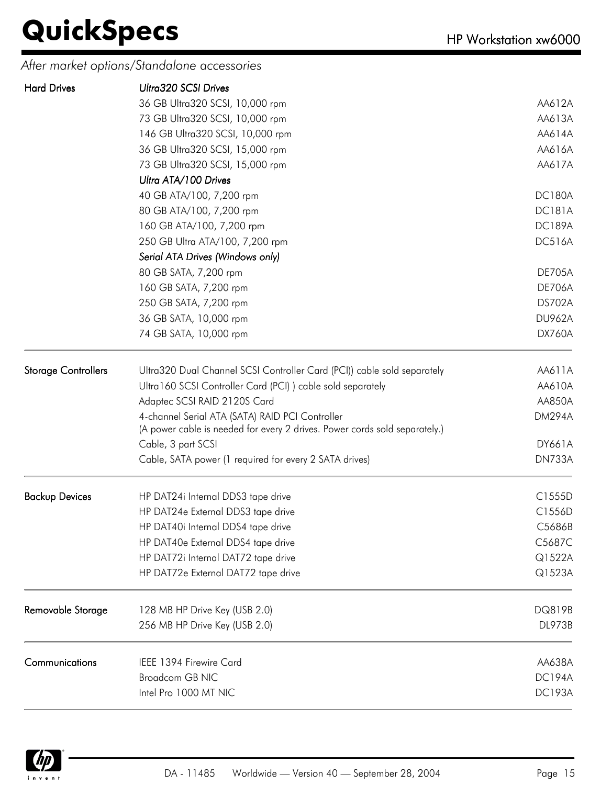*After market options/Standalone accessories*

| <b>Hard Drives</b>         | Ultra320 SCSI Drives                                                       |               |
|----------------------------|----------------------------------------------------------------------------|---------------|
|                            | 36 GB Ultra320 SCSI, 10,000 rpm                                            | AA612A        |
|                            | 73 GB Ultra320 SCSI, 10,000 rpm                                            | AA613A        |
|                            | 146 GB Ultra320 SCSI, 10,000 rpm                                           | AA614A        |
|                            | 36 GB Ultra320 SCSI, 15,000 rpm                                            | AA616A        |
|                            | 73 GB Ultra320 SCSI, 15,000 rpm                                            | AA617A        |
|                            | Ultra ATA/100 Drives                                                       |               |
|                            | 40 GB ATA/100, 7,200 rpm                                                   | <b>DC180A</b> |
|                            | 80 GB ATA/100, 7,200 rpm                                                   | <b>DC181A</b> |
|                            | 160 GB ATA/100, 7,200 rpm                                                  | <b>DC189A</b> |
|                            | 250 GB Ultra ATA/100, 7,200 rpm                                            | <b>DC516A</b> |
|                            | Serial ATA Drives (Windows only)                                           |               |
|                            | 80 GB SATA, 7,200 rpm                                                      | <b>DE705A</b> |
|                            | 160 GB SATA, 7,200 rpm                                                     | <b>DE706A</b> |
|                            | 250 GB SATA, 7,200 rpm                                                     | <b>DS702A</b> |
|                            | 36 GB SATA, 10,000 rpm                                                     | <b>DU962A</b> |
|                            | 74 GB SATA, 10,000 rpm                                                     | <b>DX760A</b> |
| <b>Storage Controllers</b> | Ultra320 Dual Channel SCSI Controller Card (PCI)) cable sold separately    | AA611A        |
|                            | Ultra160 SCSI Controller Card (PCI)) cable sold separately                 | AA610A        |
|                            | Adaptec SCSI RAID 2120S Card                                               | AA850A        |
|                            | 4-channel Serial ATA (SATA) RAID PCI Controller                            | <b>DM294A</b> |
|                            | (A power cable is needed for every 2 drives. Power cords sold separately.) |               |
|                            | Cable, 3 part SCSI                                                         | <b>DY661A</b> |
|                            | Cable, SATA power (1 required for every 2 SATA drives)                     | <b>DN733A</b> |
| <b>Backup Devices</b>      | HP DAT24i Internal DDS3 tape drive                                         | C1555D        |
|                            | HP DAT24e External DDS3 tape drive                                         | C1556D        |
|                            | HP DAT40i Internal DDS4 tape drive                                         | C5686B        |
|                            | HP DAT40e External DDS4 tape drive                                         | C5687C        |
|                            | HP DAT72i Internal DAT72 tape drive                                        | Q1522A        |
|                            | HP DAT72e External DAT72 tape drive                                        | Q1523A        |
| Removable Storage          | 128 MB HP Drive Key (USB 2.0)                                              | DQ819B        |
|                            | 256 MB HP Drive Key (USB 2.0)                                              | <b>DL973B</b> |
| Communications             | IEEE 1394 Firewire Card                                                    | AA638A        |
|                            | <b>Broadcom GB NIC</b>                                                     | <b>DC194A</b> |
|                            | Intel Pro 1000 MT NIC                                                      | <b>DC193A</b> |

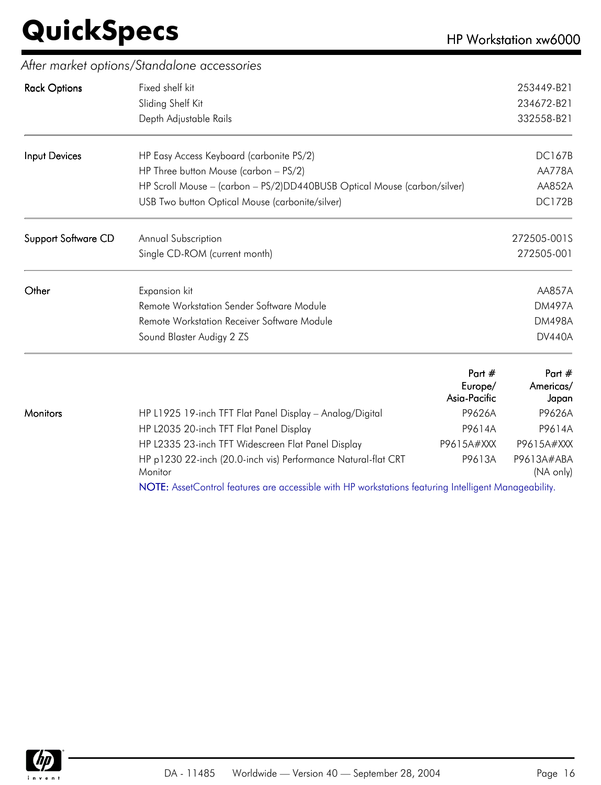|                            | After market options/Standalone accessories                              |               |
|----------------------------|--------------------------------------------------------------------------|---------------|
| <b>Rack Options</b>        | Fixed shelf kit                                                          | 253449-B21    |
|                            | Sliding Shelf Kit                                                        | 234672-B21    |
|                            | Depth Adjustable Rails                                                   | 332558-B21    |
| Input Devices              | HP Easy Access Keyboard (carbonite PS/2)                                 | <b>DC167B</b> |
|                            | HP Three button Mouse (carbon - PS/2)                                    | <b>AA778A</b> |
|                            | HP Scroll Mouse - (carbon - PS/2)DD440BUSB Optical Mouse (carbon/silver) | AA852A        |
|                            | USB Two button Optical Mouse (carbonite/silver)                          | <b>DC172B</b> |
| <b>Support Software CD</b> | Annual Subscription                                                      | 272505-001S   |
|                            | Single CD-ROM (current month)                                            | 272505-001    |
| Other                      | Expansion kit                                                            | <b>AA857A</b> |
|                            | Remote Workstation Sender Software Module                                | <b>DM497A</b> |
|                            | Remote Workstation Receiver Software Module                              | <b>DM498A</b> |
|                            | Sound Blaster Audigy 2 ZS                                                | <b>DV440A</b> |
|                            | Part $#$                                                                 | Part #        |

|          |                                                                                                      | Part $#$<br>Europe/<br>Asia-Pacific | Part $#$<br>Americas/<br>Japan |
|----------|------------------------------------------------------------------------------------------------------|-------------------------------------|--------------------------------|
| Monitors | HP L1925 19-inch TFT Flat Panel Display - Analog/Digital                                             | P9626A                              | P9626A                         |
|          | HP L2035 20-inch TFT Flat Panel Display                                                              | P9614A                              | P9614A                         |
|          | HP L2335 23-inch TFT Widescreen Flat Panel Display                                                   | P9615A#XXX                          | P9615A#XXX                     |
|          | HP p1230 22-inch (20.0-inch vis) Performance Natural-flat CRT<br>Monitor                             | P9613A                              | P9613A#ABA<br>(NA only)        |
|          | NOTE: AssetControl features are accessible with HP workstations featuring Intelligent Manageability. |                                     |                                |

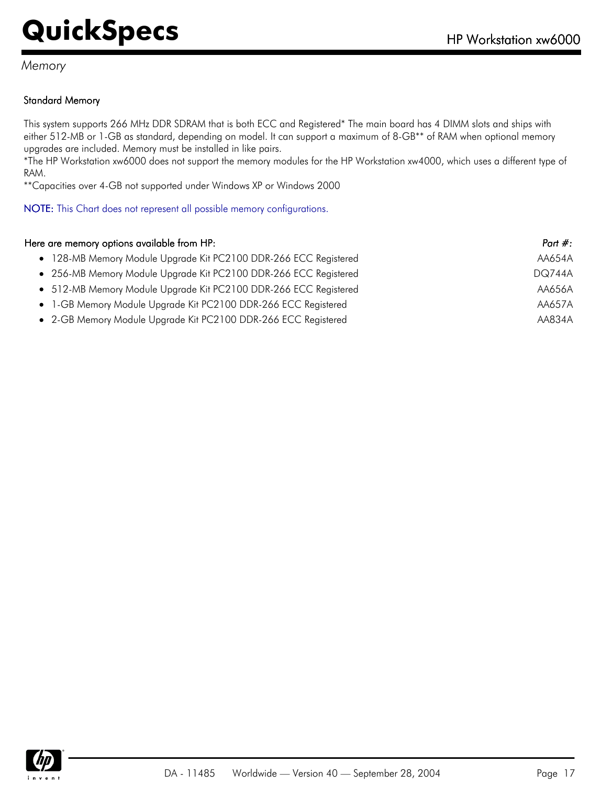#### *Memory*

#### Standard Memory

This system supports 266 MHz DDR SDRAM that is both ECC and Registered\* The main board has 4 DIMM slots and ships with either 512-MB or 1-GB as standard, depending on model. It can support a maximum of 8-GB\*\* of RAM when optional memory upgrades are included. Memory must be installed in like pairs.

\*The HP Workstation xw6000 does not support the memory modules for the HP Workstation xw4000, which uses a different type of RAM.

\*\*Capacities over 4-GB not supported under Windows XP or Windows 2000

NOTE: This Chart does not represent all possible memory configurations.

| Here are memory options available from HP:                       | Part $#$ :    |
|------------------------------------------------------------------|---------------|
| • 128-MB Memory Module Upgrade Kit PC2100 DDR-266 ECC Registered | AA654A        |
| • 256-MB Memory Module Upgrade Kit PC2100 DDR-266 ECC Registered | <b>DQ744A</b> |
| • 512-MB Memory Module Upgrade Kit PC2100 DDR-266 ECC Registered | AA656A        |
| • 1-GB Memory Module Upgrade Kit PC2100 DDR-266 ECC Registered   | AA657A        |
| • 2-GB Memory Module Upgrade Kit PC2100 DDR-266 ECC Registered   | AA834A        |

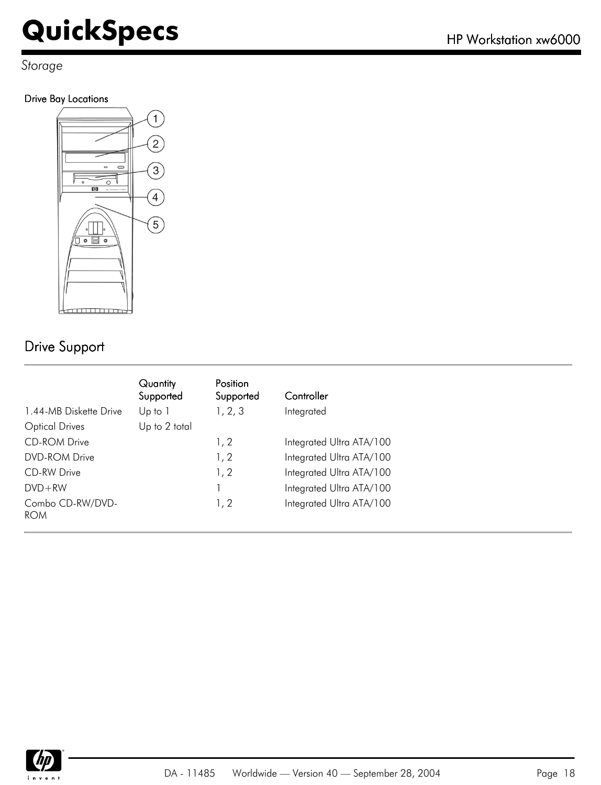*Storage*

#### Drive Bay Locations



#### Drive Support

|                                | Quantity<br>Supported | <b>Position</b><br>Supported | Controller               |
|--------------------------------|-----------------------|------------------------------|--------------------------|
| 1.44-MB Diskette Drive         | Up to 1               | 1, 2, 3                      | Integrated               |
| <b>Optical Drives</b>          | Up to 2 total         |                              |                          |
| <b>CD-ROM Drive</b>            |                       | 1, 2                         | Integrated Ultra ATA/100 |
| <b>DVD-ROM Drive</b>           |                       | 1, 2                         | Integrated Ultra ATA/100 |
| CD-RW Drive                    |                       | 1, 2                         | Integrated Ultra ATA/100 |
| $DVD + RW$                     |                       |                              | Integrated Ultra ATA/100 |
| Combo CD-RW/DVD-<br><b>ROM</b> |                       | 1, 2                         | Integrated Ultra ATA/100 |

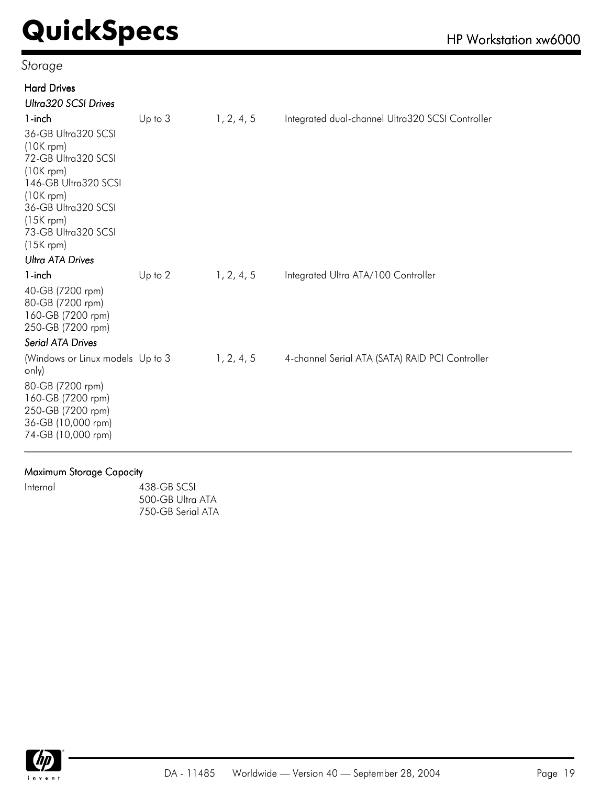#### *Storage*

| <b>Hard Drives</b>                                                                                                                                                                                                     |             |            |                                                  |
|------------------------------------------------------------------------------------------------------------------------------------------------------------------------------------------------------------------------|-------------|------------|--------------------------------------------------|
| Ultra320 SCSI Drives                                                                                                                                                                                                   |             |            |                                                  |
| 1-inch                                                                                                                                                                                                                 | $Up$ to $3$ | 1, 2, 4, 5 | Integrated dual-channel Ultra320 SCSI Controller |
| 36-GB Ultra320 SCSI<br>$(10K$ rpm)<br>72-GB Ultra320 SCSI<br>$(10K$ rpm)<br>146-GB Ultra320 SCSI<br>$(10K$ rpm)<br>36-GB Ultra320 SCSI<br>$(15K$ rpm)<br>73-GB Ultra320 SCSI<br>$(15K$ rpm)<br><b>Ultra ATA Drives</b> |             |            |                                                  |
| 1-inch                                                                                                                                                                                                                 | Up to $2$   | 1, 2, 4, 5 | Integrated Ultra ATA/100 Controller              |
| 40-GB (7200 rpm)<br>80-GB (7200 rpm)<br>160-GB (7200 rpm)<br>250-GB (7200 rpm)                                                                                                                                         |             |            |                                                  |
| <b>Serial ATA Drives</b>                                                                                                                                                                                               |             |            |                                                  |
| (Windows or Linux models Up to 3<br>only)                                                                                                                                                                              |             | 1, 2, 4, 5 | 4-channel Serial ATA (SATA) RAID PCI Controller  |
| 80-GB (7200 rpm)<br>160-GB (7200 rpm)<br>250-GB (7200 rpm)<br>36-GB (10,000 rpm)<br>74-GB (10,000 rpm)                                                                                                                 |             |            |                                                  |

#### Maximum Storage Capacity

| Internal | 438-GB SCSI       |
|----------|-------------------|
|          | 500-GB Ultra ATA  |
|          | 750-GB Serial ATA |

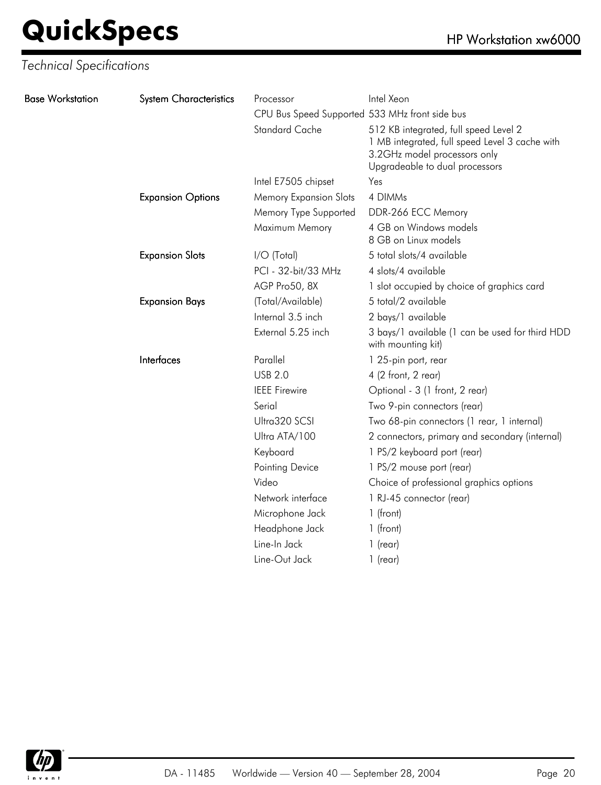| <b>Base Workstation</b> | <b>System Characteristics</b> | Processor                                      | Intel Xeon                                                                                                                                                |
|-------------------------|-------------------------------|------------------------------------------------|-----------------------------------------------------------------------------------------------------------------------------------------------------------|
|                         |                               | CPU Bus Speed Supported 533 MHz front side bus |                                                                                                                                                           |
|                         |                               | <b>Standard Cache</b>                          | 512 KB integrated, full speed Level 2<br>1 MB integrated, full speed Level 3 cache with<br>3.2GHz model processors only<br>Upgradeable to dual processors |
|                         |                               | Intel E7505 chipset                            | Yes                                                                                                                                                       |
|                         | <b>Expansion Options</b>      | <b>Memory Expansion Slots</b>                  | 4 DIMMs                                                                                                                                                   |
|                         |                               | Memory Type Supported                          | DDR-266 ECC Memory                                                                                                                                        |
|                         |                               | Maximum Memory                                 | 4 GB on Windows models<br>8 GB on Linux models                                                                                                            |
|                         | <b>Expansion Slots</b>        | I/O (Total)                                    | 5 total slots/4 available                                                                                                                                 |
|                         |                               | PCI - 32-bit/33 MHz                            | 4 slots/4 available                                                                                                                                       |
|                         |                               | AGP Pro50, 8X                                  | 1 slot occupied by choice of graphics card                                                                                                                |
|                         | <b>Expansion Bays</b>         | (Total/Available)                              | 5 total/2 available                                                                                                                                       |
|                         |                               | Internal 3.5 inch                              | 2 bays/1 available                                                                                                                                        |
|                         |                               | External 5.25 inch                             | 3 bays/1 available (1 can be used for third HDD<br>with mounting kit)                                                                                     |
|                         | Interfaces                    | Parallel                                       | 1 25-pin port, rear                                                                                                                                       |
|                         |                               | <b>USB 2.0</b>                                 | 4 (2 front, 2 rear)                                                                                                                                       |
|                         |                               | <b>IEEE</b> Firewire                           | Optional - 3 (1 front, 2 rear)                                                                                                                            |
|                         |                               | Serial                                         | Two 9-pin connectors (rear)                                                                                                                               |
|                         |                               | Ultra320 SCSI                                  | Two 68-pin connectors (1 rear, 1 internal)                                                                                                                |
|                         |                               | Ultra ATA/100                                  | 2 connectors, primary and secondary (internal)                                                                                                            |
|                         |                               | Keyboard                                       | 1 PS/2 keyboard port (rear)                                                                                                                               |
|                         |                               | Pointing Device                                | 1 PS/2 mouse port (rear)                                                                                                                                  |
|                         |                               | Video                                          | Choice of professional graphics options                                                                                                                   |
|                         |                               | Network interface                              | 1 RJ-45 connector (rear)                                                                                                                                  |
|                         |                               | Microphone Jack                                | 1 (front)                                                                                                                                                 |
|                         |                               | Headphone Jack                                 | 1 (front)                                                                                                                                                 |
|                         |                               | Line-In Jack                                   | $1$ (rear)                                                                                                                                                |
|                         |                               | Line-Out Jack                                  | $1$ (rear)                                                                                                                                                |
|                         |                               |                                                |                                                                                                                                                           |

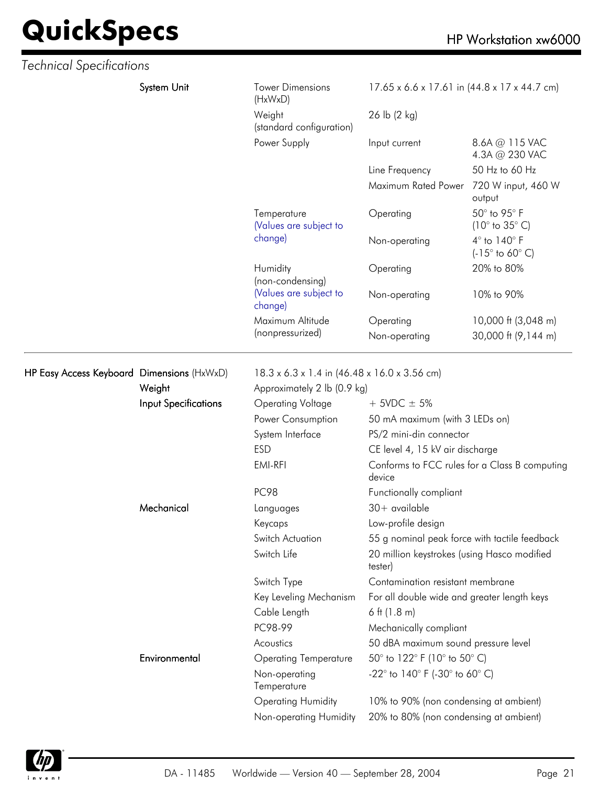# **QuickSpecs**

|  | HP Workstation xw6000 |  |
|--|-----------------------|--|
|--|-----------------------|--|

| <b>Technical Specifications</b>            |                             |                                       |                                                        |                                               |  |
|--------------------------------------------|-----------------------------|---------------------------------------|--------------------------------------------------------|-----------------------------------------------|--|
|                                            | System Unit                 | <b>Tower Dimensions</b><br>(HxWxD)    | 17.65 x 6.6 x 17.61 in (44.8 x 17 x 44.7 cm)           |                                               |  |
|                                            |                             | Weight<br>(standard configuration)    | 26 lb (2 kg)                                           |                                               |  |
|                                            |                             | Power Supply                          | Input current                                          | 8.6A @ 115 VAC<br>4.3A @ 230 VAC              |  |
|                                            |                             |                                       | Line Frequency                                         | 50 Hz to 60 Hz                                |  |
|                                            |                             |                                       | Maximum Rated Power                                    | 720 W input, 460 W<br>output                  |  |
|                                            |                             | Temperature<br>(Values are subject to | Operating                                              | 50° to 95° F<br>$(10^\circ$ to $35^\circ$ C)  |  |
|                                            |                             | change)                               | Non-operating                                          | 4° to 140° F<br>$(-15^{\circ}$ to 60° C)      |  |
|                                            |                             | Humidity<br>(non-condensing)          | Operating                                              | 20% to 80%                                    |  |
|                                            |                             | (Values are subject to<br>change)     | Non-operating                                          | 10% to 90%                                    |  |
|                                            |                             | Maximum Altitude                      | Operating                                              | 10,000 ft (3,048 m)                           |  |
|                                            |                             | (nonpressurized)                      | Non-operating                                          | 30,000 ft (9,144 m)                           |  |
| HP Easy Access Keyboard Dimensions (HxWxD) |                             |                                       | 18.3 x 6.3 x 1.4 in (46.48 x 16.0 x 3.56 cm)           |                                               |  |
|                                            | Weight                      | Approximately 2 lb (0.9 kg)           |                                                        |                                               |  |
|                                            | <b>Input Specifications</b> | <b>Operating Voltage</b>              | $+$ 5VDC $\pm$ 5%                                      |                                               |  |
|                                            |                             | Power Consumption                     | 50 mA maximum (with 3 LEDs on)                         |                                               |  |
|                                            |                             | System Interface                      | PS/2 mini-din connector                                |                                               |  |
|                                            |                             | <b>ESD</b>                            | CE level 4, 15 kV air discharge                        |                                               |  |
|                                            |                             | EMI-RFI                               | device                                                 | Conforms to FCC rules for a Class B computing |  |
|                                            |                             | <b>PC98</b>                           | Functionally compliant                                 |                                               |  |
|                                            | Mechanical                  | Languages                             | $30+$ available                                        |                                               |  |
|                                            |                             | Keycaps                               | Low-profile design                                     |                                               |  |
|                                            |                             | Switch Actuation                      | 55 g nominal peak force with tactile feedback          |                                               |  |
|                                            |                             | Switch Life                           | 20 million keystrokes (using Hasco modified<br>tester) |                                               |  |
|                                            |                             | Switch Type                           | Contamination resistant membrane                       |                                               |  |
|                                            |                             | Key Leveling Mechanism                | For all double wide and greater length keys            |                                               |  |
|                                            |                             | Cable Length                          | 6 ft $(1.8 \text{ m})$                                 |                                               |  |
|                                            |                             | PC98-99                               | Mechanically compliant                                 |                                               |  |
|                                            |                             | Acoustics                             | 50 dBA maximum sound pressure level                    |                                               |  |
|                                            | Environmental               | <b>Operating Temperature</b>          | 50° to 122° F (10° to 50° C)                           |                                               |  |
|                                            |                             | Non-operating<br>Temperature          | -22° to 140° F (-30° to 60° C)                         |                                               |  |
|                                            |                             | <b>Operating Humidity</b>             | 10% to 90% (non condensing at ambient)                 |                                               |  |
|                                            |                             | Non-operating Humidity                | 20% to 80% (non condensing at ambient)                 |                                               |  |

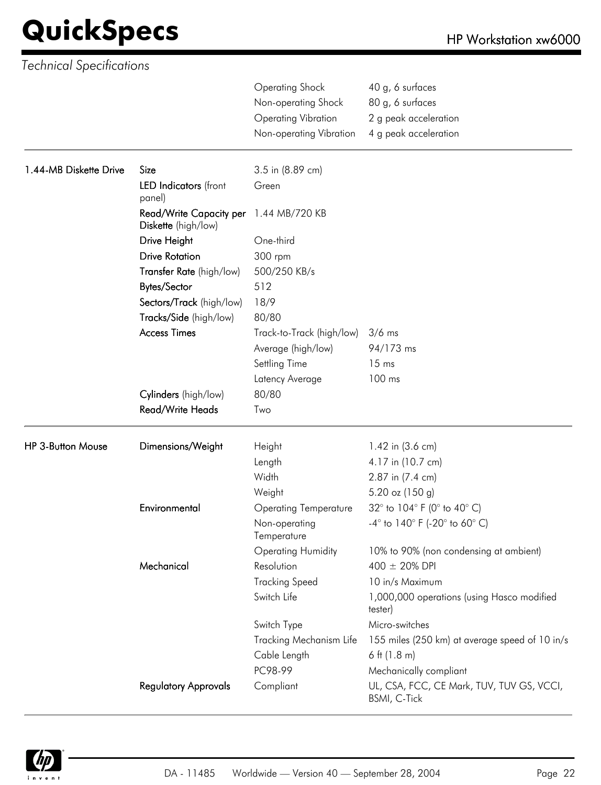| <b>Technical Specifications</b> |                                                |                                                                                                        |                                                                                        |
|---------------------------------|------------------------------------------------|--------------------------------------------------------------------------------------------------------|----------------------------------------------------------------------------------------|
|                                 |                                                | <b>Operating Shock</b><br>Non-operating Shock<br><b>Operating Vibration</b><br>Non-operating Vibration | 40 g, 6 surfaces<br>80 g, 6 surfaces<br>2 g peak acceleration<br>4 g peak acceleration |
| 1.44-MB Diskette Drive          | Size                                           |                                                                                                        |                                                                                        |
|                                 | LED Indicators (front<br>panel)                | 3.5 in (8.89 cm)<br>Green                                                                              |                                                                                        |
|                                 | Read/Write Capacity per<br>Diskette (high/low) | 1.44 MB/720 KB                                                                                         |                                                                                        |
|                                 | Drive Height                                   | One-third                                                                                              |                                                                                        |
|                                 | <b>Drive Rotation</b>                          | 300 rpm                                                                                                |                                                                                        |
|                                 | Transfer Rate (high/low)                       | 500/250 KB/s                                                                                           |                                                                                        |
|                                 | <b>Bytes/Sector</b>                            | 512                                                                                                    |                                                                                        |
|                                 | Sectors/Track (high/low)                       | 18/9                                                                                                   |                                                                                        |
|                                 | Tracks/Side (high/low)                         | 80/80                                                                                                  |                                                                                        |
|                                 | <b>Access Times</b>                            | Track-to-Track (high/low)                                                                              | $3/6$ ms                                                                               |
|                                 |                                                | Average (high/low)                                                                                     | 94/173 ms                                                                              |
|                                 |                                                | Settling Time                                                                                          | 15 <sub>ms</sub>                                                                       |
|                                 |                                                | Latency Average                                                                                        | 100 ms                                                                                 |
|                                 | Cylinders (high/low)                           | 80/80                                                                                                  |                                                                                        |
|                                 | Read/Write Heads                               | Two                                                                                                    |                                                                                        |
| <b>HP 3-Button Mouse</b>        | Dimensions/Weight                              | Height                                                                                                 | 1.42 in (3.6 cm)                                                                       |
|                                 |                                                | Length                                                                                                 | 4.17 in (10.7 cm)                                                                      |
|                                 |                                                | Width                                                                                                  | 2.87 in (7.4 cm)                                                                       |
|                                 |                                                | Weight                                                                                                 | $5.20$ oz (150 g)                                                                      |
|                                 | Environmental                                  | <b>Operating Temperature</b>                                                                           | 32° to 104° F (0° to 40° C)                                                            |
|                                 |                                                | Non-operating<br>Temperature                                                                           | $-4^{\circ}$ to 140° F (-20° to 60° C)                                                 |
|                                 |                                                | <b>Operating Humidity</b>                                                                              | 10% to 90% (non condensing at ambient)                                                 |
|                                 | Mechanical                                     | Resolution                                                                                             | 400 ± 20% DPI                                                                          |
|                                 |                                                | <b>Tracking Speed</b>                                                                                  | 10 in/s Maximum                                                                        |
|                                 |                                                | Switch Life                                                                                            | 1,000,000 operations (using Hasco modified<br>tester)                                  |
|                                 |                                                | Switch Type                                                                                            | Micro-switches                                                                         |
|                                 |                                                | Tracking Mechanism Life                                                                                | 155 miles (250 km) at average speed of 10 in/s                                         |
|                                 |                                                | Cable Length                                                                                           | 6 ft $(1.8 \text{ m})$                                                                 |
|                                 |                                                | PC98-99                                                                                                | Mechanically compliant                                                                 |
|                                 | <b>Regulatory Approvals</b>                    | Compliant                                                                                              | UL, CSA, FCC, CE Mark, TUV, TUV GS, VCCI,<br>BSMI, C-Tick                              |

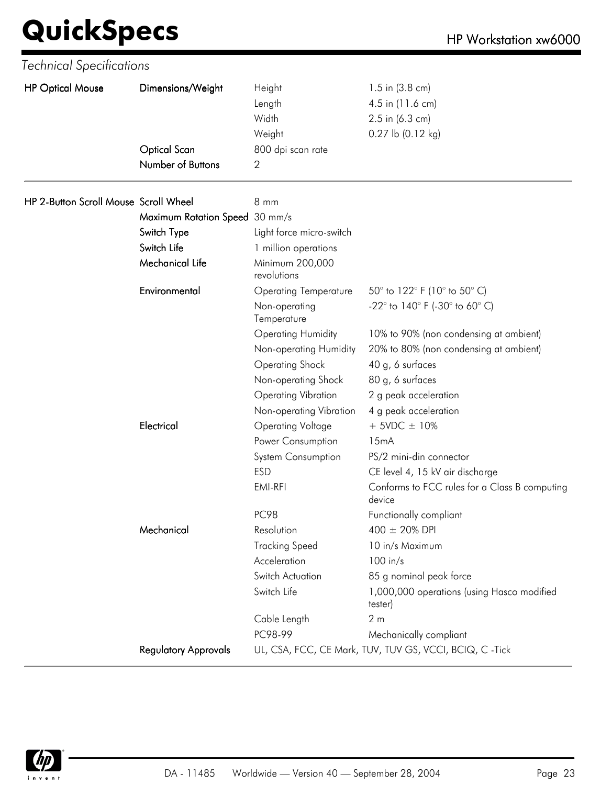| <b>HP Optical Mouse</b> | Dimensions/Weight | Height            | 1.5 in $(3.8 \text{ cm})$ |
|-------------------------|-------------------|-------------------|---------------------------|
|                         |                   | Length            | 4.5 in (11.6 cm)          |
|                         |                   | Width             | $2.5$ in (6.3 cm)         |
|                         |                   | Weight            | $0.27$ lb $(0.12$ kg)     |
|                         | Optical Scan      | 800 dpi scan rate |                           |
|                         | Number of Buttons | っ                 |                           |
|                         |                   |                   |                           |

| HP 2-Button Scroll Mouse Scroll Wheel |                                | 8 mm                           |                                                                        |
|---------------------------------------|--------------------------------|--------------------------------|------------------------------------------------------------------------|
|                                       | Maximum Rotation Speed 30 mm/s |                                |                                                                        |
|                                       | Switch Type                    | Light force micro-switch       |                                                                        |
|                                       | Switch Life                    | 1 million operations           |                                                                        |
|                                       | <b>Mechanical Life</b>         | Minimum 200,000<br>revolutions |                                                                        |
|                                       | Environmental                  | <b>Operating Temperature</b>   | 50° to 122° F (10° to 50° C)                                           |
|                                       |                                | Non-operating<br>Temperature   | -22 $^{\circ}$ to 140 $^{\circ}$ F (-30 $^{\circ}$ to 60 $^{\circ}$ C) |
|                                       |                                | <b>Operating Humidity</b>      | 10% to 90% (non condensing at ambient)                                 |
|                                       |                                | Non-operating Humidity         | 20% to 80% (non condensing at ambient)                                 |
|                                       |                                | <b>Operating Shock</b>         | 40 g, 6 surfaces                                                       |
|                                       |                                | Non-operating Shock            | 80 g, 6 surfaces                                                       |
|                                       |                                | <b>Operating Vibration</b>     | 2 g peak acceleration                                                  |
|                                       |                                | Non-operating Vibration        | 4 g peak acceleration                                                  |
|                                       | Electrical                     | <b>Operating Voltage</b>       | $+$ 5VDC $\pm$ 10%                                                     |
|                                       |                                | Power Consumption              | 15mA                                                                   |
|                                       |                                | System Consumption             | PS/2 mini-din connector                                                |
|                                       |                                | <b>ESD</b>                     | CE level 4, 15 kV air discharge                                        |
|                                       |                                | EMI-RFI                        | Conforms to FCC rules for a Class B computing<br>device                |
|                                       |                                | <b>PC98</b>                    | Functionally compliant                                                 |
|                                       | Mechanical                     | Resolution                     | 400 ± 20% DPI                                                          |
|                                       |                                | <b>Tracking Speed</b>          | 10 in/s Maximum                                                        |
|                                       |                                | Acceleration                   | $100$ in/s                                                             |
|                                       |                                | Switch Actuation               | 85 g nominal peak force                                                |
|                                       |                                | Switch Life                    | 1,000,000 operations (using Hasco modified<br>tester)                  |
|                                       |                                | Cable Length                   | 2 <sub>m</sub>                                                         |
|                                       |                                | PC98-99                        | Mechanically compliant                                                 |
|                                       | <b>Regulatory Approvals</b>    |                                | UL, CSA, FCC, CE Mark, TUV, TUV GS, VCCI, BCIQ, C-Tick                 |

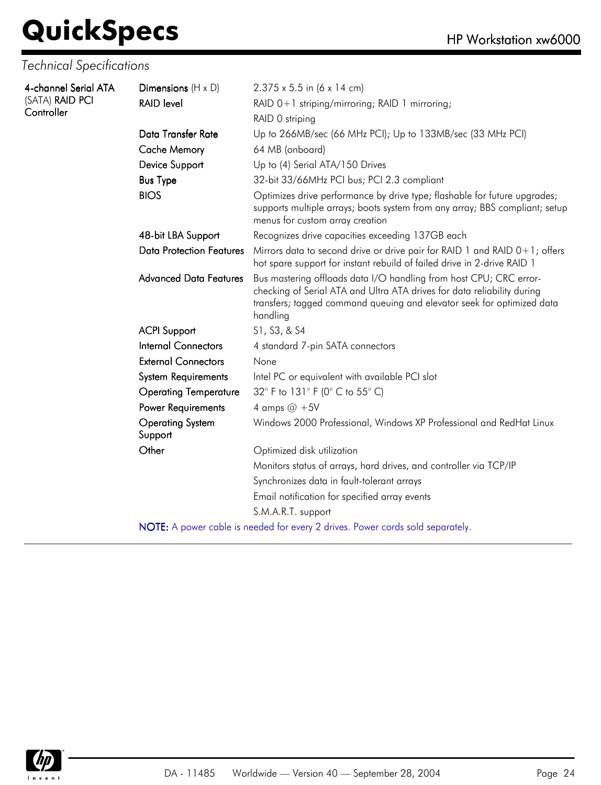| 4-channel Serial ATA | Dimensions $(H \times D)$          | $2.375 \times 5.5$ in (6 x 14 cm)                                                                                                                                                                                                   |
|----------------------|------------------------------------|-------------------------------------------------------------------------------------------------------------------------------------------------------------------------------------------------------------------------------------|
| (SATA) RAID PCI      | <b>RAID level</b>                  | RAID 0+1 striping/mirroring; RAID 1 mirroring;                                                                                                                                                                                      |
| Controller           |                                    | RAID 0 striping                                                                                                                                                                                                                     |
|                      | Data Transfer Rate                 | Up to 266MB/sec (66 MHz PCI); Up to 133MB/sec (33 MHz PCI)                                                                                                                                                                          |
|                      | <b>Cache Memory</b>                | 64 MB (onboard)                                                                                                                                                                                                                     |
|                      | Device Support                     | Up to (4) Serial ATA/150 Drives                                                                                                                                                                                                     |
|                      | <b>Bus Type</b>                    | 32-bit 33/66MHz PCI bus; PCI 2.3 compliant                                                                                                                                                                                          |
|                      | <b>BIOS</b>                        | Optimizes drive performance by drive type; flashable for future upgrades;<br>supports multiple arrays; boots system from any array; BBS compliant; setup<br>menus for custom array creation                                         |
|                      | 48-bit LBA Support                 | Recognizes drive capacities exceeding 137GB each                                                                                                                                                                                    |
|                      | <b>Data Protection Features</b>    | Mirrors data to second drive or drive pair for RAID 1 and RAID 0+1; offers<br>hot spare support for instant rebuild of failed drive in 2-drive RAID 1                                                                               |
|                      | <b>Advanced Data Features</b>      | Bus mastering offloads data I/O handling from host CPU; CRC error-<br>checking of Serial ATA and Ultra ATA drives for data reliability during<br>transfers; tagged command queuing and elevator seek for optimized data<br>handling |
|                      | <b>ACPI Support</b>                | S1, S3, & S4                                                                                                                                                                                                                        |
|                      | <b>Internal Connectors</b>         | 4 standard 7-pin SATA connectors                                                                                                                                                                                                    |
|                      | <b>External Connectors</b>         | None                                                                                                                                                                                                                                |
|                      | <b>System Requirements</b>         | Intel PC or equivalent with available PCI slot                                                                                                                                                                                      |
|                      | <b>Operating Temperature</b>       | 32° F to 131° F (0° C to 55° C)                                                                                                                                                                                                     |
|                      | Power Requirements                 | 4 amps $@ + 5V$                                                                                                                                                                                                                     |
|                      | <b>Operating System</b><br>Support | Windows 2000 Professional, Windows XP Professional and RedHat Linux                                                                                                                                                                 |
|                      | Other                              | Optimized disk utilization                                                                                                                                                                                                          |
|                      |                                    | Monitors status of arrays, hard drives, and controller via TCP/IP                                                                                                                                                                   |
|                      |                                    | Synchronizes data in fault-tolerant arrays                                                                                                                                                                                          |
|                      |                                    | Email notification for specified array events                                                                                                                                                                                       |
|                      |                                    | S.M.A.R.T. support                                                                                                                                                                                                                  |
|                      |                                    | NOTE: A power cable is needed for every 2 drives. Power cords sold separately.                                                                                                                                                      |

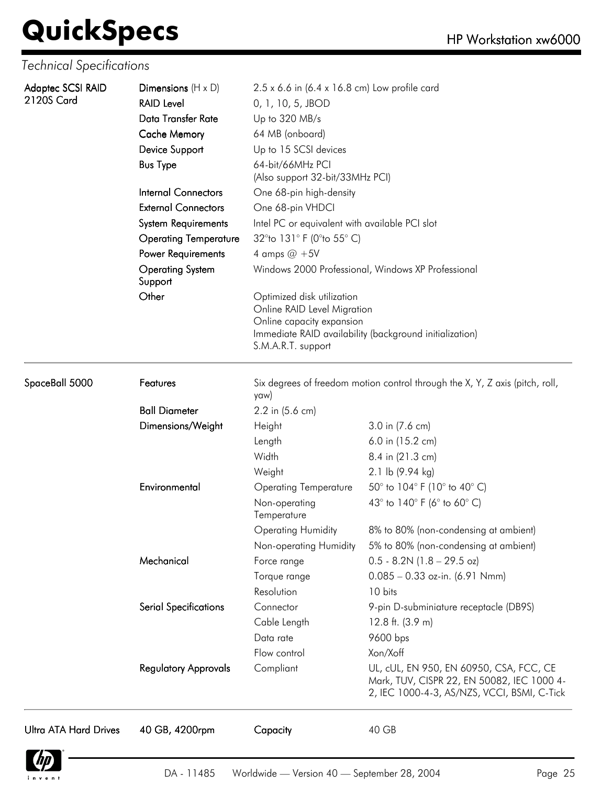| Adaptec SCSI RAID<br>2120S Card | Dimensions $(H \times D)$               | 2.5 x 6.6 in (6.4 x 16.8 cm) Low profile card                                                                                                                           |                                                                                                                                      |  |  |
|---------------------------------|-----------------------------------------|-------------------------------------------------------------------------------------------------------------------------------------------------------------------------|--------------------------------------------------------------------------------------------------------------------------------------|--|--|
|                                 | <b>RAID Level</b><br>Data Transfer Rate | 0, 1, 10, 5, JBOD                                                                                                                                                       |                                                                                                                                      |  |  |
|                                 |                                         | Up to 320 MB/s                                                                                                                                                          |                                                                                                                                      |  |  |
|                                 | <b>Cache Memory</b>                     | 64 MB (onboard)                                                                                                                                                         |                                                                                                                                      |  |  |
|                                 | Device Support                          | Up to 15 SCSI devices                                                                                                                                                   |                                                                                                                                      |  |  |
|                                 | <b>Bus Type</b>                         | 64-bit/66MHz PCI<br>(Also support 32-bit/33MHz PCI)                                                                                                                     |                                                                                                                                      |  |  |
|                                 | <b>Internal Connectors</b>              | One 68-pin high-density                                                                                                                                                 |                                                                                                                                      |  |  |
|                                 | <b>External Connectors</b>              | One 68-pin VHDCI                                                                                                                                                        |                                                                                                                                      |  |  |
|                                 | <b>System Requirements</b>              | Intel PC or equivalent with available PCI slot                                                                                                                          |                                                                                                                                      |  |  |
|                                 | <b>Operating Temperature</b>            | 32°to 131° F (0°to 55° C)                                                                                                                                               |                                                                                                                                      |  |  |
|                                 | Power Requirements                      | 4 amps $@ + 5V$                                                                                                                                                         |                                                                                                                                      |  |  |
|                                 | <b>Operating System</b><br>Support      |                                                                                                                                                                         | Windows 2000 Professional, Windows XP Professional                                                                                   |  |  |
|                                 | Other                                   | Optimized disk utilization<br>Online RAID Level Migration<br>Online capacity expansion<br>Immediate RAID availability (background initialization)<br>S.M.A.R.T. support |                                                                                                                                      |  |  |
| SpaceBall 5000                  | Features                                | Six degrees of freedom motion control through the X, Y, Z axis (pitch, roll,<br>yaw)                                                                                    |                                                                                                                                      |  |  |
|                                 | <b>Ball Diameter</b>                    | 2.2 in (5.6 cm)                                                                                                                                                         |                                                                                                                                      |  |  |
|                                 | Dimensions/Weight                       | Height                                                                                                                                                                  | 3.0 in (7.6 cm)                                                                                                                      |  |  |
|                                 |                                         | Length                                                                                                                                                                  | 6.0 in (15.2 cm)                                                                                                                     |  |  |
|                                 |                                         | Width                                                                                                                                                                   | 8.4 in (21.3 cm)                                                                                                                     |  |  |
|                                 |                                         | Weight                                                                                                                                                                  | 2.1 lb (9.94 kg)                                                                                                                     |  |  |
|                                 | Environmental                           | <b>Operating Temperature</b>                                                                                                                                            | 50° to 104° F (10° to 40° C)                                                                                                         |  |  |
|                                 |                                         | Non-operating<br>Temperature                                                                                                                                            | 43° to 140° F (6° to 60° C)                                                                                                          |  |  |
|                                 |                                         | <b>Operating Humidity</b>                                                                                                                                               | 8% to 80% (non-condensing at ambient)                                                                                                |  |  |
|                                 |                                         | Non-operating Humidity                                                                                                                                                  | 5% to 80% (non-condensing at ambient)                                                                                                |  |  |
|                                 | Mechanical                              | Force range                                                                                                                                                             | $0.5 - 8.2N$ (1.8 - 29.5 oz)                                                                                                         |  |  |
|                                 |                                         | Torque range                                                                                                                                                            | $0.085 - 0.33$ oz-in. (6.91 Nmm)                                                                                                     |  |  |
|                                 |                                         | Resolution                                                                                                                                                              | 10 bits                                                                                                                              |  |  |
|                                 | <b>Serial Specifications</b>            | Connector                                                                                                                                                               | 9-pin D-subminiature receptacle (DB9S)                                                                                               |  |  |
|                                 |                                         | Cable Length                                                                                                                                                            | 12.8 ft. $(3.9 m)$                                                                                                                   |  |  |
|                                 |                                         | Data rate                                                                                                                                                               | 9600 bps                                                                                                                             |  |  |
|                                 |                                         | Flow control                                                                                                                                                            | Xon/Xoff                                                                                                                             |  |  |
|                                 | <b>Regulatory Approvals</b>             | Compliant                                                                                                                                                               | UL, cUL, EN 950, EN 60950, CSA, FCC, CE<br>Mark, TUV, CISPR 22, EN 50082, IEC 1000 4-<br>2, IEC 1000-4-3, AS/NZS, VCCI, BSMI, C-Tick |  |  |
| <b>Ultra ATA Hard Drives</b>    | 40 GB, 4200rpm                          | Capacity                                                                                                                                                                | 40 GB                                                                                                                                |  |  |

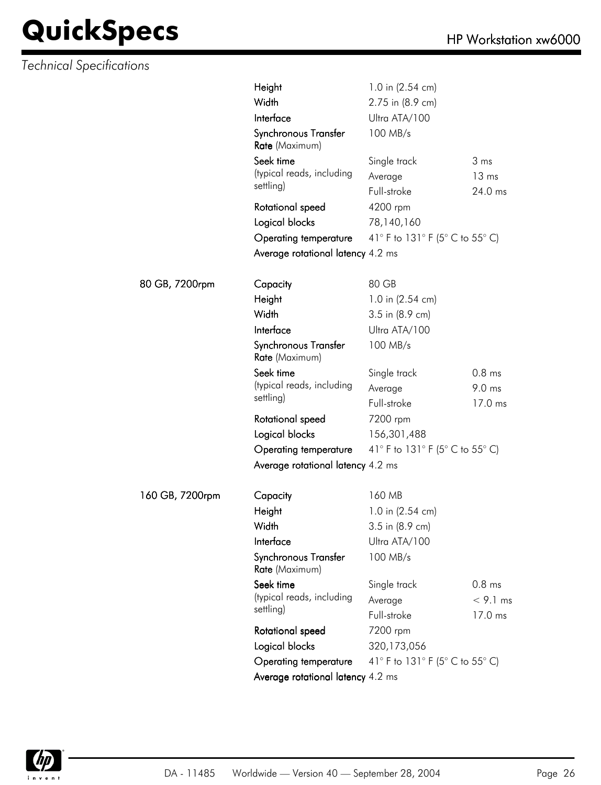|                 | Height                                 | 1.0 in (2.54 cm)                |                   |  |
|-----------------|----------------------------------------|---------------------------------|-------------------|--|
|                 | Width                                  | 2.75 in (8.9 cm)                |                   |  |
|                 | Interface                              | Ultra ATA/100                   |                   |  |
|                 | Synchronous Transfer<br>Rate (Maximum) | 100 MB/s                        |                   |  |
|                 | Seek time                              | Single track                    | 3 ms              |  |
|                 | (typical reads, including              | Average                         | 13 <sub>ms</sub>  |  |
|                 | settling)                              | Full-stroke                     | 24.0 ms           |  |
|                 | Rotational speed                       | 4200 rpm                        |                   |  |
|                 | Logical blocks                         | 78,140,160                      |                   |  |
|                 | Operating temperature                  | 41° F to 131° F (5° C to 55° C) |                   |  |
|                 | Average rotational latency 4.2 ms      |                                 |                   |  |
| 80 GB, 7200rpm  | Capacity                               | 80 GB                           |                   |  |
|                 | Height                                 | 1.0 in (2.54 cm)                |                   |  |
|                 | Width                                  | 3.5 in (8.9 cm)                 |                   |  |
|                 | Interface                              | Ultra ATA/100                   |                   |  |
|                 | Synchronous Transfer<br>Rate (Maximum) | 100 MB/s                        |                   |  |
|                 | Seek time                              | Single track                    | 0.8 <sub>ms</sub> |  |
|                 | (typical reads, including              | Average                         | 9.0 ms            |  |
|                 | settling)                              | Full-stroke                     | 17.0 ms           |  |
|                 | Rotational speed                       | 7200 rpm                        |                   |  |
|                 | Logical blocks                         | 156,301,488                     |                   |  |
|                 | Operating temperature                  | 41° F to 131° F (5° C to 55° C) |                   |  |
|                 | Average rotational latency 4.2 ms      |                                 |                   |  |
| 160 GB, 7200rpm | Capacity                               | 160 MB                          |                   |  |
|                 | Height                                 | 1.0 in (2.54 cm)                |                   |  |
|                 | Width                                  | 3.5 in (8.9 cm)                 |                   |  |
|                 | Interface                              | Ultra ATA/100                   |                   |  |
|                 | Synchronous Transfer<br>Rate (Maximum) | 100 MB/s                        |                   |  |
|                 | Seek time                              | Single track                    | $0.8$ ms          |  |
|                 | (typical reads, including              | Average                         | $<$ 9.1 ms        |  |
|                 | settling)                              | Full-stroke                     | 17.0 ms           |  |
|                 | Rotational speed                       | 7200 rpm                        |                   |  |
|                 | Logical blocks                         | 320,173,056                     |                   |  |
|                 | Operating temperature                  | 41° F to 131° F (5° C to 55° C) |                   |  |
|                 | Average rotational latency 4.2 ms      |                                 |                   |  |

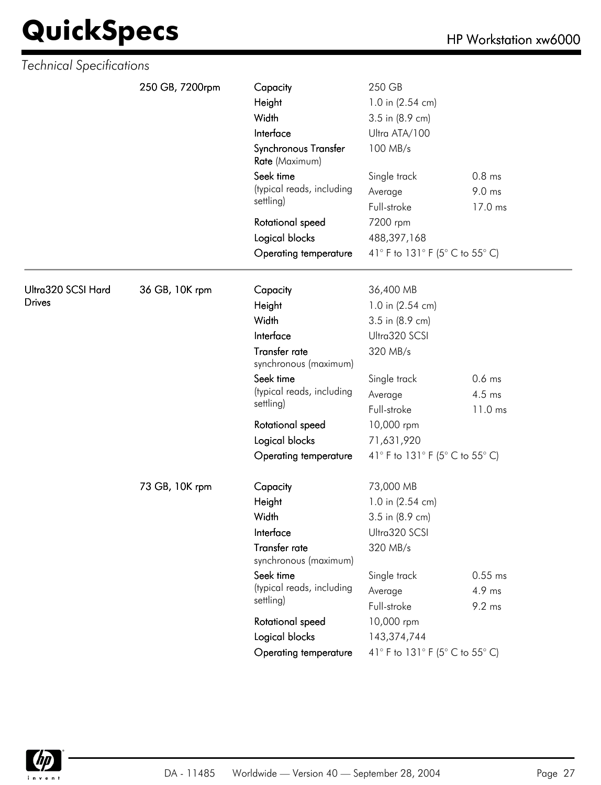| 250 GB, 7200rpm<br>250 GB<br>Capacity<br>Height<br>1.0 in (2.54 cm)<br>Width<br>3.5 in (8.9 cm)<br>Interface<br>Ultra ATA/100<br>Synchronous Transfer<br>100 MB/s<br>Rate (Maximum)<br>Seek time<br>0.8 <sub>ms</sub><br>Single track<br>(typical reads, including<br>9.0 ms<br>Average<br>settling)<br>Full-stroke<br>17.0 ms<br>7200 rpm<br>Rotational speed<br>Logical blocks<br>488,397,168<br>41° F to 131° F (5° C to 55° C)<br>Operating temperature<br>Ultra320 SCSI Hard<br>36 GB, 10K rpm<br>Capacity<br>36,400 MB<br><b>Drives</b><br>Height<br>1.0 in (2.54 cm)<br>Width<br>3.5 in (8.9 cm)<br>Interface<br>Ultra320 SCSI<br>Transfer rate<br>320 MB/s<br>synchronous (maximum)<br>Seek time<br>$0.6$ ms<br>Single track<br>(typical reads, including<br>4.5 ms<br>Average<br>settling)<br>Full-stroke<br>11.0 ms<br>10,000 rpm<br>Rotational speed<br>Logical blocks<br>71,631,920<br>41° F to 131° F (5° C to 55° C)<br>Operating temperature<br>73 GB, 10K rpm<br>73,000 MB<br>Capacity<br>1.0 in (2.54 cm)<br>Height<br>Width<br>3.5 in (8.9 cm)<br>Interface<br>Ultra320 SCSI<br>Transfer rate<br>320 MB/s<br>synchronous (maximum)<br>Seek time<br>Single track<br>$0.55$ ms<br>(typical reads, including<br>4.9 ms<br>Average<br>settling)<br>Full-stroke<br>9.2 ms<br>10,000 rpm<br>Rotational speed<br>Logical blocks<br>143,374,744<br>41° F to 131° F (5° C to 55° C)<br>Operating temperature | Technical Specifications |  |  |  |
|-----------------------------------------------------------------------------------------------------------------------------------------------------------------------------------------------------------------------------------------------------------------------------------------------------------------------------------------------------------------------------------------------------------------------------------------------------------------------------------------------------------------------------------------------------------------------------------------------------------------------------------------------------------------------------------------------------------------------------------------------------------------------------------------------------------------------------------------------------------------------------------------------------------------------------------------------------------------------------------------------------------------------------------------------------------------------------------------------------------------------------------------------------------------------------------------------------------------------------------------------------------------------------------------------------------------------------------------------------------------------------------------------------------------------|--------------------------|--|--|--|
|                                                                                                                                                                                                                                                                                                                                                                                                                                                                                                                                                                                                                                                                                                                                                                                                                                                                                                                                                                                                                                                                                                                                                                                                                                                                                                                                                                                                                       |                          |  |  |  |
|                                                                                                                                                                                                                                                                                                                                                                                                                                                                                                                                                                                                                                                                                                                                                                                                                                                                                                                                                                                                                                                                                                                                                                                                                                                                                                                                                                                                                       |                          |  |  |  |
|                                                                                                                                                                                                                                                                                                                                                                                                                                                                                                                                                                                                                                                                                                                                                                                                                                                                                                                                                                                                                                                                                                                                                                                                                                                                                                                                                                                                                       |                          |  |  |  |
|                                                                                                                                                                                                                                                                                                                                                                                                                                                                                                                                                                                                                                                                                                                                                                                                                                                                                                                                                                                                                                                                                                                                                                                                                                                                                                                                                                                                                       |                          |  |  |  |
|                                                                                                                                                                                                                                                                                                                                                                                                                                                                                                                                                                                                                                                                                                                                                                                                                                                                                                                                                                                                                                                                                                                                                                                                                                                                                                                                                                                                                       |                          |  |  |  |
|                                                                                                                                                                                                                                                                                                                                                                                                                                                                                                                                                                                                                                                                                                                                                                                                                                                                                                                                                                                                                                                                                                                                                                                                                                                                                                                                                                                                                       |                          |  |  |  |
|                                                                                                                                                                                                                                                                                                                                                                                                                                                                                                                                                                                                                                                                                                                                                                                                                                                                                                                                                                                                                                                                                                                                                                                                                                                                                                                                                                                                                       |                          |  |  |  |
|                                                                                                                                                                                                                                                                                                                                                                                                                                                                                                                                                                                                                                                                                                                                                                                                                                                                                                                                                                                                                                                                                                                                                                                                                                                                                                                                                                                                                       |                          |  |  |  |
|                                                                                                                                                                                                                                                                                                                                                                                                                                                                                                                                                                                                                                                                                                                                                                                                                                                                                                                                                                                                                                                                                                                                                                                                                                                                                                                                                                                                                       |                          |  |  |  |
|                                                                                                                                                                                                                                                                                                                                                                                                                                                                                                                                                                                                                                                                                                                                                                                                                                                                                                                                                                                                                                                                                                                                                                                                                                                                                                                                                                                                                       |                          |  |  |  |
|                                                                                                                                                                                                                                                                                                                                                                                                                                                                                                                                                                                                                                                                                                                                                                                                                                                                                                                                                                                                                                                                                                                                                                                                                                                                                                                                                                                                                       |                          |  |  |  |
|                                                                                                                                                                                                                                                                                                                                                                                                                                                                                                                                                                                                                                                                                                                                                                                                                                                                                                                                                                                                                                                                                                                                                                                                                                                                                                                                                                                                                       |                          |  |  |  |
|                                                                                                                                                                                                                                                                                                                                                                                                                                                                                                                                                                                                                                                                                                                                                                                                                                                                                                                                                                                                                                                                                                                                                                                                                                                                                                                                                                                                                       |                          |  |  |  |
|                                                                                                                                                                                                                                                                                                                                                                                                                                                                                                                                                                                                                                                                                                                                                                                                                                                                                                                                                                                                                                                                                                                                                                                                                                                                                                                                                                                                                       |                          |  |  |  |
|                                                                                                                                                                                                                                                                                                                                                                                                                                                                                                                                                                                                                                                                                                                                                                                                                                                                                                                                                                                                                                                                                                                                                                                                                                                                                                                                                                                                                       |                          |  |  |  |
|                                                                                                                                                                                                                                                                                                                                                                                                                                                                                                                                                                                                                                                                                                                                                                                                                                                                                                                                                                                                                                                                                                                                                                                                                                                                                                                                                                                                                       |                          |  |  |  |
|                                                                                                                                                                                                                                                                                                                                                                                                                                                                                                                                                                                                                                                                                                                                                                                                                                                                                                                                                                                                                                                                                                                                                                                                                                                                                                                                                                                                                       |                          |  |  |  |
|                                                                                                                                                                                                                                                                                                                                                                                                                                                                                                                                                                                                                                                                                                                                                                                                                                                                                                                                                                                                                                                                                                                                                                                                                                                                                                                                                                                                                       |                          |  |  |  |
|                                                                                                                                                                                                                                                                                                                                                                                                                                                                                                                                                                                                                                                                                                                                                                                                                                                                                                                                                                                                                                                                                                                                                                                                                                                                                                                                                                                                                       |                          |  |  |  |
|                                                                                                                                                                                                                                                                                                                                                                                                                                                                                                                                                                                                                                                                                                                                                                                                                                                                                                                                                                                                                                                                                                                                                                                                                                                                                                                                                                                                                       |                          |  |  |  |
|                                                                                                                                                                                                                                                                                                                                                                                                                                                                                                                                                                                                                                                                                                                                                                                                                                                                                                                                                                                                                                                                                                                                                                                                                                                                                                                                                                                                                       |                          |  |  |  |
|                                                                                                                                                                                                                                                                                                                                                                                                                                                                                                                                                                                                                                                                                                                                                                                                                                                                                                                                                                                                                                                                                                                                                                                                                                                                                                                                                                                                                       |                          |  |  |  |
|                                                                                                                                                                                                                                                                                                                                                                                                                                                                                                                                                                                                                                                                                                                                                                                                                                                                                                                                                                                                                                                                                                                                                                                                                                                                                                                                                                                                                       |                          |  |  |  |
|                                                                                                                                                                                                                                                                                                                                                                                                                                                                                                                                                                                                                                                                                                                                                                                                                                                                                                                                                                                                                                                                                                                                                                                                                                                                                                                                                                                                                       |                          |  |  |  |
|                                                                                                                                                                                                                                                                                                                                                                                                                                                                                                                                                                                                                                                                                                                                                                                                                                                                                                                                                                                                                                                                                                                                                                                                                                                                                                                                                                                                                       |                          |  |  |  |
|                                                                                                                                                                                                                                                                                                                                                                                                                                                                                                                                                                                                                                                                                                                                                                                                                                                                                                                                                                                                                                                                                                                                                                                                                                                                                                                                                                                                                       |                          |  |  |  |
|                                                                                                                                                                                                                                                                                                                                                                                                                                                                                                                                                                                                                                                                                                                                                                                                                                                                                                                                                                                                                                                                                                                                                                                                                                                                                                                                                                                                                       |                          |  |  |  |
|                                                                                                                                                                                                                                                                                                                                                                                                                                                                                                                                                                                                                                                                                                                                                                                                                                                                                                                                                                                                                                                                                                                                                                                                                                                                                                                                                                                                                       |                          |  |  |  |
|                                                                                                                                                                                                                                                                                                                                                                                                                                                                                                                                                                                                                                                                                                                                                                                                                                                                                                                                                                                                                                                                                                                                                                                                                                                                                                                                                                                                                       |                          |  |  |  |
|                                                                                                                                                                                                                                                                                                                                                                                                                                                                                                                                                                                                                                                                                                                                                                                                                                                                                                                                                                                                                                                                                                                                                                                                                                                                                                                                                                                                                       |                          |  |  |  |
|                                                                                                                                                                                                                                                                                                                                                                                                                                                                                                                                                                                                                                                                                                                                                                                                                                                                                                                                                                                                                                                                                                                                                                                                                                                                                                                                                                                                                       |                          |  |  |  |
|                                                                                                                                                                                                                                                                                                                                                                                                                                                                                                                                                                                                                                                                                                                                                                                                                                                                                                                                                                                                                                                                                                                                                                                                                                                                                                                                                                                                                       |                          |  |  |  |
|                                                                                                                                                                                                                                                                                                                                                                                                                                                                                                                                                                                                                                                                                                                                                                                                                                                                                                                                                                                                                                                                                                                                                                                                                                                                                                                                                                                                                       |                          |  |  |  |
|                                                                                                                                                                                                                                                                                                                                                                                                                                                                                                                                                                                                                                                                                                                                                                                                                                                                                                                                                                                                                                                                                                                                                                                                                                                                                                                                                                                                                       |                          |  |  |  |

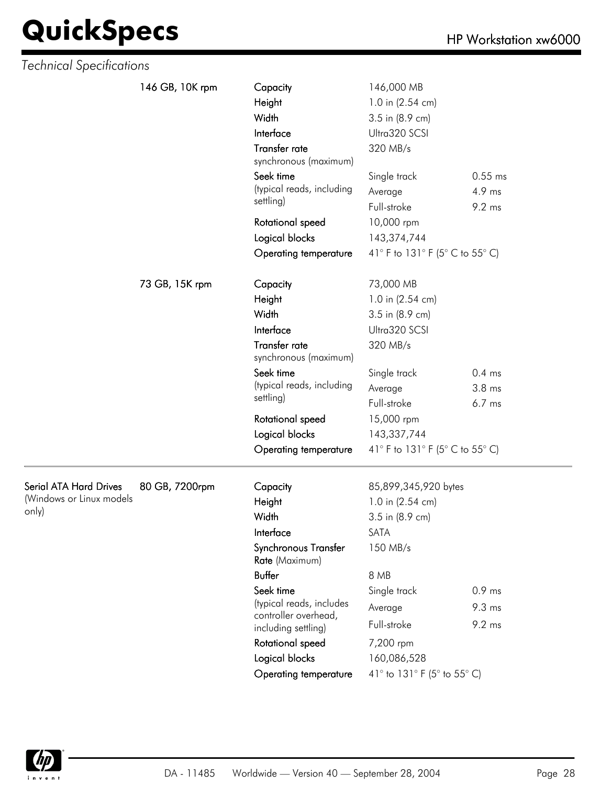| Technical Specifications      |                 |                                                     |                                        |                               |
|-------------------------------|-----------------|-----------------------------------------------------|----------------------------------------|-------------------------------|
|                               | 146 GB, 10K rpm | Capacity                                            | 146,000 MB                             |                               |
|                               |                 | Height                                              | 1.0 in (2.54 cm)                       |                               |
|                               |                 | Width                                               | 3.5 in (8.9 cm)                        |                               |
|                               |                 | Interface                                           | Ultra320 SCSI                          |                               |
|                               |                 | Transfer rate<br>synchronous (maximum)              | 320 MB/s                               |                               |
|                               |                 | Seek time<br>(typical reads, including<br>settling) | Single track<br>Average<br>Full-stroke | $0.55$ ms<br>4.9 ms<br>9.2 ms |
|                               |                 | Rotational speed                                    | 10,000 rpm                             |                               |
|                               |                 | Logical blocks                                      | 143,374,744                            |                               |
|                               |                 | <b>Operating temperature</b>                        | 41° F to 131° F (5° C to 55° C)        |                               |
|                               |                 |                                                     |                                        |                               |
|                               | 73 GB, 15K rpm  | Capacity                                            | 73,000 MB                              |                               |
|                               |                 | Height                                              | 1.0 in (2.54 cm)                       |                               |
|                               |                 | Width                                               | 3.5 in (8.9 cm)                        |                               |
|                               |                 | Interface                                           | Ultra320 SCSI                          |                               |
|                               |                 | Transfer rate<br>synchronous (maximum)              | 320 MB/s                               |                               |
|                               |                 | Seek time                                           | Single track                           | $0.4$ ms                      |
|                               |                 | (typical reads, including                           | Average                                | 3.8 <sub>ms</sub>             |
|                               |                 | settling)                                           | Full-stroke                            | $6.7$ ms                      |
|                               |                 | Rotational speed                                    | 15,000 rpm                             |                               |
|                               |                 | Logical blocks                                      | 143,337,744                            |                               |
|                               |                 | Operating temperature                               | 41° F to 131° F (5° C to 55° C)        |                               |
| <b>Serial ATA Hard Drives</b> | 80 GB, 7200rpm  | Capacity                                            | 85,899,345,920 bytes                   |                               |
| (Windows or Linux models      |                 | Height                                              | 1.0 in (2.54 cm)                       |                               |
| only)                         |                 | Width                                               | 3.5 in (8.9 cm)                        |                               |
|                               |                 | Interface                                           | SATA                                   |                               |
|                               |                 | Synchronous Transfer<br>Rate (Maximum)              | 150 MB/s                               |                               |
|                               |                 | <b>Buffer</b>                                       | 8 MB                                   |                               |
|                               |                 | Seek time                                           | Single track                           | $0.9$ ms                      |
|                               |                 | (typical reads, includes                            | Average                                | $9.3 \text{ ms}$              |
|                               |                 | controller overhead,                                | Full-stroke                            | 9.2 ms                        |
|                               |                 | including settling)<br>Rotational speed             | 7,200 rpm                              |                               |
|                               |                 | Logical blocks                                      | 160,086,528                            |                               |
|                               |                 | Operating temperature                               | 41° to 131° F (5° to 55° C)            |                               |
|                               |                 |                                                     |                                        |                               |

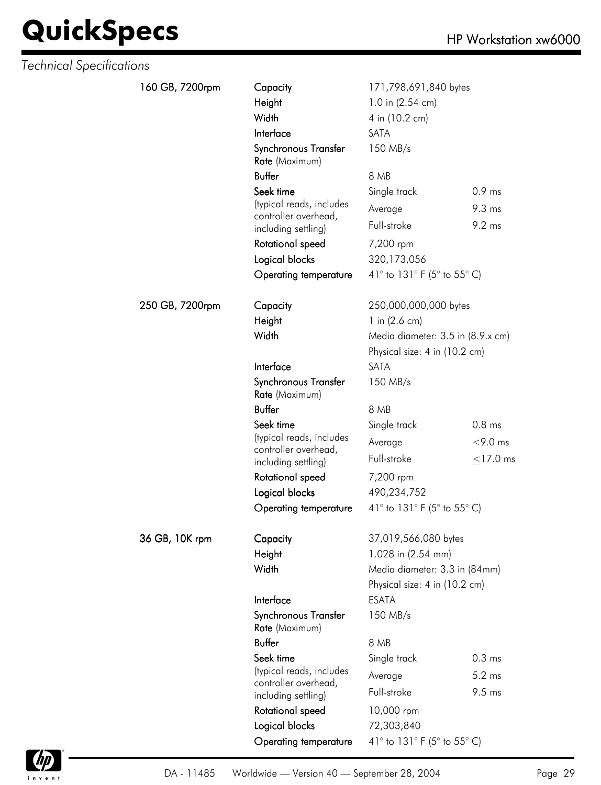| <b>Technical Specifications</b> |                 |                                                  |                                   |                   |
|---------------------------------|-----------------|--------------------------------------------------|-----------------------------------|-------------------|
|                                 | 160 GB, 7200rpm | Capacity                                         | 171,798,691,840 bytes             |                   |
|                                 |                 | Height                                           | 1.0 in (2.54 cm)                  |                   |
|                                 |                 | Width                                            | 4 in (10.2 cm)                    |                   |
|                                 |                 | Interface                                        | SATA                              |                   |
|                                 |                 | Synchronous Transfer<br>Rate (Maximum)           | 150 MB/s                          |                   |
|                                 |                 | <b>Buffer</b>                                    | 8 MB                              |                   |
|                                 |                 | Seek time                                        | Single track                      | $0.9$ ms          |
|                                 |                 | (typical reads, includes                         | Average                           | $9.3 \text{ ms}$  |
|                                 |                 | controller overhead,<br>including settling)      | Full-stroke                       | 9.2 ms            |
|                                 |                 | Rotational speed                                 | 7,200 rpm                         |                   |
|                                 |                 | Logical blocks                                   | 320,173,056                       |                   |
|                                 |                 | <b>Operating temperature</b>                     | 41° to 131° F (5° to 55° C)       |                   |
|                                 | 250 GB, 7200rpm | Capacity                                         | 250,000,000,000 bytes             |                   |
|                                 |                 | Height                                           | 1 in $(2.6 \text{ cm})$           |                   |
|                                 |                 | Width                                            | Media diameter: 3.5 in (8.9.x cm) |                   |
|                                 |                 |                                                  | Physical size: 4 in (10.2 cm)     |                   |
|                                 |                 | Interface                                        | SATA                              |                   |
|                                 |                 | Synchronous Transfer<br>Rate (Maximum)           | 150 MB/s                          |                   |
|                                 |                 | <b>Buffer</b>                                    | 8 MB                              |                   |
|                                 |                 | Seek time                                        | Single track                      | 0.8 <sub>ms</sub> |
|                                 |                 | (typical reads, includes                         | Average                           | $<$ 9.0 ms        |
|                                 |                 | controller overhead,<br>including settling)      | Full-stroke                       | $<$ 17.0 ms       |
|                                 |                 | Rotational speed                                 | 7,200 rpm                         |                   |
|                                 |                 | Logical blocks                                   | 490,234,752                       |                   |
|                                 |                 | <b>Operating temperature</b>                     | 41° to 131° F (5° to 55° C)       |                   |
|                                 | 36 GB, 10K rpm  | Capacity                                         | 37,019,566,080 bytes              |                   |
|                                 |                 | Height                                           | 1.028 in (2.54 mm)                |                   |
|                                 |                 | Width                                            | Media diameter: 3.3 in (84mm)     |                   |
|                                 |                 |                                                  | Physical size: 4 in (10.2 cm)     |                   |
|                                 |                 | Interface                                        | <b>ESATA</b>                      |                   |
|                                 |                 | Synchronous Transfer<br>Rate (Maximum)           | 150 MB/s                          |                   |
|                                 |                 | Buffer                                           | 8 MB                              |                   |
|                                 |                 | Seek time                                        | Single track                      | 0.3 <sub>ms</sub> |
|                                 |                 | (typical reads, includes<br>controller overhead, | Average                           | $5.2 \text{ ms}$  |
|                                 |                 | including settling)                              | Full-stroke                       | $9.5 \text{ ms}$  |
|                                 |                 | Rotational speed                                 | 10,000 rpm                        |                   |
|                                 |                 | Logical blocks                                   | 72,303,840                        |                   |
|                                 |                 | <b>Operating temperature</b>                     | 41° to 131° F (5° to 55° C)       |                   |

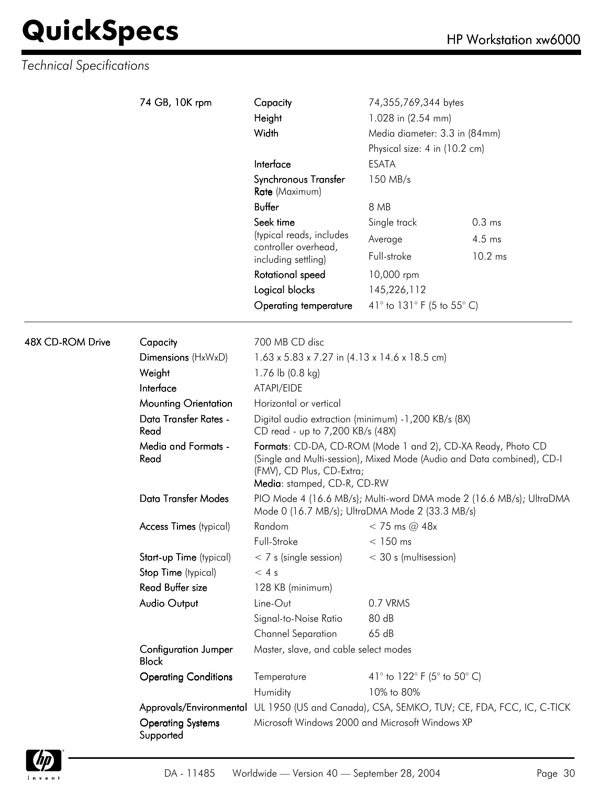|                         | 74 GB, 10K rpm                              | Capacity<br>Height<br>Width                                                                                              | 74,355,769,344 bytes<br>1.028 in (2.54 mm)<br>Media diameter: 3.3 in (84mm)<br>Physical size: 4 in (10.2 cm) |                                                                                            |
|-------------------------|---------------------------------------------|--------------------------------------------------------------------------------------------------------------------------|--------------------------------------------------------------------------------------------------------------|--------------------------------------------------------------------------------------------|
|                         |                                             | Interface                                                                                                                | <b>ESATA</b>                                                                                                 |                                                                                            |
|                         |                                             | Synchronous Transfer<br>Rate (Maximum)                                                                                   | 150 MB/s                                                                                                     |                                                                                            |
|                         |                                             | <b>Buffer</b>                                                                                                            | 8 MB                                                                                                         |                                                                                            |
|                         |                                             | Seek time                                                                                                                | Single track                                                                                                 | 0.3 <sub>ms</sub>                                                                          |
|                         |                                             | (typical reads, includes<br>controller overhead,                                                                         | Average                                                                                                      | 4.5 ms                                                                                     |
|                         |                                             | including settling)                                                                                                      | Full-stroke                                                                                                  | $10.2$ ms                                                                                  |
|                         |                                             | Rotational speed                                                                                                         | 10,000 rpm                                                                                                   |                                                                                            |
|                         |                                             | Logical blocks                                                                                                           | 145,226,112                                                                                                  |                                                                                            |
|                         |                                             | <b>Operating temperature</b>                                                                                             | 41° to 131° F (5 to 55° C)                                                                                   |                                                                                            |
| <b>48X CD-ROM Drive</b> | Capacity                                    | 700 MB CD disc                                                                                                           |                                                                                                              |                                                                                            |
|                         | Dimensions (HxWxD)                          | $1.63 \times 5.83 \times 7.27$ in $(4.13 \times 14.6 \times 18.5$ cm)                                                    |                                                                                                              |                                                                                            |
|                         | Weight                                      | 1.76 lb $(0.8 \text{ kg})$                                                                                               |                                                                                                              |                                                                                            |
|                         | Interface                                   | ATAPI/EIDE                                                                                                               |                                                                                                              |                                                                                            |
|                         | <b>Mounting Orientation</b>                 | Horizontal or vertical                                                                                                   |                                                                                                              |                                                                                            |
|                         | Data Transfer Rates -<br>Read               | Digital audio extraction (minimum) -1,200 KB/s (8X)<br>CD read - up to 7,200 KB/s (48X)                                  |                                                                                                              |                                                                                            |
|                         | <b>Media and Formats -</b><br>Read          | Formats: CD-DA, CD-ROM (Mode 1 and 2), CD-XA Ready, Photo CD<br>(FMV), CD Plus, CD-Extra;<br>Media: stamped, CD-R, CD-RW |                                                                                                              | (Single and Multi-session), Mixed Mode (Audio and Data combined), CD-I                     |
|                         | <b>Data Transfer Modes</b>                  | PIO Mode 4 (16.6 MB/s); Multi-word DMA mode 2 (16.6 MB/s); UltraDMA<br>Mode 0 (16.7 MB/s); UltraDMA Mode 2 (33.3 MB/s)   |                                                                                                              |                                                                                            |
|                         | Access Times (typical)                      | Random                                                                                                                   | $<$ 75 ms @ 48x                                                                                              |                                                                                            |
|                         |                                             | Full-Stroke                                                                                                              | $< 150$ ms                                                                                                   |                                                                                            |
|                         | Start-up Time (typical)                     | $< 7$ s (single session)                                                                                                 | < 30 s (multisession)                                                                                        |                                                                                            |
|                         | Stop Time (typical)                         | < 4s                                                                                                                     |                                                                                                              |                                                                                            |
|                         | <b>Read Buffer size</b>                     | 128 KB (minimum)                                                                                                         |                                                                                                              |                                                                                            |
|                         | Audio Output                                | Line-Out                                                                                                                 | 0.7 VRMS                                                                                                     |                                                                                            |
|                         |                                             | Signal-to-Noise Ratio                                                                                                    | 80 dB                                                                                                        |                                                                                            |
|                         |                                             | <b>Channel Separation</b>                                                                                                | 65 dB                                                                                                        |                                                                                            |
|                         | <b>Configuration Jumper</b><br><b>Block</b> | Master, slave, and cable select modes                                                                                    |                                                                                                              |                                                                                            |
|                         | <b>Operating Conditions</b>                 | Temperature                                                                                                              | 41° to 122° F (5° to 50° C)                                                                                  |                                                                                            |
|                         |                                             | Humidity                                                                                                                 | 10% to 80%                                                                                                   |                                                                                            |
|                         |                                             |                                                                                                                          |                                                                                                              | Approvals/Environmental UL 1950 (US and Canada), CSA, SEMKO, TUV; CE, FDA, FCC, IC, C-TICK |
|                         | <b>Operating Systems</b><br>Supported       | Microsoft Windows 2000 and Microsoft Windows XP                                                                          |                                                                                                              |                                                                                            |

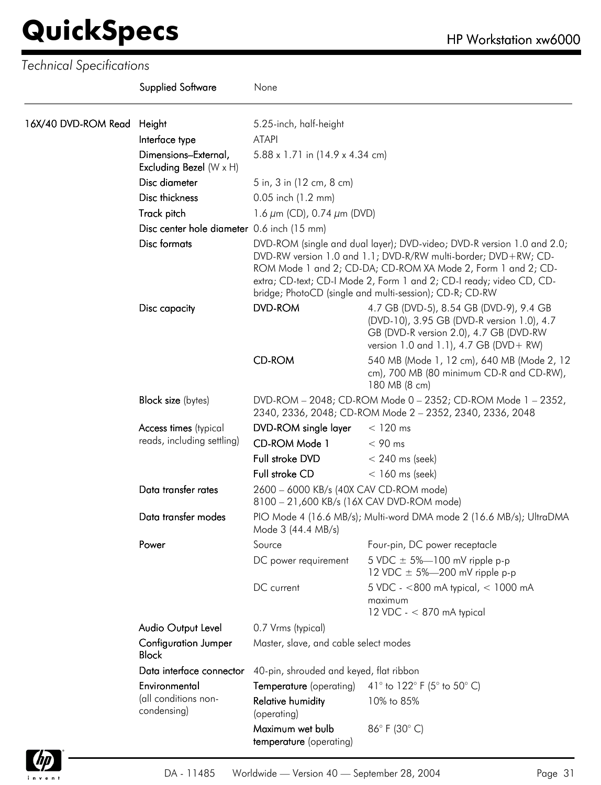|                     | <b>Supplied Software</b>                               | None                                                                                                                                                                                                                                                                                                                                        |                                                                                                                                                                           |  |
|---------------------|--------------------------------------------------------|---------------------------------------------------------------------------------------------------------------------------------------------------------------------------------------------------------------------------------------------------------------------------------------------------------------------------------------------|---------------------------------------------------------------------------------------------------------------------------------------------------------------------------|--|
| 16X/40 DVD-ROM Read | Height                                                 | 5.25-inch, half-height                                                                                                                                                                                                                                                                                                                      |                                                                                                                                                                           |  |
|                     | Interface type                                         | <b>ATAPI</b>                                                                                                                                                                                                                                                                                                                                |                                                                                                                                                                           |  |
|                     | Dimensions-External,<br>Excluding Bezel $(W \times H)$ | 5.88 x 1.71 in (14.9 x 4.34 cm)                                                                                                                                                                                                                                                                                                             |                                                                                                                                                                           |  |
|                     | Disc diameter                                          | 5 in, 3 in (12 cm, 8 cm)                                                                                                                                                                                                                                                                                                                    |                                                                                                                                                                           |  |
|                     | Disc thickness                                         | 0.05 inch (1.2 mm)                                                                                                                                                                                                                                                                                                                          |                                                                                                                                                                           |  |
|                     | Track pitch                                            | 1.6 $\mu$ m (CD), 0.74 $\mu$ m (DVD)                                                                                                                                                                                                                                                                                                        |                                                                                                                                                                           |  |
|                     | Disc center hole diameter 0.6 inch (15 mm)             |                                                                                                                                                                                                                                                                                                                                             |                                                                                                                                                                           |  |
|                     | Disc formats                                           | DVD-ROM (single and dual layer); DVD-video; DVD-R version 1.0 and 2.0;<br>DVD-RW version 1.0 and 1.1; DVD-R/RW multi-border; DVD+RW; CD-<br>ROM Mode 1 and 2; CD-DA; CD-ROM XA Mode 2, Form 1 and 2; CD-<br>extra; CD-text; CD-I Mode 2, Form 1 and 2; CD-I ready; video CD, CD-<br>bridge; PhotoCD (single and multi-session); CD-R; CD-RW |                                                                                                                                                                           |  |
|                     | Disc capacity                                          | <b>DVD-ROM</b>                                                                                                                                                                                                                                                                                                                              | 4.7 GB (DVD-5), 8.54 GB (DVD-9), 9.4 GB<br>(DVD-10), 3.95 GB (DVD-R version 1.0), 4.7<br>GB (DVD-R version 2.0), 4.7 GB (DVD-RW<br>version 1.0 and 1.1), 4.7 GB (DVD+ RW) |  |
|                     |                                                        | <b>CD-ROM</b>                                                                                                                                                                                                                                                                                                                               | 540 MB (Mode 1, 12 cm), 640 MB (Mode 2, 12<br>cm), 700 MB (80 minimum CD-R and CD-RW),<br>180 MB (8 cm)                                                                   |  |
|                     | <b>Block size</b> (bytes)                              | DVD-ROM - 2048; CD-ROM Mode 0 - 2352; CD-ROM Mode 1 - 2352,<br>2340, 2336, 2048; CD-ROM Mode 2 - 2352, 2340, 2336, 2048                                                                                                                                                                                                                     |                                                                                                                                                                           |  |
|                     | Access times (typical                                  | DVD-ROM single layer                                                                                                                                                                                                                                                                                                                        | $< 120$ ms                                                                                                                                                                |  |
|                     | reads, including settling)                             | CD-ROM Mode 1                                                                                                                                                                                                                                                                                                                               | $< 90$ ms                                                                                                                                                                 |  |
|                     |                                                        | Full stroke DVD                                                                                                                                                                                                                                                                                                                             | $< 240$ ms (seek)                                                                                                                                                         |  |
|                     |                                                        | Full stroke CD                                                                                                                                                                                                                                                                                                                              | $<$ 160 ms (seek)                                                                                                                                                         |  |
|                     | Data transfer rates                                    | 2600 - 6000 KB/s (40X CAV CD-ROM mode)<br>8100 - 21,600 KB/s (16X CAV DVD-ROM mode)                                                                                                                                                                                                                                                         |                                                                                                                                                                           |  |
|                     | Data transfer modes                                    | PIO Mode 4 (16.6 MB/s); Multi-word DMA mode 2 (16.6 MB/s); UltraDMA<br>Mode 3 (44.4 MB/s)                                                                                                                                                                                                                                                   |                                                                                                                                                                           |  |
|                     | Power                                                  | Source                                                                                                                                                                                                                                                                                                                                      | Four-pin, DC power receptacle                                                                                                                                             |  |
|                     |                                                        | DC power requirement                                                                                                                                                                                                                                                                                                                        | 5 VDC $\pm$ 5%-100 mV ripple p-p<br>12 VDC $\pm$ 5%-200 mV ripple p-p                                                                                                     |  |
|                     |                                                        | DC current                                                                                                                                                                                                                                                                                                                                  | 5 VDC - <800 mA typical, < 1000 mA<br>maximum<br>12 VDC - < 870 mA typical                                                                                                |  |
|                     | Audio Output Level                                     | 0.7 Vrms (typical)                                                                                                                                                                                                                                                                                                                          |                                                                                                                                                                           |  |
|                     | <b>Configuration Jumper</b><br><b>Block</b>            | Master, slave, and cable select modes                                                                                                                                                                                                                                                                                                       |                                                                                                                                                                           |  |
|                     | Data interface connector                               | 40-pin, shrouded and keyed, flat ribbon                                                                                                                                                                                                                                                                                                     |                                                                                                                                                                           |  |
|                     | Environmental                                          | <b>Temperature</b> (operating)                                                                                                                                                                                                                                                                                                              | 41° to 122° F (5° to 50° C)                                                                                                                                               |  |
|                     | (all conditions non-<br>condensing)                    | <b>Relative humidity</b><br>(operating)                                                                                                                                                                                                                                                                                                     | 10% to 85%                                                                                                                                                                |  |
|                     |                                                        | Maximum wet bulb<br>temperature (operating)                                                                                                                                                                                                                                                                                                 | 86°F (30°C)                                                                                                                                                               |  |

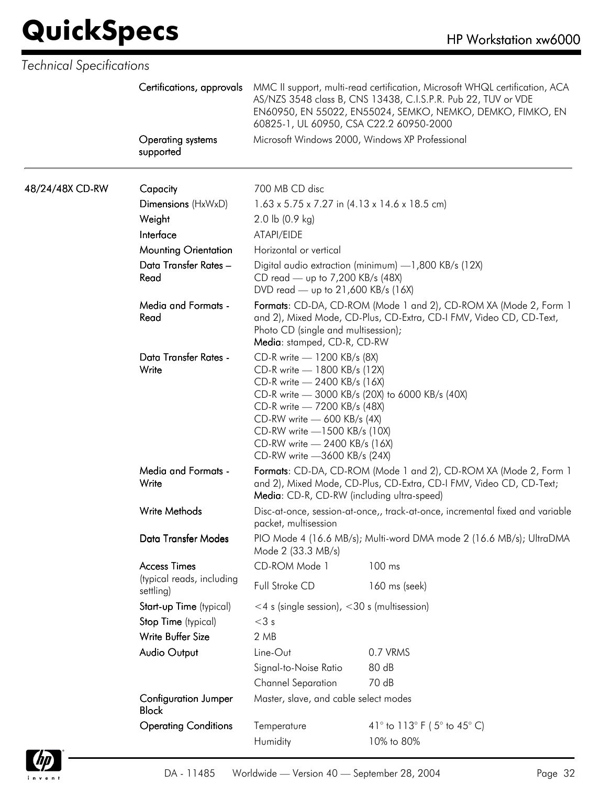|                 | Certifications, approvals                   | 60825-1, UL 60950, CSA C22.2 60950-2000                                                                                                                                                                                                                     | MMC II support, multi-read certification, Microsoft WHQL certification, ACA<br>AS/NZS 3548 class B, CNS 13438, C.I.S.P.R. Pub 22, TUV or VDE<br>EN60950, EN 55022, EN55024, SEMKO, NEMKO, DEMKO, FIMKO, EN |
|-----------------|---------------------------------------------|-------------------------------------------------------------------------------------------------------------------------------------------------------------------------------------------------------------------------------------------------------------|------------------------------------------------------------------------------------------------------------------------------------------------------------------------------------------------------------|
|                 | Operating systems<br>supported              |                                                                                                                                                                                                                                                             | Microsoft Windows 2000, Windows XP Professional                                                                                                                                                            |
| 48/24/48X CD-RW | Capacity                                    | 700 MB CD disc                                                                                                                                                                                                                                              |                                                                                                                                                                                                            |
|                 | Dimensions (HxWxD)                          | $1.63 \times 5.75 \times 7.27$ in $(4.13 \times 14.6 \times 18.5$ cm)                                                                                                                                                                                       |                                                                                                                                                                                                            |
|                 | Weight                                      | 2.0 lb $(0.9 \text{ kg})$                                                                                                                                                                                                                                   |                                                                                                                                                                                                            |
|                 | Interface                                   | ATAPI/EIDE                                                                                                                                                                                                                                                  |                                                                                                                                                                                                            |
|                 | <b>Mounting Orientation</b>                 | Horizontal or vertical                                                                                                                                                                                                                                      |                                                                                                                                                                                                            |
|                 | Data Transfer Rates -<br>Read               | CD read — up to 7,200 KB/s (48X)<br>DVD read — up to 21,600 KB/s (16X)                                                                                                                                                                                      | Digital audio extraction (minimum) - 1,800 KB/s (12X)                                                                                                                                                      |
|                 | <b>Media and Formats -</b><br>Read          | Photo CD (single and multisession);<br>Media: stamped, CD-R, CD-RW                                                                                                                                                                                          | Formats: CD-DA, CD-ROM (Mode 1 and 2), CD-ROM XA (Mode 2, Form 1<br>and 2), Mixed Mode, CD-Plus, CD-Extra, CD-I FMV, Video CD, CD-Text,                                                                    |
|                 | Data Transfer Rates -<br>Write              | CD-R write - 1200 KB/s (8X)<br>CD-R write - 1800 KB/s (12X)<br>CD-R write - 2400 KB/s (16X)<br>CD-R write - 7200 KB/s (48X)<br>CD-RW write - 600 KB/s (4X)<br>CD-RW write -1500 KB/s (10X)<br>CD-RW write - 2400 KB/s (16X)<br>CD-RW write -3600 KB/s (24X) | CD-R write - 3000 KB/s (20X) to 6000 KB/s (40X)                                                                                                                                                            |
|                 | <b>Media and Formats -</b><br>Write         | Media: CD-R, CD-RW (including ultra-speed)                                                                                                                                                                                                                  | Formats: CD-DA, CD-ROM (Mode 1 and 2), CD-ROM XA (Mode 2, Form 1<br>and 2), Mixed Mode, CD-Plus, CD-Extra, CD-I FMV, Video CD, CD-Text;                                                                    |
|                 | <b>Write Methods</b>                        | packet, multisession                                                                                                                                                                                                                                        | Disc-at-once, session-at-once,, track-at-once, incremental fixed and variable                                                                                                                              |
|                 | Data Transfer Modes                         | Mode 2 (33.3 MB/s)                                                                                                                                                                                                                                          | PIO Mode 4 (16.6 MB/s); Multi-word DMA mode 2 (16.6 MB/s); UltraDMA                                                                                                                                        |
|                 | <b>Access Times</b>                         | CD-ROM Mode 1                                                                                                                                                                                                                                               | 100 ms                                                                                                                                                                                                     |
|                 | (typical reads, including<br>settling)      | Full Stroke CD                                                                                                                                                                                                                                              | 160 ms (seek)                                                                                                                                                                                              |
|                 | Start-up Time (typical)                     | $<$ 4 s (single session), $<$ 30 s (multisession)                                                                                                                                                                                                           |                                                                                                                                                                                                            |
|                 | Stop Time (typical)                         | $<$ 3 $s$                                                                                                                                                                                                                                                   |                                                                                                                                                                                                            |
|                 | Write Buffer Size                           | 2MB                                                                                                                                                                                                                                                         |                                                                                                                                                                                                            |
|                 | Audio Output                                | Line-Out                                                                                                                                                                                                                                                    | 0.7 VRMS                                                                                                                                                                                                   |
|                 |                                             | Signal-to-Noise Ratio                                                                                                                                                                                                                                       | 80 dB                                                                                                                                                                                                      |
|                 |                                             | <b>Channel Separation</b>                                                                                                                                                                                                                                   | 70 dB                                                                                                                                                                                                      |
|                 | <b>Configuration Jumper</b><br><b>Block</b> | Master, slave, and cable select modes                                                                                                                                                                                                                       |                                                                                                                                                                                                            |
|                 | <b>Operating Conditions</b>                 | Temperature                                                                                                                                                                                                                                                 | 41° to 113° F (5° to 45° C)                                                                                                                                                                                |
|                 |                                             | Humidity                                                                                                                                                                                                                                                    | 10% to 80%                                                                                                                                                                                                 |

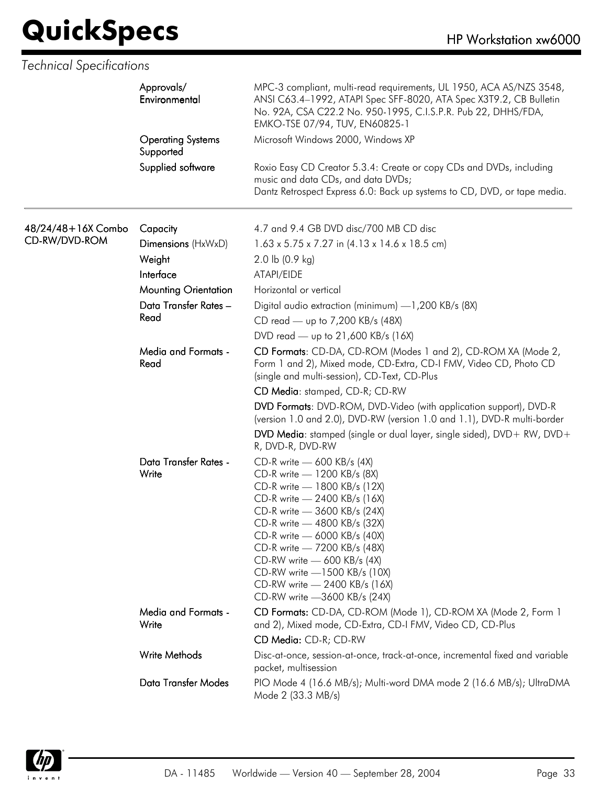|                    | Approvals/<br>Environmental           | MPC-3 compliant, multi-read requirements, UL 1950, ACA AS/NZS 3548,<br>ANSI C63.4-1992, ATAPI Spec SFF-8020, ATA Spec X3T9.2, CB Bulletin<br>No. 92A, CSA C22.2 No. 950-1995, C.I.S.P.R. Pub 22, DHHS/FDA,<br>EMKO-TSE 07/94, TUV, EN60825-1                                                                                                                                              |
|--------------------|---------------------------------------|-------------------------------------------------------------------------------------------------------------------------------------------------------------------------------------------------------------------------------------------------------------------------------------------------------------------------------------------------------------------------------------------|
|                    | <b>Operating Systems</b><br>Supported | Microsoft Windows 2000, Windows XP                                                                                                                                                                                                                                                                                                                                                        |
|                    | Supplied software                     | Roxio Easy CD Creator 5.3.4: Create or copy CDs and DVDs, including<br>music and data CDs, and data DVDs;<br>Dantz Retrospect Express 6.0: Back up systems to CD, DVD, or tape media.                                                                                                                                                                                                     |
| 48/24/48+16X Combo | Capacity                              | 4.7 and 9.4 GB DVD disc/700 MB CD disc                                                                                                                                                                                                                                                                                                                                                    |
| CD-RW/DVD-ROM      | Dimensions (HxWxD)                    | $1.63 \times 5.75 \times 7.27$ in $(4.13 \times 14.6 \times 18.5$ cm)                                                                                                                                                                                                                                                                                                                     |
|                    | Weight                                | $2.0$ lb $(0.9$ kg)                                                                                                                                                                                                                                                                                                                                                                       |
|                    | Interface                             | ATAPI/EIDE                                                                                                                                                                                                                                                                                                                                                                                |
|                    | <b>Mounting Orientation</b>           | Horizontal or vertical                                                                                                                                                                                                                                                                                                                                                                    |
|                    | Data Transfer Rates -                 | Digital audio extraction (minimum) -1,200 KB/s (8X)                                                                                                                                                                                                                                                                                                                                       |
|                    | Read                                  | CD read — up to 7,200 KB/s (48X)                                                                                                                                                                                                                                                                                                                                                          |
|                    |                                       | DVD read — up to 21,600 KB/s (16X)                                                                                                                                                                                                                                                                                                                                                        |
|                    | Media and Formats -<br>Read           | CD Formats: CD-DA, CD-ROM (Modes 1 and 2), CD-ROM XA (Mode 2,<br>Form 1 and 2), Mixed mode, CD-Extra, CD-I FMV, Video CD, Photo CD<br>(single and multi-session), CD-Text, CD-Plus                                                                                                                                                                                                        |
|                    |                                       | CD Media: stamped, CD-R; CD-RW                                                                                                                                                                                                                                                                                                                                                            |
|                    |                                       | DVD Formats: DVD-ROM, DVD-Video (with application support), DVD-R<br>(version 1.0 and 2.0), DVD-RW (version 1.0 and 1.1), DVD-R multi-border                                                                                                                                                                                                                                              |
|                    |                                       | DVD Media: stamped (single or dual layer, single sided), DVD+ RW, DVD+<br>R, DVD-R, DVD-RW                                                                                                                                                                                                                                                                                                |
|                    | Data Transfer Rates -<br>Write        | CD-R write - 600 KB/s (4X)<br>CD-R write - 1200 KB/s (8X)<br>CD-R write - 1800 KB/s (12X)<br>CD-R write - 2400 KB/s (16X)<br>CD-R write - 3600 KB/s (24X)<br>CD-R write - 4800 KB/s (32X)<br>CD-R write - 6000 KB/s (40X)<br>CD-R write - 7200 KB/s (48X)<br>CD-RW write - 600 KB/s (4X)<br>CD-RW write -1500 KB/s (10X)<br>CD-RW write - 2400 KB/s (16X)<br>CD-RW write -3600 KB/s (24X) |
|                    | Media and Formats -<br>Write          | CD Formats: CD-DA, CD-ROM (Mode 1), CD-ROM XA (Mode 2, Form 1<br>and 2), Mixed mode, CD-Extra, CD-I FMV, Video CD, CD-Plus                                                                                                                                                                                                                                                                |
|                    |                                       | CD Media: CD-R; CD-RW                                                                                                                                                                                                                                                                                                                                                                     |
|                    | Write Methods                         | Disc-at-once, session-at-once, track-at-once, incremental fixed and variable<br>packet, multisession                                                                                                                                                                                                                                                                                      |
|                    | <b>Data Transfer Modes</b>            | PIO Mode 4 (16.6 MB/s); Multi-word DMA mode 2 (16.6 MB/s); UltraDMA<br>Mode 2 (33.3 MB/s)                                                                                                                                                                                                                                                                                                 |

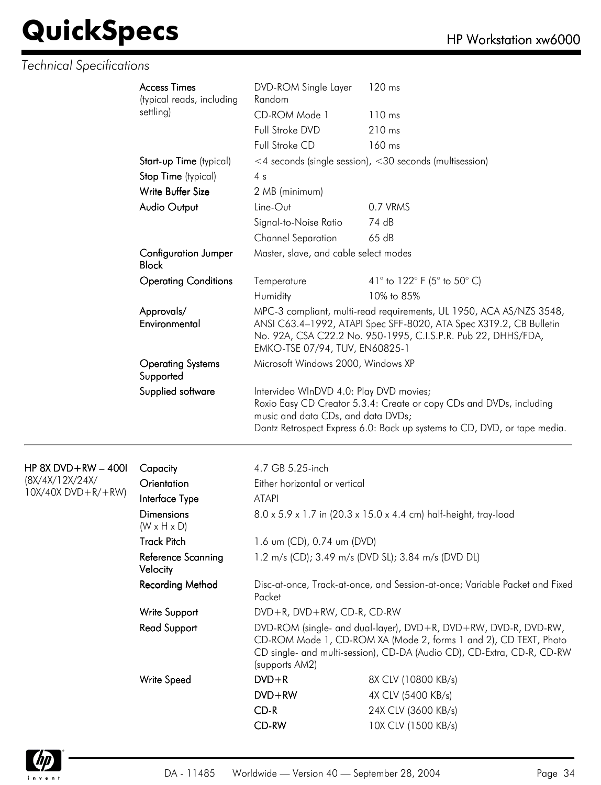#### *Technical Specifications*

|                          | <b>Access Times</b>                                                                                       | DVD-ROM Single Layer                                                          | 120 ms                                                                                                                                                                                                     |
|--------------------------|-----------------------------------------------------------------------------------------------------------|-------------------------------------------------------------------------------|------------------------------------------------------------------------------------------------------------------------------------------------------------------------------------------------------------|
|                          | (typical reads, including                                                                                 | Random                                                                        |                                                                                                                                                                                                            |
|                          | settling)                                                                                                 | CD-ROM Mode 1                                                                 | 110 ms                                                                                                                                                                                                     |
|                          |                                                                                                           | Full Stroke DVD                                                               | 210 ms                                                                                                                                                                                                     |
|                          |                                                                                                           | Full Stroke CD                                                                | 160 ms                                                                                                                                                                                                     |
|                          | Start-up Time (typical)                                                                                   |                                                                               | $\leq$ 4 seconds (single session), $\leq$ 30 seconds (multisession)                                                                                                                                        |
|                          | Stop Time (typical)                                                                                       | 4s                                                                            |                                                                                                                                                                                                            |
|                          | Write Buffer Size                                                                                         | 2 MB (minimum)                                                                |                                                                                                                                                                                                            |
|                          | <b>Audio Output</b>                                                                                       | Line-Out                                                                      | 0.7 VRMS                                                                                                                                                                                                   |
|                          |                                                                                                           | Signal-to-Noise Ratio                                                         | 74 dB                                                                                                                                                                                                      |
|                          |                                                                                                           | <b>Channel Separation</b>                                                     | 65 dB                                                                                                                                                                                                      |
|                          | <b>Configuration Jumper</b><br><b>Block</b><br><b>Operating Conditions</b><br>Approvals/<br>Environmental | Master, slave, and cable select modes                                         |                                                                                                                                                                                                            |
|                          |                                                                                                           | Temperature                                                                   | 41 $\degree$ to 122 $\degree$ F (5 $\degree$ to 50 $\degree$ C)                                                                                                                                            |
|                          |                                                                                                           | Humidity                                                                      | 10% to 85%                                                                                                                                                                                                 |
|                          |                                                                                                           | EMKO-TSE 07/94, TUV, EN60825-1                                                | MPC-3 compliant, multi-read requirements, UL 1950, ACA AS/NZS 3548,<br>ANSI C63.4-1992, ATAPI Spec SFF-8020, ATA Spec X3T9.2, CB Bulletin<br>No. 92A, CSA C22.2 No. 950-1995, C.I.S.P.R. Pub 22, DHHS/FDA, |
|                          | <b>Operating Systems</b><br>Supported                                                                     | Microsoft Windows 2000, Windows XP                                            |                                                                                                                                                                                                            |
|                          | Supplied software                                                                                         | Intervideo WInDVD 4.0: Play DVD movies;<br>music and data CDs, and data DVDs; | Roxio Easy CD Creator 5.3.4: Create or copy CDs and DVDs, including<br>Dantz Retrospect Express 6.0: Back up systems to CD, DVD, or tape media.                                                            |
|                          |                                                                                                           |                                                                               |                                                                                                                                                                                                            |
| HP 8X DVD+RW $-$ 400l    | Capacity                                                                                                  | 4.7 GB 5.25-inch                                                              |                                                                                                                                                                                                            |
| (8X/4X/12X/24X/          | Orientation                                                                                               | Either horizontal or vertical                                                 |                                                                                                                                                                                                            |
| $10X/40X$ DVD + R/ + RW) | Interface Type                                                                                            | <b>ATAPI</b>                                                                  |                                                                                                                                                                                                            |
|                          | Dimensions                                                                                                | 8.0 x 5.9 x 1.7 in (20.3 x 1.5 0 x 4.4 cm) half-height trav-load              |                                                                                                                                                                                                            |

| (8X/4X/12X/24X/<br>$10X/40X$ DVD + R/ + RW) | Orientation                           | Either horizontal or vertical                                                         |                                                                                                                                                                                                               |  |
|---------------------------------------------|---------------------------------------|---------------------------------------------------------------------------------------|---------------------------------------------------------------------------------------------------------------------------------------------------------------------------------------------------------------|--|
|                                             | Interface Type                        | ATAPI                                                                                 |                                                                                                                                                                                                               |  |
|                                             | Dimensions<br>$(W \times H \times D)$ |                                                                                       | 8.0 x 5.9 x 1.7 in (20.3 x 15.0 x 4.4 cm) half-height, tray-load                                                                                                                                              |  |
|                                             | <b>Track Pitch</b>                    | 1.6 um (CD), 0.74 um (DVD)                                                            |                                                                                                                                                                                                               |  |
|                                             | Reference Scanning<br>Velocity        | 1.2 m/s (CD); 3.49 m/s (DVD SL); 3.84 m/s (DVD DL)                                    |                                                                                                                                                                                                               |  |
|                                             | <b>Recording Method</b>               | Disc-at-once, Track-at-once, and Session-at-once; Variable Packet and Fixed<br>Packet |                                                                                                                                                                                                               |  |
|                                             | Write Support                         | $DVD + R$ , $DVD + RW$ , $CD-R$ , $CD-RW$                                             |                                                                                                                                                                                                               |  |
|                                             | Read Support                          | (supports AM2)                                                                        | DVD-ROM (single- and dual-layer), DVD+R, DVD+RW, DVD-R, DVD-RW,<br>CD-ROM Mode 1, CD-ROM XA (Mode 2, forms 1 and 2), CD TEXT, Photo<br>CD single- and multi-session), CD-DA (Audio CD), CD-Extra, CD-R, CD-RW |  |
|                                             | Write Speed                           | $DVD + R$                                                                             | 8X CLV (10800 KB/s)                                                                                                                                                                                           |  |
|                                             |                                       | $DVD + RW$                                                                            | 4X CLV (5400 KB/s)                                                                                                                                                                                            |  |
|                                             |                                       | $CD-R$                                                                                | 24X CLV (3600 KB/s)                                                                                                                                                                                           |  |
|                                             |                                       | CD-RW                                                                                 | 10X CLV (1500 KB/s)                                                                                                                                                                                           |  |
|                                             |                                       |                                                                                       |                                                                                                                                                                                                               |  |

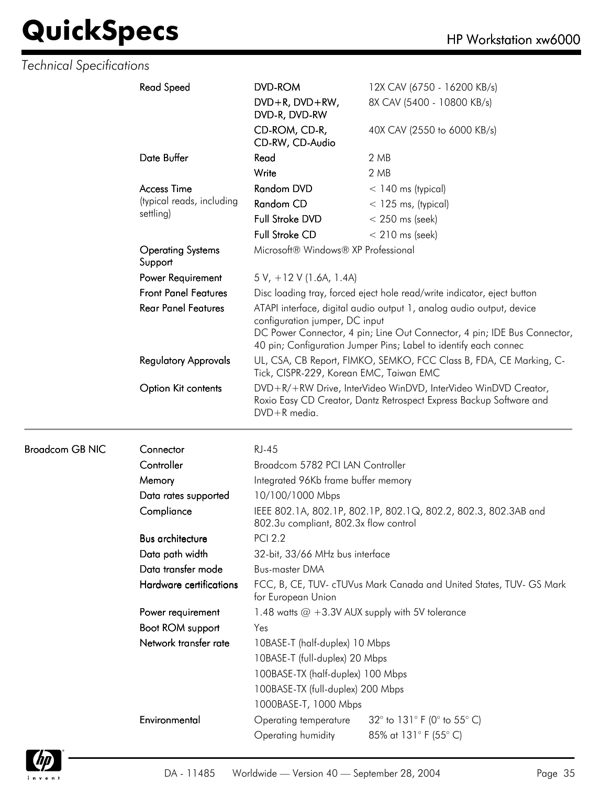|                        | <b>Read Speed</b>                   | <b>DVD-ROM</b>                                                                                                                             | 12X CAV (6750 - 16200 KB/s)                                                                                                                                                                                          |  |
|------------------------|-------------------------------------|--------------------------------------------------------------------------------------------------------------------------------------------|----------------------------------------------------------------------------------------------------------------------------------------------------------------------------------------------------------------------|--|
|                        |                                     | DVD+R, DVD+RW,<br>DVD-R, DVD-RW                                                                                                            | 8X CAV (5400 - 10800 KB/s)                                                                                                                                                                                           |  |
|                        |                                     | CD-ROM, CD-R,<br>CD-RW, CD-Audio                                                                                                           | 40X CAV (2550 to 6000 KB/s)                                                                                                                                                                                          |  |
|                        | Date Buffer                         | Read                                                                                                                                       | 2 MB                                                                                                                                                                                                                 |  |
|                        |                                     | Write                                                                                                                                      | 2 MB                                                                                                                                                                                                                 |  |
|                        | <b>Access Time</b>                  | Random DVD                                                                                                                                 | $<$ 140 ms (typical)                                                                                                                                                                                                 |  |
|                        | (typical reads, including           | Random CD                                                                                                                                  | $<$ 125 ms, (typical)                                                                                                                                                                                                |  |
|                        | settling)                           | Full Stroke DVD                                                                                                                            | $<$ 250 ms (seek)                                                                                                                                                                                                    |  |
|                        |                                     | <b>Full Stroke CD</b>                                                                                                                      | $< 210$ ms (seek)                                                                                                                                                                                                    |  |
|                        | <b>Operating Systems</b><br>Support | Microsoft® Windows® XP Professional                                                                                                        |                                                                                                                                                                                                                      |  |
|                        | Power Requirement                   | $5 V, +12 V (1.6A, 1.4A)$                                                                                                                  |                                                                                                                                                                                                                      |  |
|                        | <b>Front Panel Features</b>         |                                                                                                                                            | Disc loading tray, forced eject hole read/write indicator, eject button                                                                                                                                              |  |
|                        | <b>Rear Panel Features</b>          | configuration jumper, DC input                                                                                                             | ATAPI interface, digital audio output 1, analog audio output, device<br>DC Power Connector, 4 pin; Line Out Connector, 4 pin; IDE Bus Connector,<br>40 pin; Configuration Jumper Pins; Label to identify each connec |  |
|                        | <b>Regulatory Approvals</b>         | UL, CSA, CB Report, FIMKO, SEMKO, FCC Class B, FDA, CE Marking, C-<br>Tick, CISPR-229, Korean EMC, Taiwan EMC                              |                                                                                                                                                                                                                      |  |
|                        | Option Kit contents                 | DVD+R media.                                                                                                                               | DVD+R/+RW Drive, InterVideo WinDVD, InterVideo WinDVD Creator,<br>Roxio Easy CD Creator, Dantz Retrospect Express Backup Software and                                                                                |  |
| <b>Broadcom GB NIC</b> | Connector                           | <b>RJ-45</b>                                                                                                                               |                                                                                                                                                                                                                      |  |
|                        | Controller                          | Broadcom 5782 PCI LAN Controller                                                                                                           |                                                                                                                                                                                                                      |  |
|                        | Memory                              | Integrated 96Kb frame buffer memory                                                                                                        |                                                                                                                                                                                                                      |  |
|                        | Data rates supported                | 10/100/1000 Mbps                                                                                                                           |                                                                                                                                                                                                                      |  |
|                        | Compliance                          | 802.3 <sub>v</sub> compliant, 802.3x flow control                                                                                          | IEEE 802.1A, 802.1P, 802.1P, 802.1Q, 802.2, 802.3, 802.3AB and                                                                                                                                                       |  |
|                        | <b>Bus architecture</b>             | <b>PCI 2.2</b>                                                                                                                             |                                                                                                                                                                                                                      |  |
|                        | Data path width                     | 32-bit, 33/66 MHz bus interface                                                                                                            |                                                                                                                                                                                                                      |  |
|                        | Data transfer mode                  | <b>Bus-master DMA</b>                                                                                                                      |                                                                                                                                                                                                                      |  |
|                        | Hardware certifications             | for European Union                                                                                                                         | FCC, B, CE, TUV- cTUVus Mark Canada and United States, TUV- GS Mark                                                                                                                                                  |  |
|                        | Power requirement                   |                                                                                                                                            | 1.48 watts $@ + 3.3V$ AUX supply with 5V tolerance                                                                                                                                                                   |  |
|                        | Boot ROM support                    | Yes                                                                                                                                        |                                                                                                                                                                                                                      |  |
|                        | Network transfer rate               | 10BASE-T (half-duplex) 10 Mbps<br>10BASE-T (full-duplex) 20 Mbps<br>100BASE-TX (half-duplex) 100 Mbps<br>100BASE-TX (full-duplex) 200 Mbps |                                                                                                                                                                                                                      |  |
|                        |                                     | 1000BASE-T, 1000 Mbps                                                                                                                      |                                                                                                                                                                                                                      |  |
|                        | Environmental                       | Operating temperature                                                                                                                      | 32° to 131° F (0° to 55° C)                                                                                                                                                                                          |  |

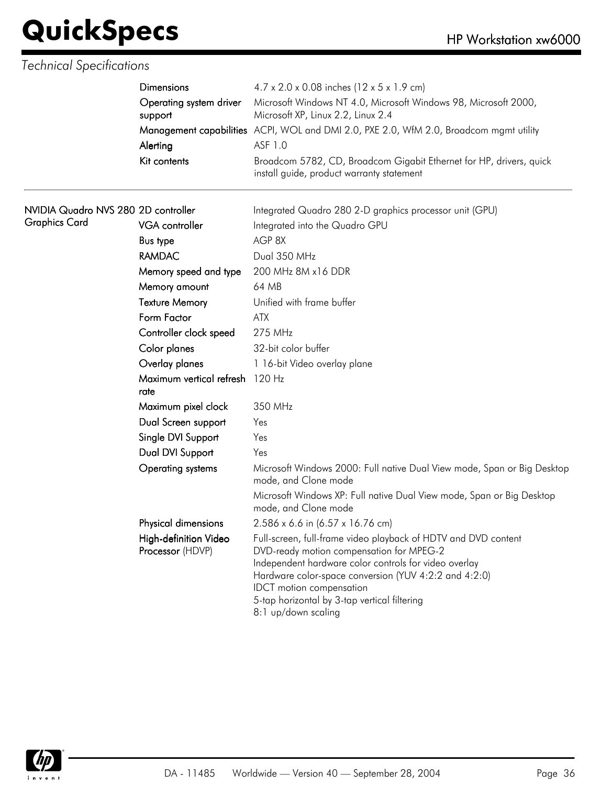|                                     | Dimensions<br>Operating system driver<br>support | 4.7 x 2.0 x 0.08 inches (12 x 5 x 1.9 cm)                                                                                                                                                                                                                                                                                              |  |  |
|-------------------------------------|--------------------------------------------------|----------------------------------------------------------------------------------------------------------------------------------------------------------------------------------------------------------------------------------------------------------------------------------------------------------------------------------------|--|--|
|                                     |                                                  | Microsoft Windows NT 4.0, Microsoft Windows 98, Microsoft 2000,<br>Microsoft XP, Linux 2.2, Linux 2.4                                                                                                                                                                                                                                  |  |  |
|                                     |                                                  | Management capabilities ACPI, WOL and DMI 2.0, PXE 2.0, WfM 2.0, Broadcom mgmt utility                                                                                                                                                                                                                                                 |  |  |
|                                     | Alerting                                         | ASF 1.0                                                                                                                                                                                                                                                                                                                                |  |  |
|                                     | Kit contents                                     | Broadcom 5782, CD, Broadcom Gigabit Ethernet for HP, drivers, quick<br>install guide, product warranty statement                                                                                                                                                                                                                       |  |  |
| NVIDIA Quadro NVS 280 2D controller |                                                  | Integrated Quadro 280 2-D graphics processor unit (GPU)                                                                                                                                                                                                                                                                                |  |  |
| <b>Graphics Card</b>                | <b>VGA</b> controller                            | Integrated into the Quadro GPU                                                                                                                                                                                                                                                                                                         |  |  |
|                                     | <b>Bus type</b>                                  | AGP 8X                                                                                                                                                                                                                                                                                                                                 |  |  |
|                                     | <b>RAMDAC</b>                                    | Dual 350 MHz                                                                                                                                                                                                                                                                                                                           |  |  |
|                                     | Memory speed and type                            | 200 MHz 8M x16 DDR                                                                                                                                                                                                                                                                                                                     |  |  |
|                                     | Memory amount                                    | 64 MB                                                                                                                                                                                                                                                                                                                                  |  |  |
|                                     | <b>Texture Memory</b>                            | Unified with frame buffer                                                                                                                                                                                                                                                                                                              |  |  |
|                                     | Form Factor                                      | <b>ATX</b>                                                                                                                                                                                                                                                                                                                             |  |  |
|                                     | Controller clock speed                           | 275 MHz                                                                                                                                                                                                                                                                                                                                |  |  |
|                                     | Color planes                                     | 32-bit color buffer                                                                                                                                                                                                                                                                                                                    |  |  |
|                                     | Overlay planes                                   | 1 16-bit Video overlay plane                                                                                                                                                                                                                                                                                                           |  |  |
|                                     | Maximum vertical refresh 120 Hz<br>rate          |                                                                                                                                                                                                                                                                                                                                        |  |  |
|                                     | Maximum pixel clock                              | 350 MHz                                                                                                                                                                                                                                                                                                                                |  |  |
|                                     | Dual Screen support                              | Yes                                                                                                                                                                                                                                                                                                                                    |  |  |
|                                     | Single DVI Support                               | Yes                                                                                                                                                                                                                                                                                                                                    |  |  |
|                                     | Dual DVI Support                                 | Yes                                                                                                                                                                                                                                                                                                                                    |  |  |
|                                     | <b>Operating systems</b>                         | Microsoft Windows 2000: Full native Dual View mode, Span or Big Desktop<br>mode, and Clone mode                                                                                                                                                                                                                                        |  |  |
|                                     |                                                  | Microsoft Windows XP: Full native Dual View mode, Span or Big Desktop<br>mode, and Clone mode                                                                                                                                                                                                                                          |  |  |
|                                     | Physical dimensions                              | 2.586 x 6.6 in (6.57 x 16.76 cm)                                                                                                                                                                                                                                                                                                       |  |  |
|                                     | High-definition Video<br>Processor (HDVP)        | Full-screen, full-frame video playback of HDTV and DVD content<br>DVD-ready motion compensation for MPEG-2<br>Independent hardware color controls for video overlay<br>Hardware color-space conversion (YUV 4:2:2 and 4:2:0)<br><b>IDCT</b> motion compensation<br>5-tap horizontal by 3-tap vertical filtering<br>8:1 up/down scaling |  |  |

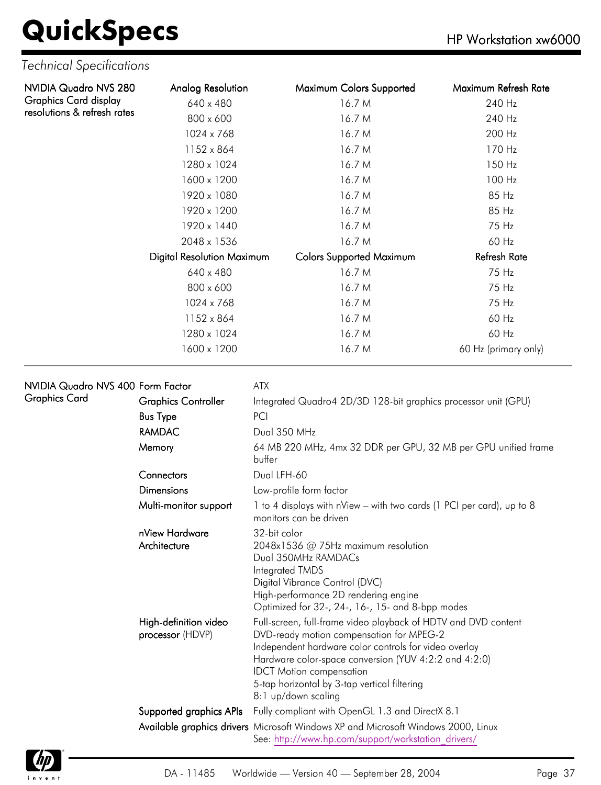| NVIDIA Quadro NVS 280        | Analog Resolution                 | Maximum Colors Supported        | Maximum Refresh Rate |
|------------------------------|-----------------------------------|---------------------------------|----------------------|
| <b>Graphics Card display</b> | 640 x 480                         | 16.7 M                          | 240 Hz               |
| resolutions & refresh rates  | 800 x 600                         | 16.7 M                          | 240 Hz               |
|                              | 1024 x 768                        | 16.7 M                          | 200 Hz               |
|                              | 1152 x 864                        | 16.7 M                          | 170 Hz               |
|                              | 1280 x 1024                       | 16.7 M                          | 150 Hz               |
|                              | 1600 x 1200                       | 16.7 M                          | 100 Hz               |
|                              | 1920 x 1080                       | 16.7 M                          | 85 Hz                |
|                              | 1920 x 1200                       | 16.7 M                          | 85 Hz                |
|                              | 1920 x 1440                       | 16.7 M                          | 75 Hz                |
|                              | 2048 x 1536                       | 16.7 M                          | 60 Hz                |
|                              | <b>Digital Resolution Maximum</b> | <b>Colors Supported Maximum</b> | <b>Refresh Rate</b>  |
|                              | 640 x 480                         | 16.7 M                          | 75 Hz                |
|                              | 800 x 600                         | 16.7 M                          | 75 Hz                |
|                              | 1024 x 768                        | 16.7 M                          | 75 Hz                |
|                              | 1152 x 864                        | 16.7 M                          | 60 Hz                |
|                              | 1280 x 1024                       | 16.7 M                          | 60 Hz                |
|                              | 1600 x 1200                       | 16.7 M                          | 60 Hz (primary only) |

| NVIDIA Quadro NVS 400 Form Factor |                                           | <b>ATX</b>                                                                                                                                                                                                                                                                                                                             |
|-----------------------------------|-------------------------------------------|----------------------------------------------------------------------------------------------------------------------------------------------------------------------------------------------------------------------------------------------------------------------------------------------------------------------------------------|
| Graphics Card                     | <b>Graphics Controller</b>                | Integrated Quadro4 2D/3D 128-bit graphics processor unit (GPU)                                                                                                                                                                                                                                                                         |
|                                   | <b>Bus Type</b>                           | PCI                                                                                                                                                                                                                                                                                                                                    |
|                                   | <b>RAMDAC</b>                             | Dual 350 MHz                                                                                                                                                                                                                                                                                                                           |
|                                   | Memory                                    | 64 MB 220 MHz, 4mx 32 DDR per GPU, 32 MB per GPU unified frame<br>buffer                                                                                                                                                                                                                                                               |
|                                   | Connectors                                | Dual LFH-60                                                                                                                                                                                                                                                                                                                            |
|                                   | <b>Dimensions</b>                         | Low-profile form factor                                                                                                                                                                                                                                                                                                                |
|                                   | Multi-monitor support                     | 1 to 4 displays with nView – with two cards (1 PCI per card), up to 8<br>monitors can be driven                                                                                                                                                                                                                                        |
|                                   | nView Hardware<br>Architecture            | 32-bit color<br>2048x1536 @ 75Hz maximum resolution<br>Dual 350MHz RAMDACs<br>Integrated TMDS<br>Digital Vibrance Control (DVC)<br>High-performance 2D rendering engine<br>Optimized for 32-, 24-, 16-, 15- and 8-bpp modes                                                                                                            |
|                                   | High-definition video<br>processor (HDVP) | Full-screen, full-frame video playback of HDTV and DVD content<br>DVD-ready motion compensation for MPEG-2<br>Independent hardware color controls for video overlay<br>Hardware color-space conversion (YUV 4:2:2 and 4:2:0)<br><b>IDCT</b> Motion compensation<br>5-tap horizontal by 3-tap vertical filtering<br>8:1 up/down scaling |
|                                   |                                           | Supported graphics APIs Fully compliant with OpenGL 1.3 and DirectX 8.1                                                                                                                                                                                                                                                                |
|                                   |                                           | Available graphics drivers Microsoft Windows XP and Microsoft Windows 2000, Linux<br>See: http://www.hp.com/support/workstation drivers/                                                                                                                                                                                               |

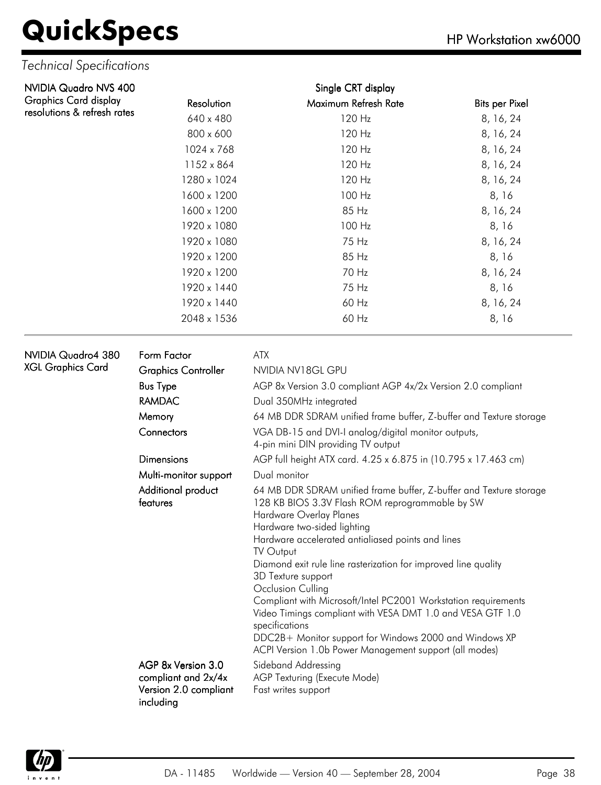#### *Technical Specifications*

| NVIDIA Quadro NVS 400       |                                           | Single CRT display                                                                                                                                                                                                                                                                                                                                                                                                                                                                                                                                                                                                                   |                       |  |  |
|-----------------------------|-------------------------------------------|--------------------------------------------------------------------------------------------------------------------------------------------------------------------------------------------------------------------------------------------------------------------------------------------------------------------------------------------------------------------------------------------------------------------------------------------------------------------------------------------------------------------------------------------------------------------------------------------------------------------------------------|-----------------------|--|--|
| Graphics Card display       | Resolution                                | Maximum Refresh Rate                                                                                                                                                                                                                                                                                                                                                                                                                                                                                                                                                                                                                 | <b>Bits per Pixel</b> |  |  |
| resolutions & refresh rates | 640 x 480                                 | 120 Hz                                                                                                                                                                                                                                                                                                                                                                                                                                                                                                                                                                                                                               | 8, 16, 24             |  |  |
|                             | 800 x 600                                 | 120 Hz                                                                                                                                                                                                                                                                                                                                                                                                                                                                                                                                                                                                                               | 8, 16, 24             |  |  |
|                             | 1024 x 768                                | 120 Hz                                                                                                                                                                                                                                                                                                                                                                                                                                                                                                                                                                                                                               | 8, 16, 24             |  |  |
|                             | 1152 x 864                                | 120 Hz                                                                                                                                                                                                                                                                                                                                                                                                                                                                                                                                                                                                                               | 8, 16, 24             |  |  |
|                             | 1280 x 1024                               | 120 Hz                                                                                                                                                                                                                                                                                                                                                                                                                                                                                                                                                                                                                               | 8, 16, 24             |  |  |
|                             | 1600 x 1200                               | 100 Hz                                                                                                                                                                                                                                                                                                                                                                                                                                                                                                                                                                                                                               | 8, 16                 |  |  |
|                             | 1600 x 1200                               | 85 Hz                                                                                                                                                                                                                                                                                                                                                                                                                                                                                                                                                                                                                                | 8, 16, 24             |  |  |
|                             | 1920 x 1080                               | 100 Hz                                                                                                                                                                                                                                                                                                                                                                                                                                                                                                                                                                                                                               | 8, 16                 |  |  |
|                             | 1920 x 1080                               | 75 Hz                                                                                                                                                                                                                                                                                                                                                                                                                                                                                                                                                                                                                                | 8, 16, 24             |  |  |
|                             | 1920 x 1200                               | 85 Hz                                                                                                                                                                                                                                                                                                                                                                                                                                                                                                                                                                                                                                | 8, 16                 |  |  |
|                             | 1920 x 1200                               | 70 Hz                                                                                                                                                                                                                                                                                                                                                                                                                                                                                                                                                                                                                                | 8, 16, 24             |  |  |
|                             | 1920 x 1440                               | 75 Hz                                                                                                                                                                                                                                                                                                                                                                                                                                                                                                                                                                                                                                | 8, 16                 |  |  |
|                             | 1920 x 1440                               | 60 Hz                                                                                                                                                                                                                                                                                                                                                                                                                                                                                                                                                                                                                                | 8, 16, 24             |  |  |
|                             | 2048 x 1536                               | 60 Hz                                                                                                                                                                                                                                                                                                                                                                                                                                                                                                                                                                                                                                | 8,16                  |  |  |
| NVIDIA Quadro4 380          | Form Factor                               | ATX                                                                                                                                                                                                                                                                                                                                                                                                                                                                                                                                                                                                                                  |                       |  |  |
| XGL Graphics Card           | <b>Graphics Controller</b>                | NVIDIA NV18GL GPU                                                                                                                                                                                                                                                                                                                                                                                                                                                                                                                                                                                                                    |                       |  |  |
|                             | <b>Bus Type</b>                           | AGP 8x Version 3.0 compliant AGP 4x/2x Version 2.0 compliant                                                                                                                                                                                                                                                                                                                                                                                                                                                                                                                                                                         |                       |  |  |
|                             | <b>RAMDAC</b>                             | Dual 350MHz integrated                                                                                                                                                                                                                                                                                                                                                                                                                                                                                                                                                                                                               |                       |  |  |
|                             | Memory                                    | 64 MB DDR SDRAM unified frame buffer, Z-buffer and Texture storage                                                                                                                                                                                                                                                                                                                                                                                                                                                                                                                                                                   |                       |  |  |
|                             | Connectors                                | VGA DB-15 and DVI-I analog/digital monitor outputs,<br>4-pin mini DIN providing TV output                                                                                                                                                                                                                                                                                                                                                                                                                                                                                                                                            |                       |  |  |
|                             | <b>Dimensions</b>                         | AGP full height ATX card. 4.25 x 6.875 in (10.795 x 17.463 cm)                                                                                                                                                                                                                                                                                                                                                                                                                                                                                                                                                                       |                       |  |  |
|                             | Multi-monitor support                     | Dual monitor                                                                                                                                                                                                                                                                                                                                                                                                                                                                                                                                                                                                                         |                       |  |  |
|                             | Additional product<br>features            | 64 MB DDR SDRAM unified frame buffer, Z-buffer and Texture storage<br>128 KB BIOS 3.3V Flash ROM reprogrammable by SW<br>Hardware Overlay Planes<br>Hardware two-sided lighting<br>Hardware accelerated antialiased points and lines<br>TV Output<br>Diamond exit rule line rasterization for improved line quality<br>3D Texture support<br>Occlusion Culling<br>Compliant with Microsoft/Intel PC2001 Workstation requirements<br>Video Timings compliant with VESA DMT 1.0 and VESA GTF 1.0<br>specifications<br>DDC2B+ Monitor support for Windows 2000 and Windows XP<br>ACPI Version 1.0b Power Management support (all modes) |                       |  |  |
|                             | AGP 8x Version 3.0<br>compliant and 2x/4x | Sideband Addressing<br>AGP Texturing (Execute Mode)                                                                                                                                                                                                                                                                                                                                                                                                                                                                                                                                                                                  |                       |  |  |

AGP Texturing (Execute Mode) Fast writes support

including

Version 2.0 compliant

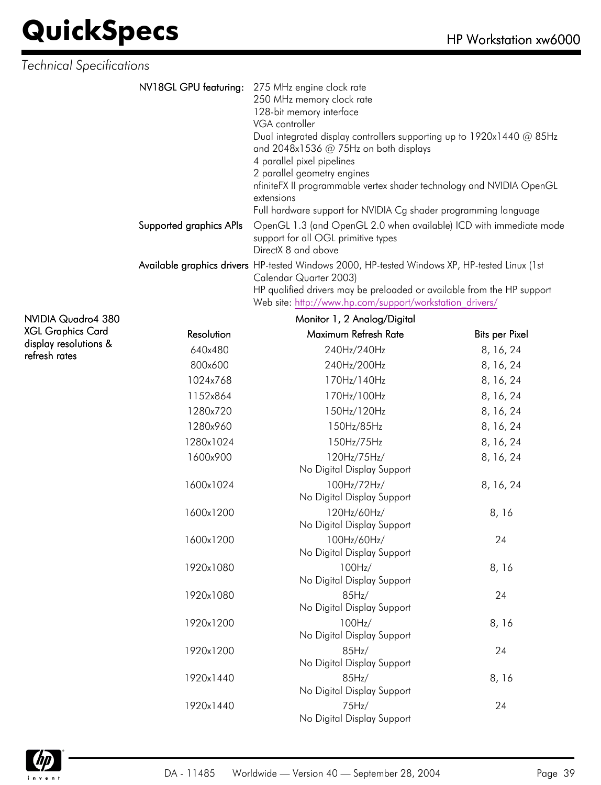| <b>Technical Specifications</b> |                                                                                                                                                                                                                                                                                                                                                                                                                                                |
|---------------------------------|------------------------------------------------------------------------------------------------------------------------------------------------------------------------------------------------------------------------------------------------------------------------------------------------------------------------------------------------------------------------------------------------------------------------------------------------|
| NV18GL GPU featuring:           | 275 MHz engine clock rate<br>250 MHz memory clock rate<br>128-bit memory interface<br>VGA controller<br>Dual integrated display controllers supporting up to 1920x1440 @ 85Hz<br>and $2048x1536$ @ 75Hz on both displays<br>4 parallel pixel pipelines<br>2 parallel geometry engines<br>nfiniteFX II programmable vertex shader technology and NVIDIA OpenGL<br>extensions<br>Full hardware support for NVIDIA Cg shader programming language |
| Supported graphics APIs         | OpenGL 1.3 (and OpenGL 2.0 when available) ICD with immediate mode<br>support for all OGL primitive types<br>DirectX 8 and above                                                                                                                                                                                                                                                                                                               |
|                                 | Available graphics drivers HP-tested Windows 2000, HP-tested Windows XP, HP-tested Linux (1st<br>Calendar Quarter 2003)<br>HP qualified drivers may be preloaded or available from the HP support<br>Web site: http://www.hp.com/support/workstation drivers/                                                                                                                                                                                  |

NVIDIA Quadro4 380 XGL Graphics Card display resolutions & refresh rates

|            | Monitor 1, 2 Analog/Digital               |                       |
|------------|-------------------------------------------|-----------------------|
| Resolution | Maximum Refresh Rate                      | <b>Bits per Pixel</b> |
| 640x480    | 240Hz/240Hz                               | 8, 16, 24             |
| 800x600    | 240Hz/200Hz                               | 8, 16, 24             |
| 1024x768   | 170Hz/140Hz                               | 8, 16, 24             |
| 1152x864   | 170Hz/100Hz                               | 8, 16, 24             |
| 1280x720   | 150Hz/120Hz                               | 8, 16, 24             |
| 1280x960   | 150Hz/85Hz                                | 8, 16, 24             |
| 1280x1024  | 150Hz/75Hz                                | 8, 16, 24             |
| 1600x900   | 120Hz/75Hz/<br>No Digital Display Support | 8, 16, 24             |
| 1600x1024  | 100Hz/72Hz/<br>No Digital Display Support | 8, 16, 24             |
| 1600x1200  | 120Hz/60Hz/<br>No Digital Display Support | 8, 16                 |
| 1600x1200  | 100Hz/60Hz/<br>No Digital Display Support | 24                    |
| 1920x1080  | 100Hz/<br>No Digital Display Support      | 8, 16                 |
| 1920x1080  | 85Hz/<br>No Digital Display Support       | 24                    |
| 1920x1200  | 100Hz/<br>No Digital Display Support      | 8,16                  |
| 1920x1200  | 85Hz/<br>No Digital Display Support       | 24                    |
| 1920x1440  | 85Hz/<br>No Digital Display Support       | 8, 16                 |
| 1920x1440  | 75Hz/<br>No Digital Display Support       | 24                    |

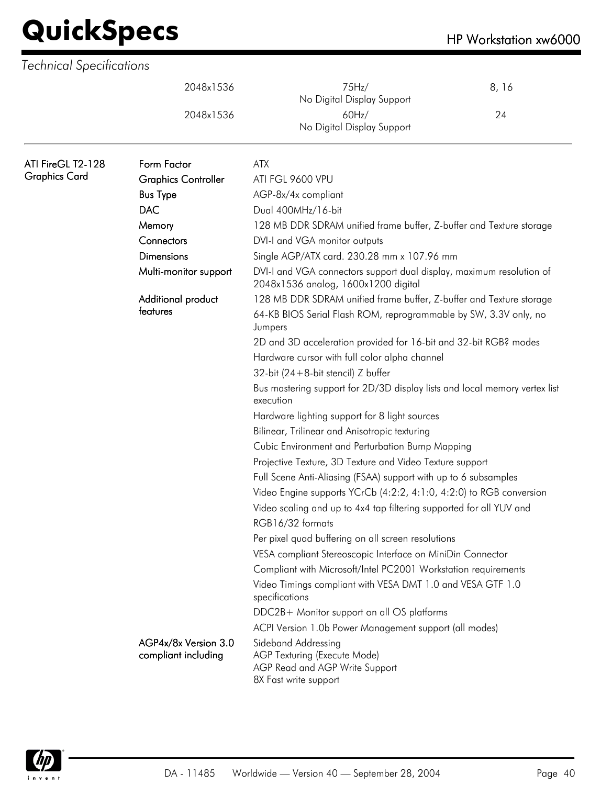|                      | 2048x1536                                   | 75Hz/<br>No Digital Display Support                                                                                                                | 8,16 |  |  |  |  |
|----------------------|---------------------------------------------|----------------------------------------------------------------------------------------------------------------------------------------------------|------|--|--|--|--|
|                      | 2048x1536                                   | 60Hz/<br>No Digital Display Support                                                                                                                | 24   |  |  |  |  |
| ATI FireGL T2-128    | Form Factor                                 | <b>ATX</b>                                                                                                                                         |      |  |  |  |  |
| <b>Graphics Card</b> | <b>Graphics Controller</b>                  | ATI FGL 9600 VPU                                                                                                                                   |      |  |  |  |  |
|                      | <b>Bus Type</b>                             | AGP-8x/4x compliant                                                                                                                                |      |  |  |  |  |
|                      | <b>DAC</b>                                  | Dual 400MHz/16-bit                                                                                                                                 |      |  |  |  |  |
|                      | Memory                                      | 128 MB DDR SDRAM unified frame buffer, Z-buffer and Texture storage                                                                                |      |  |  |  |  |
|                      | Connectors                                  | DVI-I and VGA monitor outputs                                                                                                                      |      |  |  |  |  |
|                      | <b>Dimensions</b>                           | Single AGP/ATX card. 230.28 mm x 107.96 mm                                                                                                         |      |  |  |  |  |
|                      | Multi-monitor support                       | DVI-I and VGA connectors support dual display, maximum resolution of<br>2048x1536 analog, 1600x1200 digital                                        |      |  |  |  |  |
|                      | Additional product<br>features              | 128 MB DDR SDRAM unified frame buffer, Z-buffer and Texture storage<br>64-KB BIOS Serial Flash ROM, reprogrammable by SW, 3.3V only, no<br>Jumpers |      |  |  |  |  |
|                      |                                             | 2D and 3D acceleration provided for 16-bit and 32-bit RGB? modes                                                                                   |      |  |  |  |  |
|                      |                                             | Hardware cursor with full color alpha channel                                                                                                      |      |  |  |  |  |
|                      |                                             | 32-bit $(24+8-bit$ stencil) Z buffer                                                                                                               |      |  |  |  |  |
|                      |                                             | Bus mastering support for 2D/3D display lists and local memory vertex list<br>execution                                                            |      |  |  |  |  |
|                      |                                             | Hardware lighting support for 8 light sources                                                                                                      |      |  |  |  |  |
|                      |                                             | Bilinear, Trilinear and Anisotropic texturing                                                                                                      |      |  |  |  |  |
|                      |                                             | Cubic Environment and Perturbation Bump Mapping                                                                                                    |      |  |  |  |  |
|                      |                                             | Projective Texture, 3D Texture and Video Texture support                                                                                           |      |  |  |  |  |
|                      |                                             | Full Scene Anti-Aliasing (FSAA) support with up to 6 subsamples                                                                                    |      |  |  |  |  |
|                      |                                             | Video Engine supports YCrCb (4:2:2, 4:1:0, 4:2:0) to RGB conversion                                                                                |      |  |  |  |  |
|                      |                                             | Video scaling and up to 4x4 tap filtering supported for all YUV and<br>RGB16/32 formats                                                            |      |  |  |  |  |
|                      |                                             | Per pixel quad buffering on all screen resolutions                                                                                                 |      |  |  |  |  |
|                      |                                             | VESA compliant Stereoscopic Interface on MiniDin Connector                                                                                         |      |  |  |  |  |
|                      |                                             | Compliant with Microsoft/Intel PC2001 Workstation requirements                                                                                     |      |  |  |  |  |
|                      |                                             | Video Timings compliant with VESA DMT 1.0 and VESA GTF 1.0<br>specifications                                                                       |      |  |  |  |  |
|                      |                                             | DDC2B+ Monitor support on all OS platforms                                                                                                         |      |  |  |  |  |
|                      |                                             | ACPI Version 1.0b Power Management support (all modes)                                                                                             |      |  |  |  |  |
|                      | AGP4x/8x Version 3.0<br>compliant including | Sideband Addressing<br>AGP Texturing (Execute Mode)<br>AGP Read and AGP Write Support<br>8X Fast write support                                     |      |  |  |  |  |

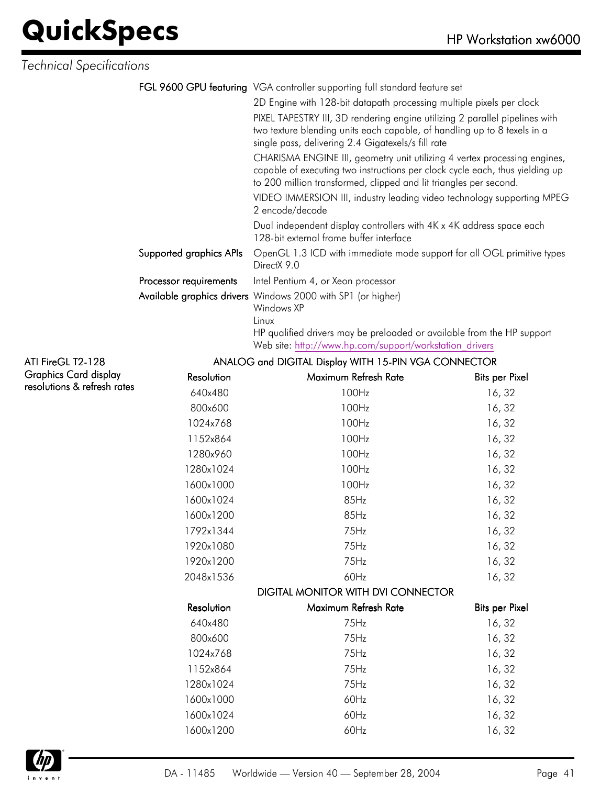*Technical Specifications*

| FGL 9600 GPU featuring VGA controller supporting full standard feature set |  |
|----------------------------------------------------------------------------|--|
|----------------------------------------------------------------------------|--|

2D Engine with 128-bit datapath processing multiple pixels per clock PIXEL TAPESTRY III, 3D rendering engine utilizing 2 parallel pipelines with two texture blending units each capable, of handling up to 8 texels in a single pass, delivering 2.4 Gigatexels/s fill rate

CHARISMA ENGINE III, geometry unit utilizing 4 vertex processing engines, capable of executing two instructions per clock cycle each, thus yielding up to 200 million transformed, clipped and lit triangles per second.

VIDEO IMMERSION III, industry leading video technology supporting MPEG 2 encode/decode

Dual independent display controllers with 4K x 4K address space each 128-bit external frame buffer interface

| Supported graphics APIs  OpenGL 1.3 ICD with immediate mode support for all OGL primitive types                                                                                                                                            |
|--------------------------------------------------------------------------------------------------------------------------------------------------------------------------------------------------------------------------------------------|
| DirectX 9.0                                                                                                                                                                                                                                |
| $\mathsf{D}_{\mathsf{max}}$ as a second second second second second second second second second second second second second second second second second second second second second second second second second second second second secon |

**Processor requirements** Intel Pentium 4, or Xeon processor

Available graphics drivers Windows 2000 with SP1 (or higher)

Windows XP Linux

HP qualified drivers may be preloaded or available from the HP support Web site: [http://www.hp.com/support/workstation\\_drivers](http://www.hp.com/support/workstation_drivers)

#### ATI FireGL T2-128 Graphics Card display resolutions & refresh rates ANALOG and DIGITAL Display WITH 15-PIN VGA CONNECTOR Resolution Maximum Refresh Rate Bits per Pixel 640x480 100Hz 100Hz 800x600 100Hz 100Hz 16, 32 1024x768 100Hz 16, 32 1152x864 100Hz 16, 32 1280x960 100Hz 100Hz 16, 32 1280x1024 100Hz 100Hz 16, 32 1600x1000 100Hz 16, 32 1600x1024 85Hz 16, 32 1600x1200 85Hz 16, 32 1792x1344 75Hz 16, 32 1920x1080 75Hz 16, 32 1920x1200 75Hz 16, 32 2048x1536 60Hz 60Hz 16, 32 DIGITAL MONITOR WITH DVI CONNECTOR Resolution Maximum Refresh Rate Bits per Pixel 640x480 75Hz 16, 32 800x600 75Hz 16, 32 1024x768 75Hz 16, 32 1152x864 75Hz 75Hz 1280x1024 75Hz 16, 32 1600x1000 60Hz 16, 32 1600x1024 60Hz 16, 32 1600x1200 60Hz 16, 32

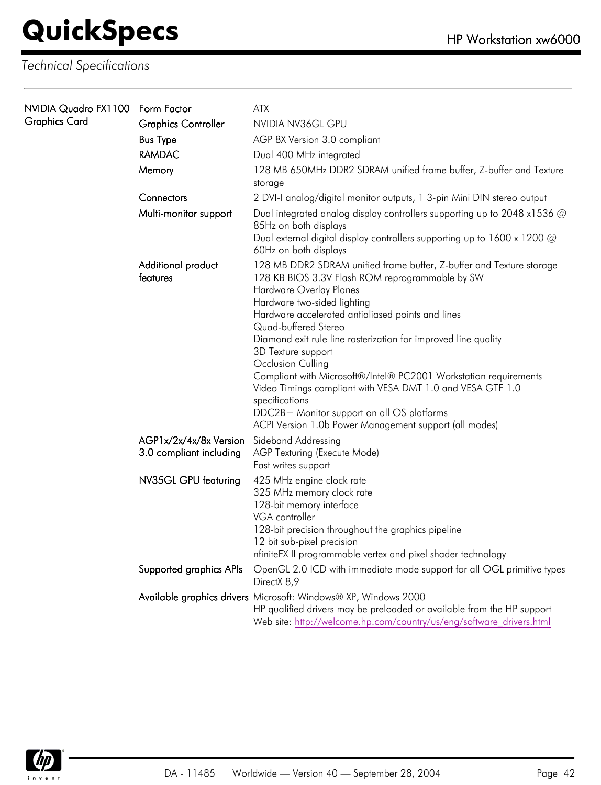| NVIDIA Quadro FX1100 Form Factor<br><b>Graphics Card</b> |                                                   | <b>ATX</b>                                                                                                                                                                                                                                                                                                                                                                                                                                                                                                                                                                                                                              |
|----------------------------------------------------------|---------------------------------------------------|-----------------------------------------------------------------------------------------------------------------------------------------------------------------------------------------------------------------------------------------------------------------------------------------------------------------------------------------------------------------------------------------------------------------------------------------------------------------------------------------------------------------------------------------------------------------------------------------------------------------------------------------|
|                                                          | <b>Graphics Controller</b>                        | NVIDIA NV36GL GPU                                                                                                                                                                                                                                                                                                                                                                                                                                                                                                                                                                                                                       |
|                                                          | <b>Bus Type</b>                                   | AGP 8X Version 3.0 compliant                                                                                                                                                                                                                                                                                                                                                                                                                                                                                                                                                                                                            |
|                                                          | <b>RAMDAC</b>                                     | Dual 400 MHz integrated                                                                                                                                                                                                                                                                                                                                                                                                                                                                                                                                                                                                                 |
|                                                          | Memory                                            | 128 MB 650MHz DDR2 SDRAM unified frame buffer, Z-buffer and Texture<br>storage                                                                                                                                                                                                                                                                                                                                                                                                                                                                                                                                                          |
|                                                          | Connectors                                        | 2 DVI-I analog/digital monitor outputs, 1 3-pin Mini DIN stereo output                                                                                                                                                                                                                                                                                                                                                                                                                                                                                                                                                                  |
|                                                          | Multi-monitor support                             | Dual integrated analog display controllers supporting up to 2048 x1536 @<br>85Hz on both displays<br>Dual external digital display controllers supporting up to 1600 x 1200 @<br>60Hz on both displays                                                                                                                                                                                                                                                                                                                                                                                                                                  |
|                                                          | Additional product<br>features                    | 128 MB DDR2 SDRAM unified frame buffer, Z-buffer and Texture storage<br>128 KB BIOS 3.3V Flash ROM reprogrammable by SW<br>Hardware Overlay Planes<br>Hardware two-sided lighting<br>Hardware accelerated antialiased points and lines<br>Quad-buffered Stereo<br>Diamond exit rule line rasterization for improved line quality<br>3D Texture support<br>Occlusion Culling<br>Compliant with Microsoft®/Intel® PC2001 Workstation requirements<br>Video Timings compliant with VESA DMT 1.0 and VESA GTF 1.0<br>specifications<br>DDC2B+ Monitor support on all OS platforms<br>ACPI Version 1.0b Power Management support (all modes) |
|                                                          | AGP1x/2x/4x/8x Version<br>3.0 compliant including | Sideband Addressing<br>AGP Texturing (Execute Mode)<br>Fast writes support                                                                                                                                                                                                                                                                                                                                                                                                                                                                                                                                                              |
|                                                          | NV35GL GPU featuring                              | 425 MHz engine clock rate<br>325 MHz memory clock rate<br>128-bit memory interface<br>VGA controller<br>128-bit precision throughout the graphics pipeline<br>12 bit sub-pixel precision<br>nfiniteFX II programmable vertex and pixel shader technology                                                                                                                                                                                                                                                                                                                                                                                |
|                                                          | Supported graphics APIs                           | OpenGL 2.0 ICD with immediate mode support for all OGL primitive types<br>DirectX 8,9                                                                                                                                                                                                                                                                                                                                                                                                                                                                                                                                                   |
|                                                          |                                                   | Available graphics drivers Microsoft: Windows® XP, Windows 2000<br>HP qualified drivers may be preloaded or available from the HP support<br>Web site: http://welcome.hp.com/country/us/eng/software drivers.html                                                                                                                                                                                                                                                                                                                                                                                                                       |

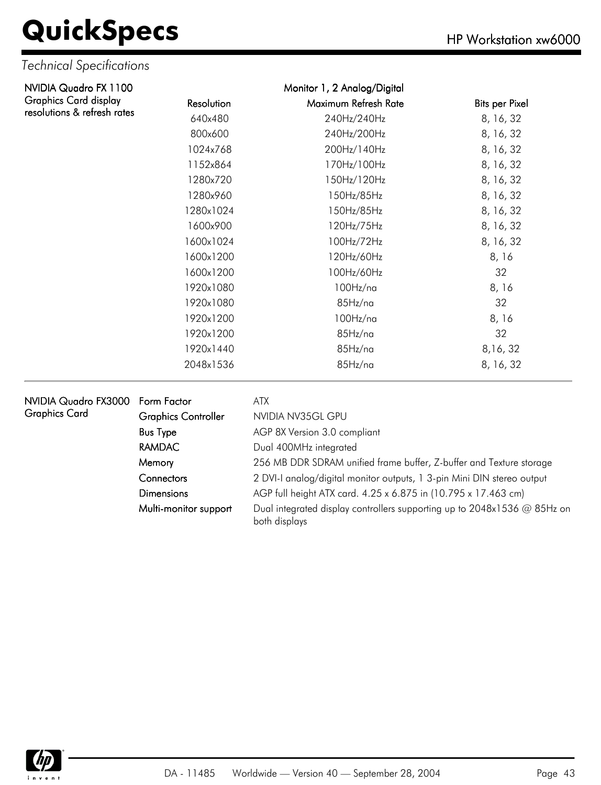| NVIDIA Quadro FX 1100        |            | Monitor 1, 2 Analog/Digital |                       |
|------------------------------|------------|-----------------------------|-----------------------|
| <b>Graphics Card display</b> | Resolution | Maximum Refresh Rate        | <b>Bits per Pixel</b> |
| resolutions & refresh rates  | 640x480    | 240Hz/240Hz                 | 8, 16, 32             |
|                              | 800x600    | 240Hz/200Hz                 | 8, 16, 32             |
|                              | 1024x768   | 200Hz/140Hz                 | 8, 16, 32             |
|                              | 1152x864   | 170Hz/100Hz                 | 8, 16, 32             |
|                              | 1280x720   | 150Hz/120Hz                 | 8, 16, 32             |
|                              | 1280x960   | 150Hz/85Hz                  | 8, 16, 32             |
|                              | 1280x1024  | 150Hz/85Hz                  | 8, 16, 32             |
|                              | 1600x900   | 120Hz/75Hz                  | 8, 16, 32             |
|                              | 1600x1024  | 100Hz/72Hz                  | 8, 16, 32             |
|                              | 1600x1200  | 120Hz/60Hz                  | 8, 16                 |
|                              | 1600x1200  | 100Hz/60Hz                  | 32                    |
|                              | 1920x1080  | 100Hz/na                    | 8, 16                 |
|                              | 1920x1080  | 85Hz/na                     | 32                    |
|                              | 1920x1200  | $100$ Hz/na                 | 8, 16                 |
|                              | 1920x1200  | 85Hz/na                     | 32                    |
|                              | 1920x1440  | 85Hz/na                     | 8,16,32               |
|                              | 2048x1536  | 85Hz/na                     | 8, 16, 32             |

| NVIDIA Quadro FX3000 Form Factor |                            | ATX                                                                                       |
|----------------------------------|----------------------------|-------------------------------------------------------------------------------------------|
| <b>Graphics Card</b>             | <b>Graphics Controller</b> | NVIDIA NV35GL GPU                                                                         |
|                                  | <b>Bus Type</b>            | AGP 8X Version 3.0 compliant                                                              |
|                                  | <b>RAMDAC</b>              | Dual 400MHz integrated                                                                    |
|                                  | Memory                     | 256 MB DDR SDRAM unified frame buffer, Z-buffer and Texture storage                       |
|                                  | <b>Connectors</b>          | 2 DVI-I analog/digital monitor outputs, 1 3-pin Mini DIN stereo output                    |
|                                  | <b>Dimensions</b>          | AGP full height ATX card. 4.25 x 6.875 in (10.795 x 17.463 cm)                            |
|                                  | Multi-monitor support      | Dual integrated display controllers supporting up to 2048x1536 @ 85Hz on<br>both displays |

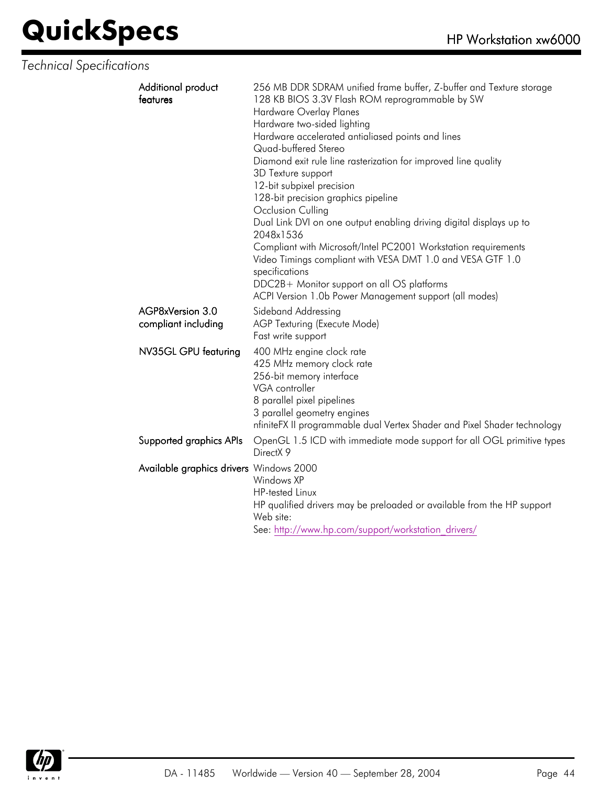| Additional product<br>features          | 256 MB DDR SDRAM unified frame buffer, Z-buffer and Texture storage<br>128 KB BIOS 3.3V Flash ROM reprogrammable by SW<br>Hardware Overlay Planes<br>Hardware two-sided lighting<br>Hardware accelerated antialiased points and lines<br>Quad-buffered Stereo<br>Diamond exit rule line rasterization for improved line quality<br>3D Texture support<br>12-bit subpixel precision<br>128-bit precision graphics pipeline<br>Occlusion Culling<br>Dual Link DVI on one output enabling driving digital displays up to<br>2048x1536<br>Compliant with Microsoft/Intel PC2001 Workstation requirements<br>Video Timings compliant with VESA DMT 1.0 and VESA GTF 1.0<br>specifications<br>DDC2B+ Monitor support on all OS platforms<br>ACPI Version 1.0b Power Management support (all modes) |
|-----------------------------------------|----------------------------------------------------------------------------------------------------------------------------------------------------------------------------------------------------------------------------------------------------------------------------------------------------------------------------------------------------------------------------------------------------------------------------------------------------------------------------------------------------------------------------------------------------------------------------------------------------------------------------------------------------------------------------------------------------------------------------------------------------------------------------------------------|
| AGP8xVersion 3.0<br>compliant including | Sideband Addressing<br>AGP Texturing (Execute Mode)<br>Fast write support                                                                                                                                                                                                                                                                                                                                                                                                                                                                                                                                                                                                                                                                                                                    |
| NV35GL GPU featuring                    | 400 MHz engine clock rate<br>425 MHz memory clock rate<br>256-bit memory interface<br>VGA controller<br>8 parallel pixel pipelines<br>3 parallel geometry engines<br>nfiniteFX II programmable dual Vertex Shader and Pixel Shader technology                                                                                                                                                                                                                                                                                                                                                                                                                                                                                                                                                |
| Supported graphics APIs                 | OpenGL 1.5 ICD with immediate mode support for all OGL primitive types<br>DirectX 9                                                                                                                                                                                                                                                                                                                                                                                                                                                                                                                                                                                                                                                                                                          |
| Available graphics drivers Windows 2000 | Windows XP<br><b>HP-tested Linux</b><br>HP qualified drivers may be preloaded or available from the HP support<br>Web site:<br>See: http://www.hp.com/support/workstation drivers/                                                                                                                                                                                                                                                                                                                                                                                                                                                                                                                                                                                                           |

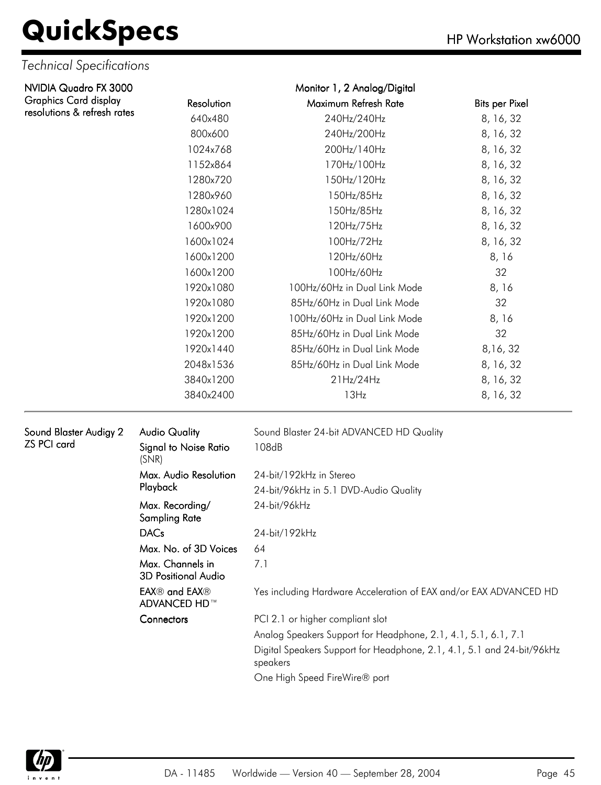#### *Technical Specifications*

| NVIDIA Quadro FX 3000        |                                         | Monitor 1, 2 Analog/Digital              |                       |  |  |
|------------------------------|-----------------------------------------|------------------------------------------|-----------------------|--|--|
| <b>Graphics Card display</b> | Resolution                              | Maximum Refresh Rate                     | <b>Bits per Pixel</b> |  |  |
| resolutions & refresh rates  | 640x480                                 | 240Hz/240Hz                              | 8, 16, 32             |  |  |
|                              | 800x600                                 | 240Hz/200Hz                              | 8, 16, 32             |  |  |
|                              | 1024x768                                | 200Hz/140Hz                              | 8, 16, 32             |  |  |
|                              | 1152x864                                | 170Hz/100Hz                              | 8, 16, 32             |  |  |
|                              | 1280x720                                | 150Hz/120Hz                              | 8, 16, 32             |  |  |
|                              | 1280x960                                | 150Hz/85Hz                               | 8, 16, 32             |  |  |
|                              | 1280x1024                               | 150Hz/85Hz                               | 8, 16, 32             |  |  |
|                              | 1600x900                                | 120Hz/75Hz                               | 8, 16, 32             |  |  |
|                              | 1600x1024                               | 100Hz/72Hz                               | 8, 16, 32             |  |  |
|                              | 1600x1200                               | 120Hz/60Hz                               | 8, 16                 |  |  |
|                              | 1600x1200                               | 100Hz/60Hz                               | 32                    |  |  |
|                              | 1920x1080                               | 100Hz/60Hz in Dual Link Mode             | 8,16                  |  |  |
|                              | 1920x1080                               | 85Hz/60Hz in Dual Link Mode              | 32                    |  |  |
|                              | 1920x1200                               | 100Hz/60Hz in Dual Link Mode             | 8,16                  |  |  |
|                              | 1920x1200                               | 85Hz/60Hz in Dual Link Mode              | 32                    |  |  |
|                              | 1920x1440                               | 85Hz/60Hz in Dual Link Mode              | 8,16,32               |  |  |
|                              | 2048x1536                               | 85Hz/60Hz in Dual Link Mode              | 8, 16, 32             |  |  |
|                              | 3840x1200                               | 21Hz/24Hz                                | 8, 16, 32             |  |  |
|                              | 3840x2400                               | 13Hz                                     | 8, 16, 32             |  |  |
| Sound Blaster Audigy 2       | <b>Audio Quality</b>                    | Sound Blaster 24-bit ADVANCED HD Quality |                       |  |  |
| <b>ZS PCI card</b>           | Signal to Noise Ratio<br>(SNR)          | 108dB                                    |                       |  |  |
|                              | Max. Audio Resolution                   | 24-bit/192kHz in Stereo                  |                       |  |  |
|                              | Playback                                | 24-bit/96kHz in 5.1 DVD-Audio Quality    |                       |  |  |
|                              | Max. Recording/<br><b>Sampling Rate</b> | 24-bit/96kHz                             |                       |  |  |
|                              | <b>DACs</b>                             | 24-bit/192kHz                            |                       |  |  |
|                              | Max. No. of 3D Voices                   | 64                                       |                       |  |  |

Max. Channels in

7.1

3D Positional Audio EAX® and EAX® ADVANCED HD™

Yes including Hardware Acceleration of EAX and/or EAX ADVANCED HD

Connectors PCI 2.1 or higher compliant slot Analog Speakers Support for Headphone, 2.1, 4.1, 5.1, 6.1, 7.1 Digital Speakers Support for Headphone, 2.1, 4.1, 5.1 and 24-bit/96kHz speakers

One High Speed FireWire® port

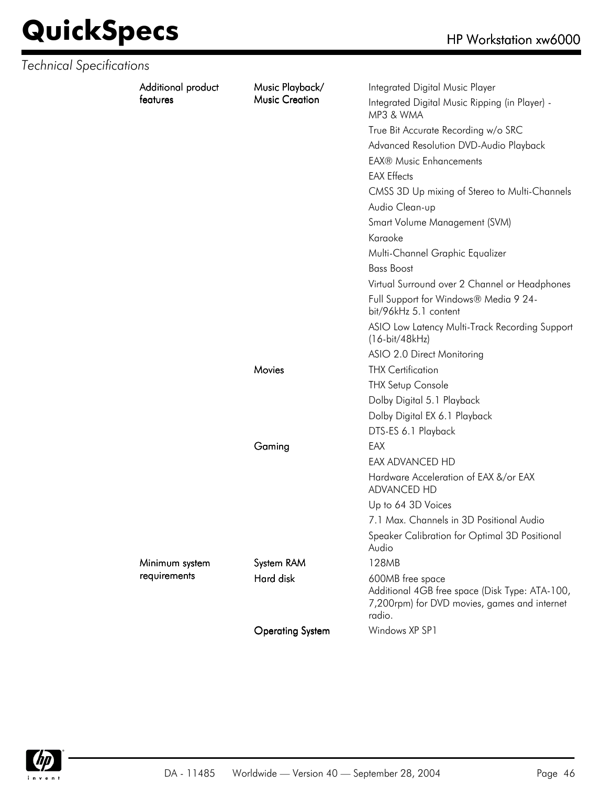|  | Additional product<br>features | Music Playback/<br><b>Music Creation</b> | Integrated Digital Music Player<br>Integrated Digital Music Ripping (in Player) -                                            |
|--|--------------------------------|------------------------------------------|------------------------------------------------------------------------------------------------------------------------------|
|  |                                |                                          | MP3 & WMA                                                                                                                    |
|  |                                |                                          | True Bit Accurate Recording w/o SRC                                                                                          |
|  |                                |                                          | Advanced Resolution DVD-Audio Playback                                                                                       |
|  |                                |                                          | <b>EAX® Music Enhancements</b>                                                                                               |
|  |                                |                                          | <b>EAX Effects</b>                                                                                                           |
|  |                                |                                          | CMSS 3D Up mixing of Stereo to Multi-Channels                                                                                |
|  |                                |                                          | Audio Clean-up                                                                                                               |
|  |                                |                                          | Smart Volume Management (SVM)                                                                                                |
|  |                                |                                          | Karaoke                                                                                                                      |
|  |                                |                                          | Multi-Channel Graphic Equalizer                                                                                              |
|  |                                |                                          | <b>Bass Boost</b>                                                                                                            |
|  |                                |                                          | Virtual Surround over 2 Channel or Headphones                                                                                |
|  |                                |                                          | Full Support for Windows® Media 9 24-<br>bit/96kHz 5.1 content                                                               |
|  |                                |                                          | ASIO Low Latency Multi-Track Recording Support<br>$(16-bit/48kHz)$                                                           |
|  |                                |                                          | ASIO 2.0 Direct Monitoring                                                                                                   |
|  |                                | Movies                                   | <b>THX Certification</b>                                                                                                     |
|  |                                |                                          | <b>THX Setup Console</b>                                                                                                     |
|  |                                |                                          | Dolby Digital 5.1 Playback                                                                                                   |
|  |                                |                                          | Dolby Digital EX 6.1 Playback                                                                                                |
|  |                                |                                          | DTS-ES 6.1 Playback                                                                                                          |
|  |                                | Gaming                                   | EAX                                                                                                                          |
|  |                                |                                          | EAX ADVANCED HD                                                                                                              |
|  |                                |                                          | Hardware Acceleration of EAX &/or EAX<br>ADVANCED HD                                                                         |
|  |                                |                                          | Up to 64 3D Voices                                                                                                           |
|  |                                |                                          | 7.1 Max. Channels in 3D Positional Audio                                                                                     |
|  |                                |                                          | Speaker Calibration for Optimal 3D Positional<br>Audio                                                                       |
|  | Minimum system<br>requirements | System RAM                               | 128MB                                                                                                                        |
|  |                                | Hard disk                                | 600MB free space<br>Additional 4GB free space (Disk Type: ATA-100,<br>7,200rpm) for DVD movies, games and internet<br>radio. |
|  |                                | <b>Operating System</b>                  | Windows XP SP1                                                                                                               |

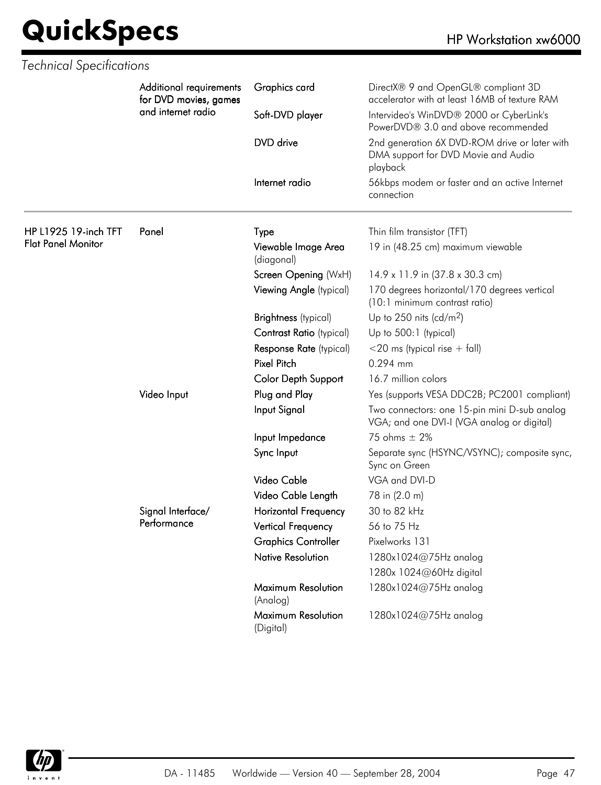| <b>Technical Specifications</b> |                                                                        |                                   |                                                                                                  |
|---------------------------------|------------------------------------------------------------------------|-----------------------------------|--------------------------------------------------------------------------------------------------|
|                                 | Additional requirements<br>for DVD movies, games<br>and internet radio | Graphics card                     | DirectX® 9 and OpenGL® compliant 3D<br>accelerator with at least 16MB of texture RAM             |
|                                 |                                                                        | Soft-DVD player                   | Intervideo's WinDVD® 2000 or CyberLink's<br>PowerDVD® 3.0 and above recommended                  |
|                                 |                                                                        | DVD drive                         | 2nd generation 6X DVD-ROM drive or later with<br>DMA support for DVD Movie and Audio<br>playback |
|                                 |                                                                        | Internet radio                    | 56kbps modem or faster and an active Internet<br>connection                                      |
| HP L1925 19-inch TFT            | Panel                                                                  | Type                              | Thin film transistor (TFT)                                                                       |
| <b>Flat Panel Monitor</b>       |                                                                        | Viewable Image Area<br>(diagonal) | 19 in (48.25 cm) maximum viewable                                                                |
|                                 |                                                                        | Screen Opening (WxH)              | 14.9 x 11.9 in (37.8 x 30.3 cm)                                                                  |
|                                 |                                                                        | Viewing Angle (typical)           | 170 degrees horizontal/170 degrees vertical<br>(10:1 minimum contrast ratio)                     |
|                                 |                                                                        | <b>Brightness</b> (typical)       | Up to 250 nits (cd/m <sup>2</sup> )                                                              |
|                                 |                                                                        | <b>Contrast Ratio (typical)</b>   | Up to 500:1 (typical)                                                                            |
|                                 |                                                                        | Response Rate (typical)           | $<$ 20 ms (typical rise + fall)                                                                  |
|                                 |                                                                        | <b>Pixel Pitch</b>                | 0.294 mm                                                                                         |
|                                 |                                                                        | Color Depth Support               | 16.7 million colors                                                                              |
|                                 | Video Input                                                            | Plug and Play                     | Yes (supports VESA DDC2B; PC2001 compliant)                                                      |
|                                 |                                                                        | Input Signal                      | Two connectors: one 15-pin mini D-sub analog<br>VGA; and one DVI-I (VGA analog or digital)       |
|                                 |                                                                        | Input Impedance                   | 75 ohms $\pm$ 2%                                                                                 |
|                                 |                                                                        | Sync Input                        | Separate sync (HSYNC/VSYNC); composite sync,<br>Sync on Green                                    |
|                                 |                                                                        | Video Cable                       | VGA and DVI-D                                                                                    |
|                                 |                                                                        | Video Cable Length                | 78 in (2.0 m)                                                                                    |
|                                 | Signal Interface/                                                      | Horizontal Frequency              | 30 to 82 kHz                                                                                     |
|                                 | Performance                                                            | Vertical Frequency                | 56 to 75 Hz                                                                                      |
|                                 |                                                                        | <b>Graphics Controller</b>        | Pixelworks 131                                                                                   |
|                                 |                                                                        | <b>Native Resolution</b>          | 1280x1024@75Hz analog                                                                            |
|                                 |                                                                        |                                   | 1280x 1024@60Hz digital                                                                          |
|                                 |                                                                        | Maximum Resolution<br>(Analog)    | 1280x1024@75Hz analog                                                                            |
|                                 |                                                                        | Maximum Resolution<br>(Digital)   | 1280x1024@75Hz analog                                                                            |

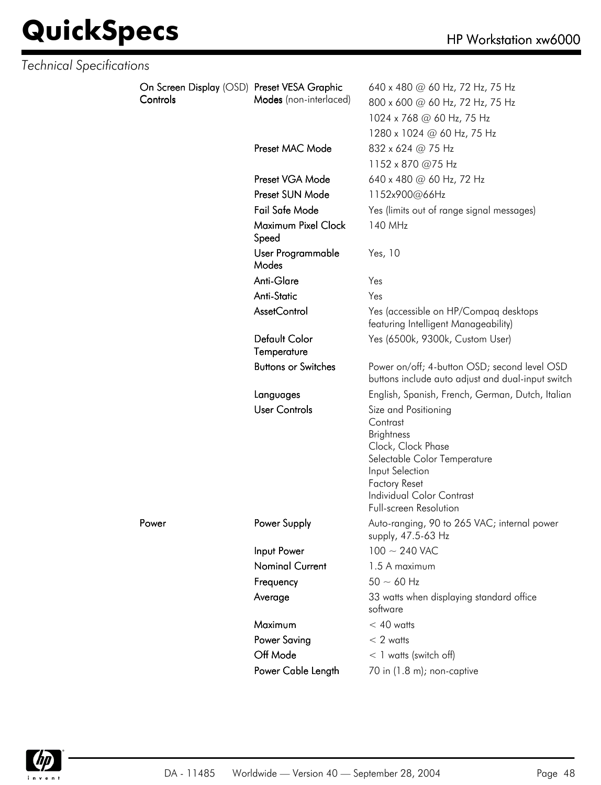| <b>Technical Specifications</b> |                                                         |                              |                                                                                                                                                                                                                      |
|---------------------------------|---------------------------------------------------------|------------------------------|----------------------------------------------------------------------------------------------------------------------------------------------------------------------------------------------------------------------|
|                                 | On Screen Display (OSD) Preset VESA Graphic<br>Controls | Modes (non-interlaced)       | 640 x 480 @ 60 Hz, 72 Hz, 75 Hz<br>800 x 600 @ 60 Hz, 72 Hz, 75 Hz<br>1024 x 768 @ 60 Hz, 75 Hz<br>1280 x 1024 @ 60 Hz, 75 Hz                                                                                        |
|                                 |                                                         | Preset MAC Mode              | 832 x 624 @ 75 Hz<br>1152 x 870 @75 Hz                                                                                                                                                                               |
|                                 |                                                         | Preset VGA Mode              | 640 x 480 @ 60 Hz, 72 Hz                                                                                                                                                                                             |
|                                 |                                                         | Preset SUN Mode              | 1152x900@66Hz                                                                                                                                                                                                        |
|                                 |                                                         | Fail Safe Mode               | Yes (limits out of range signal messages)                                                                                                                                                                            |
|                                 |                                                         | Maximum Pixel Clock<br>Speed | 140 MHz                                                                                                                                                                                                              |
|                                 |                                                         | User Programmable<br>Modes   | Yes, 10                                                                                                                                                                                                              |
|                                 |                                                         | Anti-Glare                   | Yes                                                                                                                                                                                                                  |
|                                 |                                                         | Anti-Static                  | Yes                                                                                                                                                                                                                  |
|                                 |                                                         | AssetControl                 | Yes (accessible on HP/Compaq desktops<br>featuring Intelligent Manageability)                                                                                                                                        |
|                                 |                                                         | Default Color<br>Temperature | Yes (6500k, 9300k, Custom User)                                                                                                                                                                                      |
|                                 |                                                         | <b>Buttons or Switches</b>   | Power on/off; 4-button OSD; second level OSD<br>buttons include auto adjust and dual-input switch                                                                                                                    |
|                                 |                                                         | Languages                    | English, Spanish, French, German, Dutch, Italian                                                                                                                                                                     |
|                                 |                                                         | <b>User Controls</b>         | Size and Positioning<br>Contrast<br><b>Brightness</b><br>Clock, Clock Phase<br>Selectable Color Temperature<br>Input Selection<br><b>Factory Reset</b><br><b>Individual Color Contrast</b><br>Full-screen Resolution |
|                                 | Power                                                   | Power Supply                 | Auto-ranging, 90 to 265 VAC; internal power<br>supply, 47.5-63 Hz                                                                                                                                                    |
|                                 |                                                         | Input Power                  | $100 \sim 240$ VAC                                                                                                                                                                                                   |
|                                 |                                                         | <b>Nominal Current</b>       | 1.5 A maximum                                                                                                                                                                                                        |
|                                 |                                                         | Frequency                    | $50 \sim 60$ Hz                                                                                                                                                                                                      |
|                                 |                                                         | Average                      | 33 watts when displaying standard office<br>software                                                                                                                                                                 |
|                                 |                                                         | Maximum                      | $< 40$ watts                                                                                                                                                                                                         |
|                                 |                                                         | <b>Power Saving</b>          | $< 2$ watts                                                                                                                                                                                                          |
|                                 |                                                         | Off Mode                     | $<$ 1 watts (switch off)                                                                                                                                                                                             |
|                                 |                                                         | Power Cable Length           | 70 in (1.8 m); non-captive                                                                                                                                                                                           |

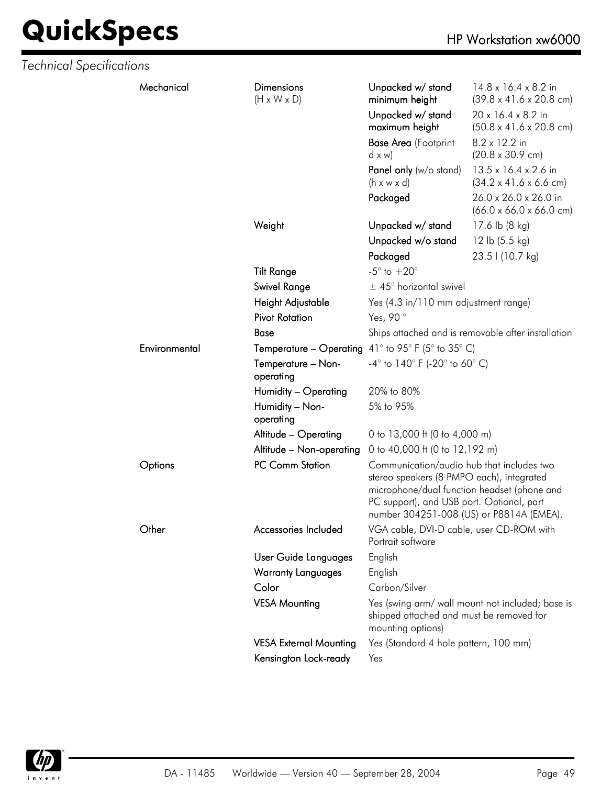| Mechanical    | <b>Dimensions</b><br>$(H \times W \times D)$              | Unpacked w/ stand<br>minimum height                                                                                                                                                | $14.8 \times 16.4 \times 8.2$ in<br>$(39.8 \times 41.6 \times 20.8 \text{ cm})$ |
|---------------|-----------------------------------------------------------|------------------------------------------------------------------------------------------------------------------------------------------------------------------------------------|---------------------------------------------------------------------------------|
|               |                                                           | Unpacked w/ stand<br>maximum height                                                                                                                                                | 20 x 16.4 x 8.2 in<br>$(50.8 \times 41.6 \times 20.8 \text{ cm})$               |
|               |                                                           | <b>Base Area</b> (Footprint<br>dx w                                                                                                                                                | 8.2 x 12.2 in<br>$(20.8 \times 30.9 \text{ cm})$                                |
|               |                                                           | Panel only (w/o stand)                                                                                                                                                             | 13.5 x 16.4 x 2.6 in                                                            |
|               |                                                           | $(h \times w \times d)$                                                                                                                                                            | $(34.2 \times 41.6 \times 6.6$ cm)                                              |
|               |                                                           | Packaged                                                                                                                                                                           | 26.0 x 26.0 x 26.0 in<br>$(66.0 \times 66.0 \times 66.0 \text{ cm})$            |
|               | Weight                                                    | Unpacked w/ stand                                                                                                                                                                  | 17.6 lb (8 kg)                                                                  |
|               |                                                           | Unpacked w/o stand                                                                                                                                                                 | 12 lb $(5.5 \text{ kg})$                                                        |
|               |                                                           | Packaged                                                                                                                                                                           | 23.5   (10.7 kg)                                                                |
|               | <b>Tilt Range</b>                                         | $-5^{\circ}$ to $+20^{\circ}$                                                                                                                                                      |                                                                                 |
|               | Swivel Range                                              | $\pm$ 45° horizontal swivel                                                                                                                                                        |                                                                                 |
|               | Height Adjustable                                         | Yes (4.3 in/110 mm adjustment range)                                                                                                                                               |                                                                                 |
|               | <b>Pivot Rotation</b>                                     | Yes, 90°                                                                                                                                                                           |                                                                                 |
|               | <b>Base</b>                                               |                                                                                                                                                                                    | Ships attached and is removable after installation                              |
| Environmental | <b>Temperature – Operating</b> 41° to 95° F (5° to 35° C) |                                                                                                                                                                                    |                                                                                 |
|               | Temperature - Non-<br>operating                           | $-4^{\circ}$ to $140^{\circ}$ F (-20 $^{\circ}$ to 60 $^{\circ}$ C)                                                                                                                |                                                                                 |
|               | Humidity - Operating                                      | 20% to 80%                                                                                                                                                                         |                                                                                 |
|               | Humidity - Non-<br>operating                              | 5% to 95%                                                                                                                                                                          |                                                                                 |
|               | Altitude - Operating                                      | 0 to 13,000 ft (0 to 4,000 m)                                                                                                                                                      |                                                                                 |
|               | Altitude - Non-operating                                  | 0 to 40,000 ft (0 to 12,192 m)                                                                                                                                                     |                                                                                 |
| Options       | PC Comm Station                                           | Communication/audio hub that includes two<br>stereo speakers (8 PMPO each), integrated<br>microphone/dual function headset (phone and<br>PC support), and USB port. Optional, part | number 304251-008 (US) or P8814A (EMEA).                                        |
| Other         | Accessories Included                                      | VGA cable, DVI-D cable, user CD-ROM with<br>Portrait software                                                                                                                      |                                                                                 |
|               | User Guide Languages                                      | English                                                                                                                                                                            |                                                                                 |
|               | <b>Warranty Languages</b>                                 | English                                                                                                                                                                            |                                                                                 |
|               | Color                                                     | Carbon/Silver                                                                                                                                                                      |                                                                                 |
|               | <b>VESA Mounting</b>                                      | shipped attached and must be removed for<br>mounting options)                                                                                                                      | Yes (swing arm/ wall mount not included; base is                                |
|               | <b>VESA External Mounting</b>                             | Yes (Standard 4 hole pattern, 100 mm)                                                                                                                                              |                                                                                 |
|               | Kensington Lock-ready                                     | Yes                                                                                                                                                                                |                                                                                 |

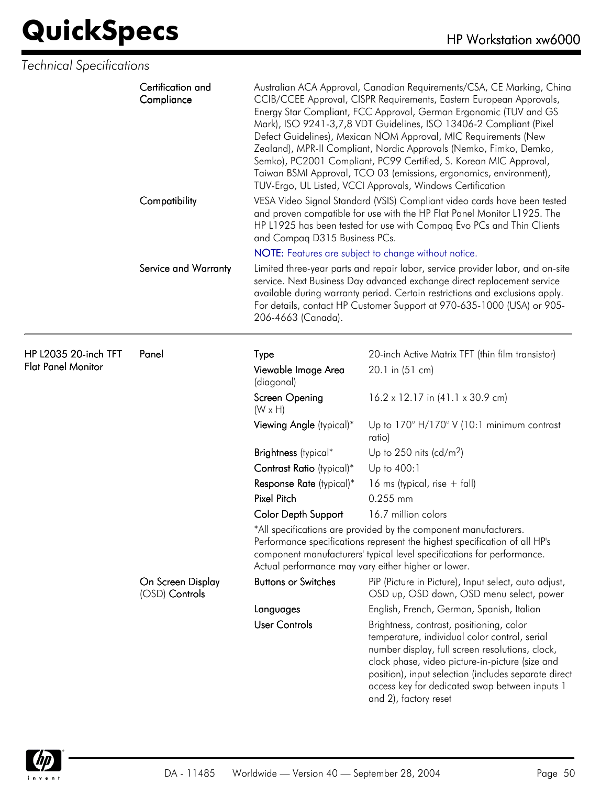| <b>Technical Specifications</b> |
|---------------------------------|
|---------------------------------|

| Certification and<br>Compliance |                                     | Australian ACA Approval, Canadian Requirements/CSA, CE Marking, China<br>CCIB/CCEE Approval, CISPR Requirements, Eastern European Approvals,<br>Energy Star Compliant, FCC Approval, German Ergonomic (TUV and GS<br>Mark), ISO 9241-3,7,8 VDT Guidelines, ISO 13406-2 Compliant (Pixel<br>Defect Guidelines), Mexican NOM Approval, MIC Requirements (New<br>Zealand), MPR-II Compliant, Nordic Approvals (Nemko, Fimko, Demko,<br>Semko), PC2001 Compliant, PC99 Certified, S. Korean MIC Approval,<br>Taiwan BSMI Approval, TCO 03 (emissions, ergonomics, environment),<br>TUV-Ergo, UL Listed, VCCI Approvals, Windows Certification |                                                                                                                                                                                                                                                                                                                                    |  |
|---------------------------------|-------------------------------------|-------------------------------------------------------------------------------------------------------------------------------------------------------------------------------------------------------------------------------------------------------------------------------------------------------------------------------------------------------------------------------------------------------------------------------------------------------------------------------------------------------------------------------------------------------------------------------------------------------------------------------------------|------------------------------------------------------------------------------------------------------------------------------------------------------------------------------------------------------------------------------------------------------------------------------------------------------------------------------------|--|
|                                 | Compatibility                       | VESA Video Signal Standard (VSIS) Compliant video cards have been tested<br>and proven compatible for use with the HP Flat Panel Monitor L1925. The<br>HP L1925 has been tested for use with Compaq Evo PCs and Thin Clients<br>and Compaq D315 Business PCs.                                                                                                                                                                                                                                                                                                                                                                             |                                                                                                                                                                                                                                                                                                                                    |  |
|                                 |                                     |                                                                                                                                                                                                                                                                                                                                                                                                                                                                                                                                                                                                                                           | NOTE: Features are subject to change without notice.                                                                                                                                                                                                                                                                               |  |
|                                 | Service and Warranty                | 206-4663 (Canada).                                                                                                                                                                                                                                                                                                                                                                                                                                                                                                                                                                                                                        | Limited three-year parts and repair labor, service provider labor, and on-site<br>service. Next Business Day advanced exchange direct replacement service<br>available during warranty period. Certain restrictions and exclusions apply.<br>For details, contact HP Customer Support at 970-635-1000 (USA) or 905-                |  |
| HP L2035 20-inch TFT            | Panel                               | Type                                                                                                                                                                                                                                                                                                                                                                                                                                                                                                                                                                                                                                      | 20-inch Active Matrix TFT (thin film transistor)                                                                                                                                                                                                                                                                                   |  |
| <b>Flat Panel Monitor</b>       |                                     | Viewable Image Area<br>(diagonal)                                                                                                                                                                                                                                                                                                                                                                                                                                                                                                                                                                                                         | 20.1 in (51 cm)                                                                                                                                                                                                                                                                                                                    |  |
|                                 |                                     | Screen Opening<br>$(W \times H)$                                                                                                                                                                                                                                                                                                                                                                                                                                                                                                                                                                                                          | 16.2 x 12.17 in (41.1 x 30.9 cm)                                                                                                                                                                                                                                                                                                   |  |
|                                 |                                     | Viewing Angle (typical)*                                                                                                                                                                                                                                                                                                                                                                                                                                                                                                                                                                                                                  | Up to $170^\circ$ H/170 $^\circ$ V (10:1 minimum contrast<br>ratio)                                                                                                                                                                                                                                                                |  |
|                                 |                                     | Brightness (typical*                                                                                                                                                                                                                                                                                                                                                                                                                                                                                                                                                                                                                      | Up to 250 nits (cd/m <sup>2</sup> )                                                                                                                                                                                                                                                                                                |  |
|                                 |                                     | Contrast Ratio (typical)*                                                                                                                                                                                                                                                                                                                                                                                                                                                                                                                                                                                                                 | Up to 400:1                                                                                                                                                                                                                                                                                                                        |  |
|                                 |                                     | Response Rate (typical)*                                                                                                                                                                                                                                                                                                                                                                                                                                                                                                                                                                                                                  | 16 ms (typical, rise $+$ fall)                                                                                                                                                                                                                                                                                                     |  |
|                                 |                                     | <b>Pixel Pitch</b>                                                                                                                                                                                                                                                                                                                                                                                                                                                                                                                                                                                                                        | 0.255 mm                                                                                                                                                                                                                                                                                                                           |  |
|                                 |                                     | Color Depth Support                                                                                                                                                                                                                                                                                                                                                                                                                                                                                                                                                                                                                       | 16.7 million colors                                                                                                                                                                                                                                                                                                                |  |
|                                 |                                     |                                                                                                                                                                                                                                                                                                                                                                                                                                                                                                                                                                                                                                           | *All specifications are provided by the component manufacturers.<br>Performance specifications represent the highest specification of all HP's<br>component manufacturers' typical level specifications for performance.<br>Actual performance may vary either higher or lower.                                                    |  |
|                                 | On Screen Display<br>(OSD) Controls | <b>Buttons or Switches</b>                                                                                                                                                                                                                                                                                                                                                                                                                                                                                                                                                                                                                | PiP (Picture in Picture), Input select, auto adjust,<br>OSD up, OSD down, OSD menu select, power                                                                                                                                                                                                                                   |  |
|                                 |                                     | Languages                                                                                                                                                                                                                                                                                                                                                                                                                                                                                                                                                                                                                                 | English, French, German, Spanish, Italian                                                                                                                                                                                                                                                                                          |  |
|                                 |                                     | <b>User Controls</b>                                                                                                                                                                                                                                                                                                                                                                                                                                                                                                                                                                                                                      | Brightness, contrast, positioning, color<br>temperature, individual color control, serial<br>number display, full screen resolutions, clock,<br>clock phase, video picture-in-picture (size and<br>position), input selection (includes separate direct<br>access key for dedicated swap between inputs 1<br>and 2), factory reset |  |

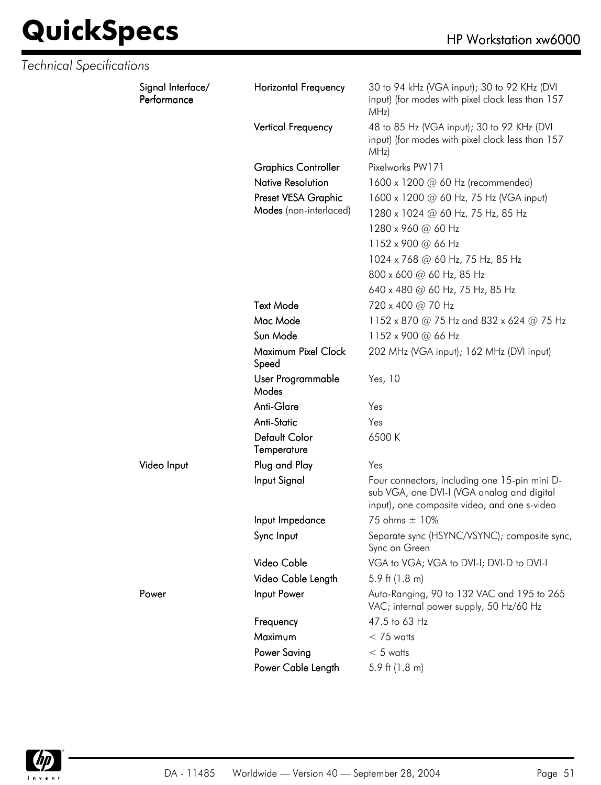| <b>Technical Specifications</b> |                                  |                              |                                                                                                                                             |
|---------------------------------|----------------------------------|------------------------------|---------------------------------------------------------------------------------------------------------------------------------------------|
|                                 | Signal Interface/<br>Performance | <b>Horizontal Frequency</b>  | 30 to 94 kHz (VGA input); 30 to 92 KHz (DVI<br>input) (for modes with pixel clock less than 157<br>MHz)                                     |
|                                 |                                  | Vertical Frequency           | 48 to 85 Hz (VGA input); 30 to 92 KHz (DVI<br>input) (for modes with pixel clock less than 157<br>MHz)                                      |
|                                 |                                  | <b>Graphics Controller</b>   | Pixelworks PW171                                                                                                                            |
|                                 |                                  | <b>Native Resolution</b>     | 1600 x 1200 @ 60 Hz (recommended)                                                                                                           |
|                                 |                                  | Preset VESA Graphic          | 1600 x 1200 @ 60 Hz, 75 Hz (VGA input)                                                                                                      |
|                                 |                                  | Modes (non-interlaced)       | 1280 x 1024 @ 60 Hz, 75 Hz, 85 Hz                                                                                                           |
|                                 |                                  |                              | 1280 x 960 @ 60 Hz                                                                                                                          |
|                                 |                                  |                              | 1152 x 900 @ 66 Hz                                                                                                                          |
|                                 |                                  |                              | 1024 x 768 @ 60 Hz, 75 Hz, 85 Hz                                                                                                            |
|                                 |                                  |                              | 800 x 600 @ 60 Hz, 85 Hz                                                                                                                    |
|                                 |                                  |                              | 640 x 480 @ 60 Hz, 75 Hz, 85 Hz                                                                                                             |
|                                 |                                  | <b>Text Mode</b>             | 720 x 400 @ 70 Hz                                                                                                                           |
|                                 |                                  | Mac Mode                     | 1152 x 870 @ 75 Hz and 832 x 624 @ 75 Hz                                                                                                    |
|                                 |                                  | Sun Mode                     | 1152 x 900 @ 66 Hz                                                                                                                          |
|                                 |                                  | Maximum Pixel Clock<br>Speed | 202 MHz (VGA input); 162 MHz (DVI input)                                                                                                    |
|                                 |                                  | User Programmable<br>Modes   | Yes, 10                                                                                                                                     |
|                                 |                                  | Anti-Glare                   | Yes                                                                                                                                         |
|                                 |                                  | Anti-Static                  | Yes                                                                                                                                         |
|                                 |                                  | Default Color<br>Temperature | 6500 K                                                                                                                                      |
|                                 | Video Input                      | Plug and Play                | Yes                                                                                                                                         |
|                                 |                                  | Input Signal                 | Four connectors, including one 15-pin mini D-<br>sub VGA, one DVI-I (VGA analog and digital<br>input), one composite video, and one s-video |
|                                 |                                  | Input Impedance              | 75 ohms $\pm$ 10%                                                                                                                           |
|                                 |                                  | Sync Input                   | Separate sync (HSYNC/VSYNC); composite sync,<br>Sync on Green                                                                               |
|                                 |                                  | Video Cable                  | VGA to VGA; VGA to DVI-I; DVI-D to DVI-I                                                                                                    |
|                                 |                                  | Video Cable Length           | 5.9 ft $(1.8 \text{ m})$                                                                                                                    |
|                                 | Power                            | Input Power                  | Auto-Ranging, 90 to 132 VAC and 195 to 265<br>VAC; internal power supply, 50 Hz/60 Hz                                                       |
|                                 |                                  | Frequency                    | 47.5 to 63 Hz                                                                                                                               |
|                                 |                                  | Maximum                      | $< 75$ watts                                                                                                                                |
|                                 |                                  | Power Saving                 | $< 5$ watts                                                                                                                                 |
|                                 |                                  | Power Cable Length           | 5.9 ft $(1.8 \text{ m})$                                                                                                                    |

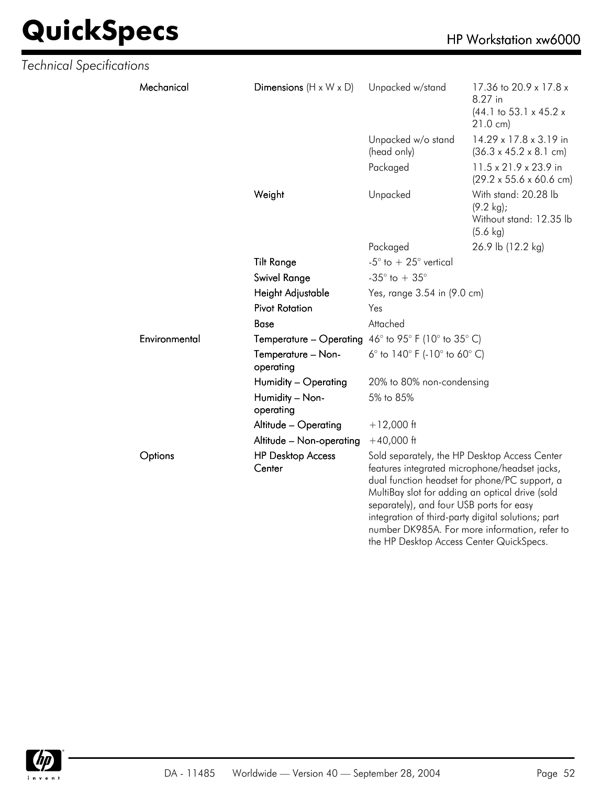| <b>Technical Specifications</b> |               |                                                            |                                                                                                                                                                                                                                                                                                                                                  |                                                                                                       |
|---------------------------------|---------------|------------------------------------------------------------|--------------------------------------------------------------------------------------------------------------------------------------------------------------------------------------------------------------------------------------------------------------------------------------------------------------------------------------------------|-------------------------------------------------------------------------------------------------------|
|                                 | Mechanical    | Dimensions $(H \times W \times D)$                         | Unpacked w/stand                                                                                                                                                                                                                                                                                                                                 | 17.36 to 20.9 x 17.8 x<br>8.27 in<br>$(44.1 \text{ to } 53.1 \times 45.2 \times$<br>$21.0 \text{ cm}$ |
|                                 |               |                                                            | Unpacked w/o stand<br>(head only)                                                                                                                                                                                                                                                                                                                | 14.29 x 17.8 x 3.19 in<br>$(36.3 \times 45.2 \times 8.1 \text{ cm})$                                  |
|                                 |               |                                                            | Packaged                                                                                                                                                                                                                                                                                                                                         | 11.5 x 21.9 x 23.9 in<br>$(29.2 \times 55.6 \times 60.6 \text{ cm})$                                  |
|                                 |               | Weight                                                     | Unpacked                                                                                                                                                                                                                                                                                                                                         | With stand: 20.28 lb<br>$(9.2 \text{ kg})$ ;<br>Without stand: 12.35 lb<br>$(5.6 \text{ kg})$         |
|                                 |               |                                                            | Packaged                                                                                                                                                                                                                                                                                                                                         | 26.9 lb (12.2 kg)                                                                                     |
|                                 |               | <b>Tilt Range</b>                                          | -5 $^{\circ}$ to + 25 $^{\circ}$ vertical                                                                                                                                                                                                                                                                                                        |                                                                                                       |
|                                 |               | <b>Swivel Range</b>                                        | -35 $^{\circ}$ to + 35 $^{\circ}$                                                                                                                                                                                                                                                                                                                |                                                                                                       |
|                                 |               | Height Adjustable                                          | Yes, range 3.54 in (9.0 cm)                                                                                                                                                                                                                                                                                                                      |                                                                                                       |
|                                 |               | <b>Pivot Rotation</b>                                      | Yes                                                                                                                                                                                                                                                                                                                                              |                                                                                                       |
|                                 |               | <b>Base</b>                                                | Attached                                                                                                                                                                                                                                                                                                                                         |                                                                                                       |
|                                 | Environmental | <b>Temperature – Operating</b> 46° to 95° F (10° to 35° C) |                                                                                                                                                                                                                                                                                                                                                  |                                                                                                       |
|                                 |               | Temperature - Non-<br>operating                            | 6° to $140^{\circ}$ F (-10° to 60° C)                                                                                                                                                                                                                                                                                                            |                                                                                                       |
|                                 |               | Humidity - Operating                                       | 20% to 80% non-condensing                                                                                                                                                                                                                                                                                                                        |                                                                                                       |
|                                 |               | Humidity - Non-<br>operating                               | 5% to 85%                                                                                                                                                                                                                                                                                                                                        |                                                                                                       |
|                                 |               | Altitude - Operating                                       | $+12,000$ ft                                                                                                                                                                                                                                                                                                                                     |                                                                                                       |
|                                 |               | Altitude - Non-operating                                   | $+40,000$ ft                                                                                                                                                                                                                                                                                                                                     |                                                                                                       |
|                                 | Options       | <b>HP Desktop Access</b><br>Center                         | Sold separately, the HP Desktop Access Center<br>features integrated microphone/headset jacks,<br>dual function headset for phone/PC support, a<br>MultiBay slot for adding an optical drive (sold<br>separately), and four USB ports for easy<br>integration of third-party digital solutions; part<br>the HP Desktop Access Center QuickSpecs. | number DK985A. For more information, refer to                                                         |

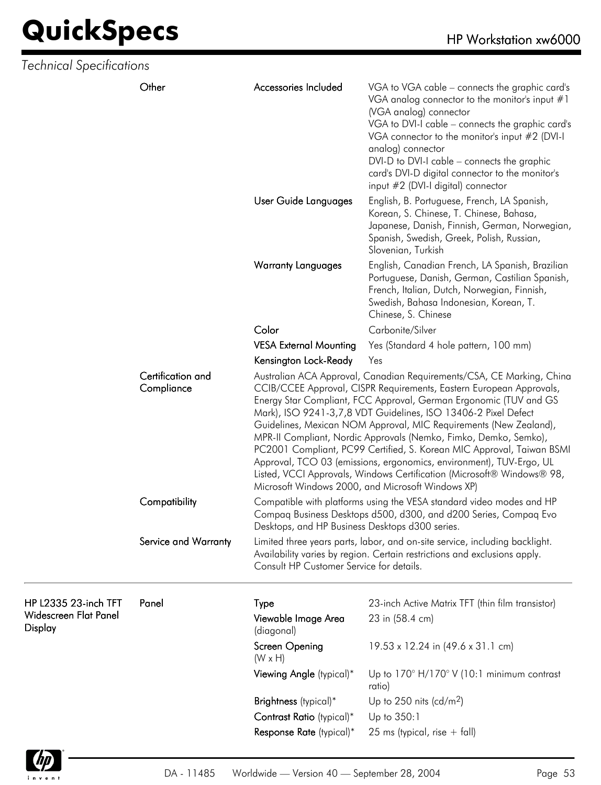| Technical Specifications                |                                 |                                                 |                                                                                                                                                                                                                                                                                                                                                                                                                                                                                                                                                                                                                                                                                                             |
|-----------------------------------------|---------------------------------|-------------------------------------------------|-------------------------------------------------------------------------------------------------------------------------------------------------------------------------------------------------------------------------------------------------------------------------------------------------------------------------------------------------------------------------------------------------------------------------------------------------------------------------------------------------------------------------------------------------------------------------------------------------------------------------------------------------------------------------------------------------------------|
|                                         | Other                           | Accessories Included                            | VGA to VGA cable – connects the graphic card's<br>VGA analog connector to the monitor's input $#1$<br>(VGA analog) connector<br>VGA to DVI-I cable - connects the graphic card's<br>VGA connector to the monitor's input #2 (DVI-I<br>analog) connector<br>DVI-D to DVI-I cable – connects the graphic<br>card's DVI-D digital connector to the monitor's<br>input #2 (DVI-I digital) connector                                                                                                                                                                                                                                                                                                             |
|                                         |                                 | User Guide Languages                            | English, B. Portuguese, French, LA Spanish,<br>Korean, S. Chinese, T. Chinese, Bahasa,<br>Japanese, Danish, Finnish, German, Norwegian,<br>Spanish, Swedish, Greek, Polish, Russian,<br>Slovenian, Turkish                                                                                                                                                                                                                                                                                                                                                                                                                                                                                                  |
|                                         |                                 | <b>Warranty Languages</b>                       | English, Canadian French, LA Spanish, Brazilian<br>Portuguese, Danish, German, Castilian Spanish,<br>French, Italian, Dutch, Norwegian, Finnish,<br>Swedish, Bahasa Indonesian, Korean, T.<br>Chinese, S. Chinese                                                                                                                                                                                                                                                                                                                                                                                                                                                                                           |
|                                         |                                 | Color                                           | Carbonite/Silver                                                                                                                                                                                                                                                                                                                                                                                                                                                                                                                                                                                                                                                                                            |
|                                         |                                 | <b>VESA External Mounting</b>                   | Yes (Standard 4 hole pattern, 100 mm)                                                                                                                                                                                                                                                                                                                                                                                                                                                                                                                                                                                                                                                                       |
|                                         |                                 | Kensington Lock-Ready                           | Yes                                                                                                                                                                                                                                                                                                                                                                                                                                                                                                                                                                                                                                                                                                         |
|                                         | Certification and<br>Compliance |                                                 | Australian ACA Approval, Canadian Requirements/CSA, CE Marking, China<br>CCIB/CCEE Approval, CISPR Requirements, Eastern European Approvals,<br>Energy Star Compliant, FCC Approval, German Ergonomic (TUV and GS<br>Mark), ISO 9241-3,7,8 VDT Guidelines, ISO 13406-2 Pixel Defect<br>Guidelines, Mexican NOM Approval, MIC Requirements (New Zealand),<br>MPR-II Compliant, Nordic Approvals (Nemko, Fimko, Demko, Semko),<br>PC2001 Compliant, PC99 Certified, S. Korean MIC Approval, Taiwan BSMI<br>Approval, TCO 03 (emissions, ergonomics, environment), TUV-Ergo, UL<br>Listed, VCCI Approvals, Windows Certification (Microsoft® Windows® 98,<br>Microsoft Windows 2000, and Microsoft Windows XP) |
|                                         | Compatibility                   | Desktops, and HP Business Desktops d300 series. | Compatible with platforms using the VESA standard video modes and HP<br>Compaq Business Desktops d500, d300, and d200 Series, Compaq Evo                                                                                                                                                                                                                                                                                                                                                                                                                                                                                                                                                                    |
|                                         | Service and Warranty            | Consult HP Customer Service for details.        | Limited three years parts, labor, and on-site service, including backlight.<br>Availability varies by region. Certain restrictions and exclusions apply.                                                                                                                                                                                                                                                                                                                                                                                                                                                                                                                                                    |
| HP L2335 23-inch TFT                    | Panel                           | Type                                            | 23-inch Active Matrix TFT (thin film transistor)                                                                                                                                                                                                                                                                                                                                                                                                                                                                                                                                                                                                                                                            |
| <b>Widescreen Flat Panel</b><br>Display |                                 | Viewable Image Area<br>(diagonal)               | 23 in (58.4 cm)                                                                                                                                                                                                                                                                                                                                                                                                                                                                                                                                                                                                                                                                                             |
|                                         |                                 | Screen Opening<br>$(W \times H)$                | 19.53 x 12.24 in (49.6 x 31.1 cm)                                                                                                                                                                                                                                                                                                                                                                                                                                                                                                                                                                                                                                                                           |
|                                         |                                 | Viewing Angle (typical)*                        | Up to $170^\circ$ H/170° V (10:1 minimum contrast<br>ratio)                                                                                                                                                                                                                                                                                                                                                                                                                                                                                                                                                                                                                                                 |
|                                         |                                 | Brightness (typical)*                           | Up to 250 nits (cd/m <sup>2</sup> )                                                                                                                                                                                                                                                                                                                                                                                                                                                                                                                                                                                                                                                                         |
|                                         |                                 | Contrast Ratio (typical)*                       | Up to 350:1                                                                                                                                                                                                                                                                                                                                                                                                                                                                                                                                                                                                                                                                                                 |
|                                         |                                 | Response Rate (typical)*                        | 25 ms (typical, rise $+$ fall)                                                                                                                                                                                                                                                                                                                                                                                                                                                                                                                                                                                                                                                                              |

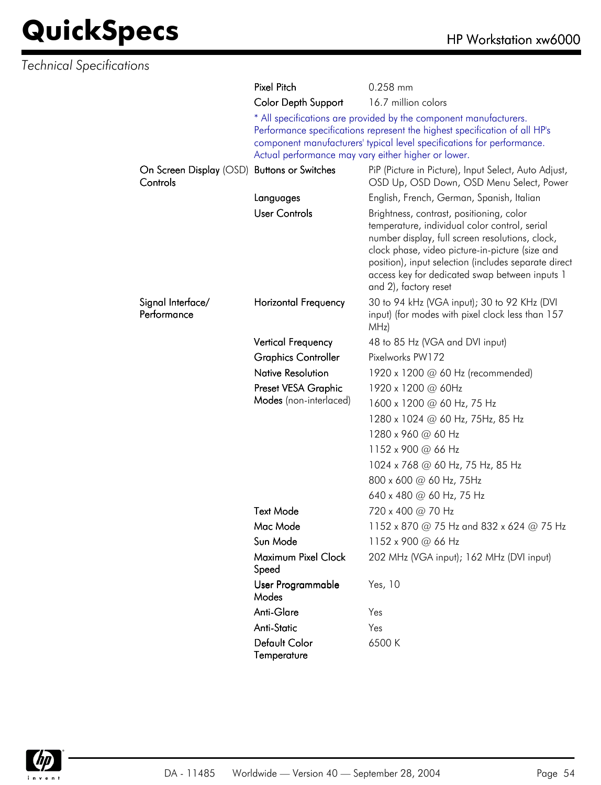| <b>Technical Specifications</b>     |                              |                                                                                                                                                                                                                                                                                                                                    |
|-------------------------------------|------------------------------|------------------------------------------------------------------------------------------------------------------------------------------------------------------------------------------------------------------------------------------------------------------------------------------------------------------------------------|
|                                     | Pixel Pitch                  | 0.258 mm                                                                                                                                                                                                                                                                                                                           |
|                                     | Color Depth Support          | 16.7 million colors                                                                                                                                                                                                                                                                                                                |
|                                     |                              | * All specifications are provided by the component manufacturers.<br>Performance specifications represent the highest specification of all HP's<br>component manufacturers' typical level specifications for performance.<br>Actual performance may vary either higher or lower.                                                   |
| On Screen Display (OSD)<br>Controls | <b>Buttons or Switches</b>   | PiP (Picture in Picture), Input Select, Auto Adjust,<br>OSD Up, OSD Down, OSD Menu Select, Power                                                                                                                                                                                                                                   |
|                                     | Languages                    | English, French, German, Spanish, Italian                                                                                                                                                                                                                                                                                          |
|                                     | <b>User Controls</b>         | Brightness, contrast, positioning, color<br>temperature, individual color control, serial<br>number display, full screen resolutions, clock,<br>clock phase, video picture-in-picture (size and<br>position), input selection (includes separate direct<br>access key for dedicated swap between inputs 1<br>and 2), factory reset |
| Signal Interface/<br>Performance    | <b>Horizontal Frequency</b>  | 30 to 94 kHz (VGA input); 30 to 92 KHz (DVI<br>input) (for modes with pixel clock less than 157<br>MHz)                                                                                                                                                                                                                            |
|                                     | Vertical Frequency           | 48 to 85 Hz (VGA and DVI input)                                                                                                                                                                                                                                                                                                    |
|                                     | <b>Graphics Controller</b>   | Pixelworks PW172                                                                                                                                                                                                                                                                                                                   |
|                                     | <b>Native Resolution</b>     | 1920 x 1200 @ 60 Hz (recommended)                                                                                                                                                                                                                                                                                                  |
|                                     | Preset VESA Graphic          | 1920 x 1200 @ 60Hz                                                                                                                                                                                                                                                                                                                 |
|                                     | Modes (non-interlaced)       | 1600 x 1200 @ 60 Hz, 75 Hz                                                                                                                                                                                                                                                                                                         |
|                                     |                              | 1280 x 1024 @ 60 Hz, 75Hz, 85 Hz                                                                                                                                                                                                                                                                                                   |
|                                     |                              | 1280 x 960 @ 60 Hz                                                                                                                                                                                                                                                                                                                 |
|                                     |                              | 1152 x 900 @ 66 Hz                                                                                                                                                                                                                                                                                                                 |
|                                     |                              | 1024 x 768 @ 60 Hz, 75 Hz, 85 Hz                                                                                                                                                                                                                                                                                                   |
|                                     |                              | 800 x 600 @ 60 Hz, 75Hz                                                                                                                                                                                                                                                                                                            |
|                                     |                              | 640 x 480 @ 60 Hz, 75 Hz                                                                                                                                                                                                                                                                                                           |
|                                     | <b>Text Mode</b>             | 720 x 400 @ 70 Hz                                                                                                                                                                                                                                                                                                                  |
|                                     | Mac Mode                     | 1152 x 870 @ 75 Hz and 832 x 624 @ 75 Hz                                                                                                                                                                                                                                                                                           |
|                                     | Sun Mode                     | 1152 x 900 @ 66 Hz                                                                                                                                                                                                                                                                                                                 |
|                                     | Maximum Pixel Clock<br>Speed | 202 MHz (VGA input); 162 MHz (DVI input)                                                                                                                                                                                                                                                                                           |
|                                     | User Programmable<br>Modes   | Yes, 10                                                                                                                                                                                                                                                                                                                            |
|                                     | Anti-Glare                   | Yes                                                                                                                                                                                                                                                                                                                                |
|                                     | <b>Anti-Static</b>           | Yes                                                                                                                                                                                                                                                                                                                                |
|                                     | Default Color<br>Temperature | 6500K                                                                                                                                                                                                                                                                                                                              |

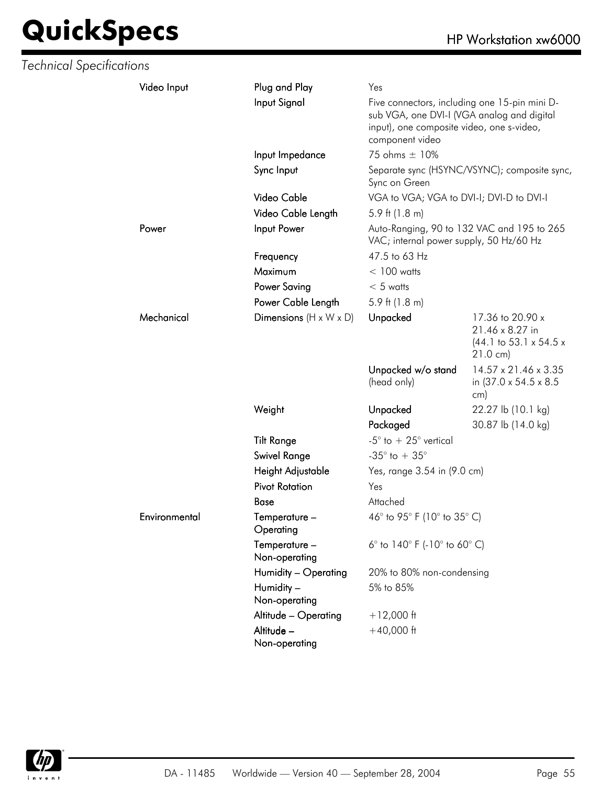# **QuickSpecs**

| HP Workstation xw6000 |  |
|-----------------------|--|
|                       |  |

| <b>Technical Specifications</b> |               |                                    |                                                                                                            |                                                                                                         |
|---------------------------------|---------------|------------------------------------|------------------------------------------------------------------------------------------------------------|---------------------------------------------------------------------------------------------------------|
|                                 | Video Input   | Plug and Play                      | Yes                                                                                                        |                                                                                                         |
|                                 |               | Input Signal                       | sub VGA, one DVI-I (VGA analog and digital<br>input), one composite video, one s-video,<br>component video | Five connectors, including one 15-pin mini D-                                                           |
|                                 |               | Input Impedance                    | 75 ohms ± 10%                                                                                              |                                                                                                         |
|                                 |               | Sync Input                         | Sync on Green                                                                                              | Separate sync (HSYNC/VSYNC); composite sync,                                                            |
|                                 |               | Video Cable                        | VGA to VGA; VGA to DVI-I; DVI-D to DVI-I                                                                   |                                                                                                         |
|                                 |               | Video Cable Length                 | 5.9 ft $(1.8 \text{ m})$                                                                                   |                                                                                                         |
|                                 | Power         | Input Power                        | VAC; internal power supply, 50 Hz/60 Hz                                                                    | Auto-Ranging, 90 to 132 VAC and 195 to 265                                                              |
|                                 |               | Frequency                          | 47.5 to 63 Hz                                                                                              |                                                                                                         |
|                                 |               | Maximum                            | $< 100$ watts                                                                                              |                                                                                                         |
|                                 |               | <b>Power Saving</b>                | $< 5$ watts                                                                                                |                                                                                                         |
|                                 |               | Power Cable Length                 | 5.9 ft $(1.8 \text{ m})$                                                                                   |                                                                                                         |
|                                 | Mechanical    | Dimensions $(H \times W \times D)$ | Unpacked                                                                                                   | 17.36 to 20.90 x<br>21.46 x 8.27 in<br>$(44.1 \text{ to } 53.1 \times 54.5 \times$<br>$21.0 \text{ cm}$ |
|                                 |               |                                    | Unpacked w/o stand<br>(head only)                                                                          | 14.57 x 21.46 x 3.35<br>in (37.0 x 54.5 x 8.5)<br>cm)                                                   |
|                                 |               | Weight                             | <b>Unpacked</b>                                                                                            | 22.27 lb (10.1 kg)                                                                                      |
|                                 |               |                                    | Packaged                                                                                                   | 30.87 lb (14.0 kg)                                                                                      |
|                                 |               | <b>Tilt Range</b>                  | -5 $\degree$ to + 25 $\degree$ vertical                                                                    |                                                                                                         |
|                                 |               | Swivel Range                       | -35 $^{\circ}$ to + 35 $^{\circ}$                                                                          |                                                                                                         |
|                                 |               | Height Adjustable                  | Yes, range 3.54 in (9.0 cm)                                                                                |                                                                                                         |
|                                 |               | <b>Pivot Rotation</b>              | Yes                                                                                                        |                                                                                                         |
|                                 |               | Base                               | Attached                                                                                                   |                                                                                                         |
|                                 | Environmental | ${\bf Temperature-}$<br>Operating  | 46° to 95° F (10° to 35° C)                                                                                |                                                                                                         |
|                                 |               | Temperature -<br>Non-operating     | 6° to $140^{\circ}$ F (-10° to 60° C)                                                                      |                                                                                                         |
|                                 |               | Humidity - Operating               | 20% to 80% non-condensing                                                                                  |                                                                                                         |
|                                 |               | Humidity -<br>Non-operating        | 5% to 85%                                                                                                  |                                                                                                         |
|                                 |               | Altitude - Operating               | $+12,000$ ft                                                                                               |                                                                                                         |
|                                 |               | Altitude -<br>Non-operating        | $+40,000$ ft                                                                                               |                                                                                                         |

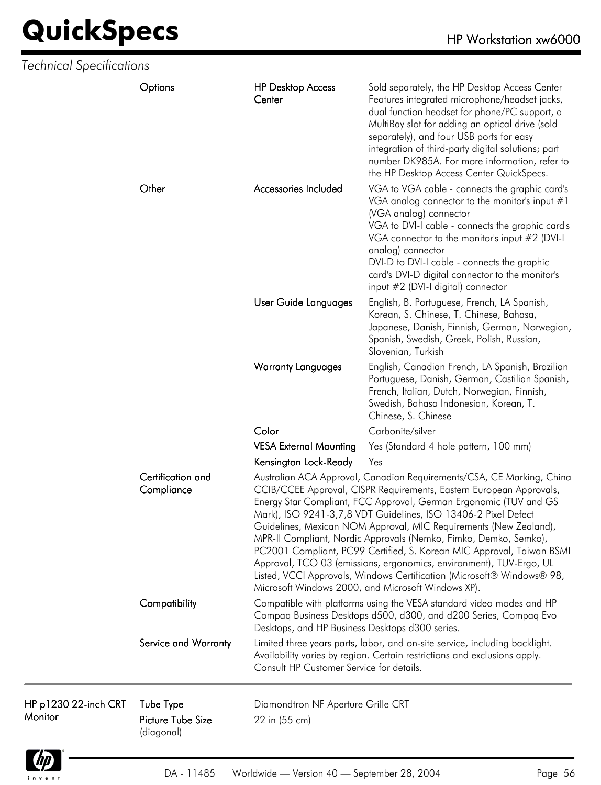| <b>Technical Specifications</b> |                                                     |                                                     |                                                                                                                                                                                                                                                                                                                                                                                                                                                                                                                                                                                                                                                                                                              |
|---------------------------------|-----------------------------------------------------|-----------------------------------------------------|--------------------------------------------------------------------------------------------------------------------------------------------------------------------------------------------------------------------------------------------------------------------------------------------------------------------------------------------------------------------------------------------------------------------------------------------------------------------------------------------------------------------------------------------------------------------------------------------------------------------------------------------------------------------------------------------------------------|
|                                 | Options                                             | <b>HP Desktop Access</b><br>Center                  | Sold separately, the HP Desktop Access Center<br>Features integrated microphone/headset jacks,<br>dual function headset for phone/PC support, a<br>MultiBay slot for adding an optical drive (sold<br>separately), and four USB ports for easy<br>integration of third-party digital solutions; part<br>number DK985A. For more information, refer to<br>the HP Desktop Access Center QuickSpecs.                                                                                                                                                                                                                                                                                                            |
|                                 | Other                                               | Accessories Included                                | VGA to VGA cable - connects the graphic card's<br>VGA analog connector to the monitor's input $#1$<br>(VGA analog) connector<br>VGA to DVI-I cable - connects the graphic card's<br>VGA connector to the monitor's input #2 (DVI-I<br>analog) connector<br>DVI-D to DVI-I cable - connects the graphic<br>card's DVI-D digital connector to the monitor's<br>input #2 (DVI-I digital) connector                                                                                                                                                                                                                                                                                                              |
|                                 |                                                     | User Guide Languages                                | English, B. Portuguese, French, LA Spanish,<br>Korean, S. Chinese, T. Chinese, Bahasa,<br>Japanese, Danish, Finnish, German, Norwegian,<br>Spanish, Swedish, Greek, Polish, Russian,<br>Slovenian, Turkish                                                                                                                                                                                                                                                                                                                                                                                                                                                                                                   |
|                                 |                                                     | <b>Warranty Languages</b>                           | English, Canadian French, LA Spanish, Brazilian<br>Portuguese, Danish, German, Castilian Spanish,<br>French, Italian, Dutch, Norwegian, Finnish,<br>Swedish, Bahasa Indonesian, Korean, T.<br>Chinese, S. Chinese                                                                                                                                                                                                                                                                                                                                                                                                                                                                                            |
|                                 |                                                     | Color                                               | Carbonite/silver                                                                                                                                                                                                                                                                                                                                                                                                                                                                                                                                                                                                                                                                                             |
|                                 |                                                     | <b>VESA External Mounting</b>                       | Yes (Standard 4 hole pattern, 100 mm)                                                                                                                                                                                                                                                                                                                                                                                                                                                                                                                                                                                                                                                                        |
|                                 |                                                     | Kensington Lock-Ready                               | Yes                                                                                                                                                                                                                                                                                                                                                                                                                                                                                                                                                                                                                                                                                                          |
|                                 | Certification and<br>Compliance                     |                                                     | Australian ACA Approval, Canadian Requirements/CSA, CE Marking, China<br>CCIB/CCEE Approval, CISPR Requirements, Eastern European Approvals,<br>Energy Star Compliant, FCC Approval, German Ergonomic (TUV and GS<br>Mark), ISO 9241-3,7,8 VDT Guidelines, ISO 13406-2 Pixel Defect<br>Guidelines, Mexican NOM Approval, MIC Requirements (New Zealand),<br>MPR-II Compliant, Nordic Approvals (Nemko, Fimko, Demko, Semko),<br>PC2001 Compliant, PC99 Certified, S. Korean MIC Approval, Taiwan BSMI<br>Approval, TCO 03 (emissions, ergonomics, environment), TUV-Ergo, UL<br>Listed, VCCI Approvals, Windows Certification (Microsoft® Windows® 98,<br>Microsoft Windows 2000, and Microsoft Windows XP). |
|                                 | Compatibility                                       | Desktops, and HP Business Desktops d300 series.     | Compatible with platforms using the VESA standard video modes and HP<br>Compaq Business Desktops d500, d300, and d200 Series, Compaq Evo                                                                                                                                                                                                                                                                                                                                                                                                                                                                                                                                                                     |
|                                 | Service and Warranty                                | Consult HP Customer Service for details.            | Limited three years parts, labor, and on-site service, including backlight.<br>Availability varies by region. Certain restrictions and exclusions apply.                                                                                                                                                                                                                                                                                                                                                                                                                                                                                                                                                     |
| HP p1230 22-inch CRT<br>Monitor | Tube Type<br><b>Picture Tube Size</b><br>(diagonal) | Diamondtron NF Aperture Grille CRT<br>22 in (55 cm) |                                                                                                                                                                                                                                                                                                                                                                                                                                                                                                                                                                                                                                                                                                              |

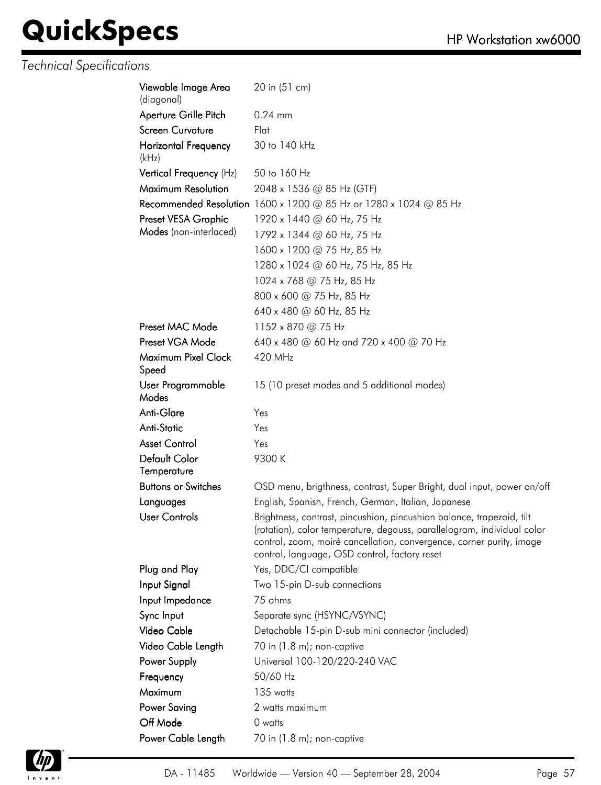| Viewable Image Area<br>(diagonal) | 20 in (51 cm)                                                                                                                                                                                                                                                             |
|-----------------------------------|---------------------------------------------------------------------------------------------------------------------------------------------------------------------------------------------------------------------------------------------------------------------------|
| Aperture Grille Pitch             | $0.24$ mm                                                                                                                                                                                                                                                                 |
| <b>Screen Curvature</b>           | Flat                                                                                                                                                                                                                                                                      |
| Horizontal Frequency<br>(kHz)     | 30 to 140 kHz                                                                                                                                                                                                                                                             |
| Vertical Frequency (Hz)           | 50 to 160 Hz                                                                                                                                                                                                                                                              |
| Maximum Resolution                | 2048 x 1536 @ 85 Hz (GTF)                                                                                                                                                                                                                                                 |
|                                   | Recommended Resolution 1600 x 1200 @ 85 Hz or 1280 x 1024 @ 85 Hz                                                                                                                                                                                                         |
| Preset VESA Graphic               | 1920 x 1440 @ 60 Hz, 75 Hz                                                                                                                                                                                                                                                |
| Modes (non-interlaced)            | 1792 x 1344 @ 60 Hz, 75 Hz                                                                                                                                                                                                                                                |
|                                   | 1600 x 1200 @ 75 Hz, 85 Hz                                                                                                                                                                                                                                                |
|                                   | 1280 x 1024 @ 60 Hz, 75 Hz, 85 Hz                                                                                                                                                                                                                                         |
|                                   | 1024 x 768 @ 75 Hz, 85 Hz                                                                                                                                                                                                                                                 |
|                                   | 800 x 600 @ 75 Hz, 85 Hz                                                                                                                                                                                                                                                  |
|                                   | 640 x 480 @ 60 Hz, 85 Hz                                                                                                                                                                                                                                                  |
| Preset MAC Mode                   | 1152 x 870 @ 75 Hz                                                                                                                                                                                                                                                        |
| Preset VGA Mode                   | 640 x 480 @ 60 Hz and 720 x 400 @ 70 Hz                                                                                                                                                                                                                                   |
| Maximum Pixel Clock<br>Speed      | 420 MHz                                                                                                                                                                                                                                                                   |
| User Programmable<br>Modes        | 15 (10 preset modes and 5 additional modes)                                                                                                                                                                                                                               |
| Anti-Glare                        | Yes                                                                                                                                                                                                                                                                       |
| Anti-Static                       | Yes                                                                                                                                                                                                                                                                       |
| <b>Asset Control</b>              | Yes                                                                                                                                                                                                                                                                       |
| Default Color                     | 9300K                                                                                                                                                                                                                                                                     |
| Temperature                       |                                                                                                                                                                                                                                                                           |
| <b>Buttons or Switches</b>        | OSD menu, brigthness, contrast, Super Bright, dual input, power on/off                                                                                                                                                                                                    |
| Languages                         | English, Spanish, French, German, Italian, Japanese                                                                                                                                                                                                                       |
| <b>User Controls</b>              | Brightness, contrast, pincushion, pincushion balance, trapezoid, tilt<br>(rotation), color temperature, degauss, parallelogram, individual color<br>control, zoom, moiré cancellation, convergence, corner purity, image<br>control, language, OSD control, factory reset |
| Plug and Play                     | Yes, DDC/CI compatible                                                                                                                                                                                                                                                    |
| Input Signal                      | Two 15-pin D-sub connections                                                                                                                                                                                                                                              |
| Input Impedance                   | 75 ohms                                                                                                                                                                                                                                                                   |
| Sync Input                        | Separate sync (HSYNC/VSYNC)                                                                                                                                                                                                                                               |
| Video Cable                       | Detachable 15-pin D-sub mini connector (included)                                                                                                                                                                                                                         |
| Video Cable Length                | 70 in (1.8 m); non-captive                                                                                                                                                                                                                                                |
| Power Supply                      | Universal 100-120/220-240 VAC                                                                                                                                                                                                                                             |
| Frequency                         | 50/60 Hz                                                                                                                                                                                                                                                                  |
| Maximum                           | 135 watts                                                                                                                                                                                                                                                                 |
| Power Saving                      | 2 watts maximum                                                                                                                                                                                                                                                           |
| Off Mode                          | 0 watts                                                                                                                                                                                                                                                                   |
| Power Cable Length                | 70 in (1.8 m); non-captive                                                                                                                                                                                                                                                |

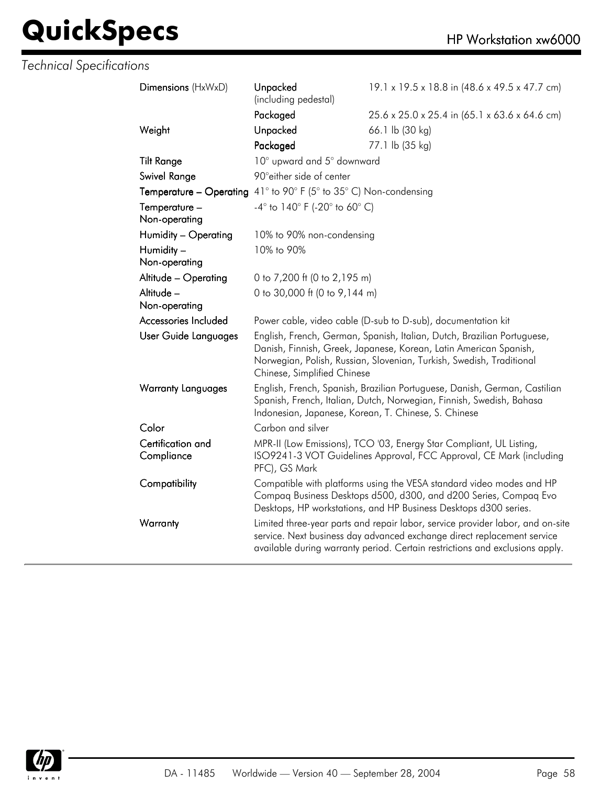| Dimensions (HxWxD)              | Unpacked<br>(including pedestal)                                                                                                                                                                                                                    | 19.1 x 19.5 x 18.8 in (48.6 x 49.5 x 47.7 cm) |  |
|---------------------------------|-----------------------------------------------------------------------------------------------------------------------------------------------------------------------------------------------------------------------------------------------------|-----------------------------------------------|--|
|                                 | Packaged                                                                                                                                                                                                                                            | 25.6 x 25.0 x 25.4 in (65.1 x 63.6 x 64.6 cm) |  |
| Weight                          | Unpacked                                                                                                                                                                                                                                            | 66.1 lb (30 kg)                               |  |
|                                 | Packaged                                                                                                                                                                                                                                            | 77.1 lb (35 kg)                               |  |
| <b>Tilt Range</b>               | 10° upward and 5° downward                                                                                                                                                                                                                          |                                               |  |
| Swivel Range                    | 90° either side of center                                                                                                                                                                                                                           |                                               |  |
| Temperature - Operating         | 41° to 90° F (5° to 35° C) Non-condensing                                                                                                                                                                                                           |                                               |  |
| Temperature -<br>Non-operating  | $-4^{\circ}$ to $140^{\circ}$ F (-20 $^{\circ}$ to 60 $^{\circ}$ C)                                                                                                                                                                                 |                                               |  |
| Humidity - Operating            | 10% to 90% non-condensing                                                                                                                                                                                                                           |                                               |  |
| Humidity -<br>Non-operating     | 10% to 90%                                                                                                                                                                                                                                          |                                               |  |
| Altitude - Operating            | 0 to 7,200 ft (0 to 2,195 m)                                                                                                                                                                                                                        |                                               |  |
| Altitude -<br>Non-operating     | 0 to 30,000 ft (0 to 9,144 m)                                                                                                                                                                                                                       |                                               |  |
| Accessories Included            | Power cable, video cable (D-sub to D-sub), documentation kit                                                                                                                                                                                        |                                               |  |
| User Guide Languages            | English, French, German, Spanish, Italian, Dutch, Brazilian Portuguese,<br>Danish, Finnish, Greek, Japanese, Korean, Latin American Spanish,<br>Norwegian, Polish, Russian, Slovenian, Turkish, Swedish, Traditional<br>Chinese, Simplified Chinese |                                               |  |
| <b>Warranty Languages</b>       | English, French, Spanish, Brazilian Portuguese, Danish, German, Castilian<br>Spanish, French, Italian, Dutch, Norwegian, Finnish, Swedish, Bahasa<br>Indonesian, Japanese, Korean, T. Chinese, S. Chinese                                           |                                               |  |
| Color                           | Carbon and silver                                                                                                                                                                                                                                   |                                               |  |
| Certification and<br>Compliance | MPR-II (Low Emissions), TCO '03, Energy Star Compliant, UL Listing,<br>ISO9241-3 VOT Guidelines Approval, FCC Approval, CE Mark (including<br>PFC), GS Mark                                                                                         |                                               |  |
| Compatibility                   | Compatible with platforms using the VESA standard video modes and HP<br>Compaq Business Desktops d500, d300, and d200 Series, Compaq Evo<br>Desktops, HP workstations, and HP Business Desktops d300 series.                                        |                                               |  |
| Warranty                        | Limited three-year parts and repair labor, service provider labor, and on-site<br>service. Next business day advanced exchange direct replacement service<br>available during warranty period. Certain restrictions and exclusions apply.           |                                               |  |
|                                 |                                                                                                                                                                                                                                                     |                                               |  |